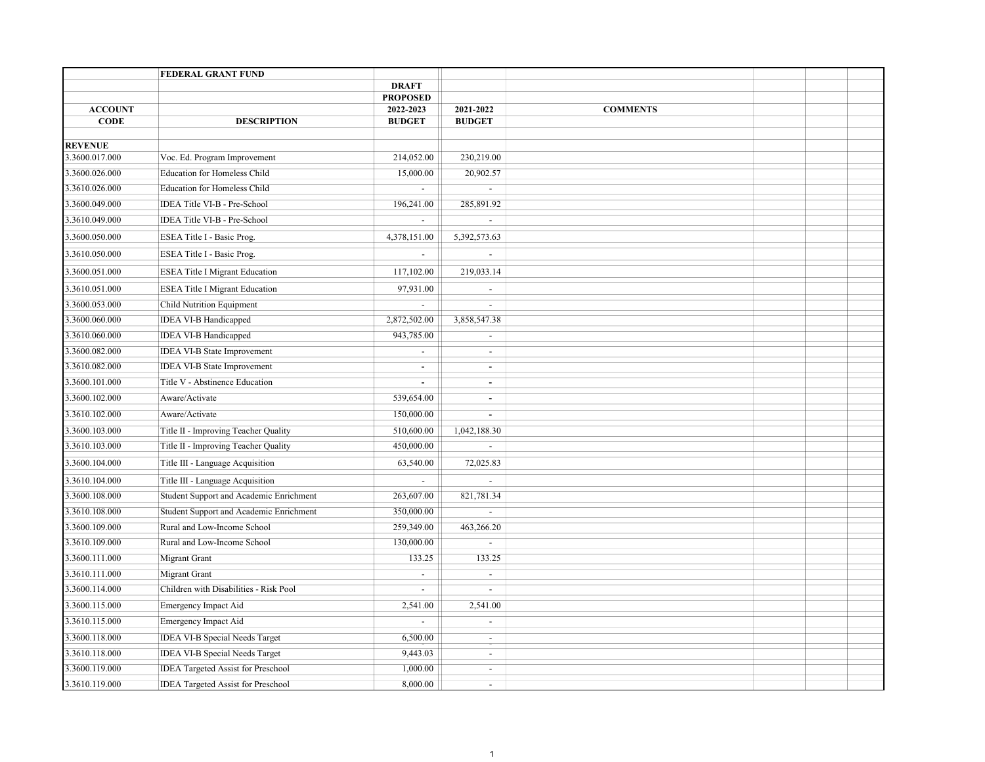|                               | FEDERAL GRANT FUND                        |                            |                            |                 |  |  |
|-------------------------------|-------------------------------------------|----------------------------|----------------------------|-----------------|--|--|
|                               |                                           | <b>DRAFT</b>               |                            |                 |  |  |
|                               |                                           | <b>PROPOSED</b>            |                            |                 |  |  |
| <b>ACCOUNT</b><br><b>CODE</b> | <b>DESCRIPTION</b>                        | 2022-2023<br><b>BUDGET</b> | 2021-2022<br><b>BUDGET</b> | <b>COMMENTS</b> |  |  |
|                               |                                           |                            |                            |                 |  |  |
| <b>REVENUE</b>                |                                           |                            |                            |                 |  |  |
| 3.3600.017.000                | Voc. Ed. Program Improvement              | 214,052.00                 | 230,219.00                 |                 |  |  |
| 3.3600.026.000                | <b>Education for Homeless Child</b>       | 15,000.00                  | 20,902.57                  |                 |  |  |
| 3.3610.026.000                | <b>Education for Homeless Child</b>       |                            | $\omega$                   |                 |  |  |
| 3.3600.049.000                | IDEA Title VI-B - Pre-School              | 196,241.00                 | 285,891.92                 |                 |  |  |
| 3.3610.049.000                | IDEA Title VI-B - Pre-School              | $\blacksquare$             | $\blacksquare$             |                 |  |  |
| 3.3600.050.000                | ESEA Title I - Basic Prog.                | 4,378,151.00               | 5,392,573.63               |                 |  |  |
| 3.3610.050.000                | ESEA Title I - Basic Prog.                | $\omega_{\rm c}$           | $\overline{\phantom{a}}$   |                 |  |  |
| 3.3600.051.000                | <b>ESEA Title I Migrant Education</b>     | 117,102.00                 | 219,033.14                 |                 |  |  |
| 3.3610.051.000                | <b>ESEA Title I Migrant Education</b>     | 97,931.00                  | $\overline{a}$             |                 |  |  |
| 3.3600.053.000                | Child Nutrition Equipment                 | $\blacksquare$             | $\blacksquare$             |                 |  |  |
| 3.3600.060.000                | <b>IDEA VI-B Handicapped</b>              | 2,872,502.00               | 3,858,547.38               |                 |  |  |
| 3.3610.060.000                | IDEA VI-B Handicapped                     | 943,785.00                 | $\blacksquare$             |                 |  |  |
| 3.3600.082.000                | <b>IDEA VI-B State Improvement</b>        | $\overline{\phantom{a}}$   | $\blacksquare$             |                 |  |  |
| 3.3610.082.000                | <b>IDEA VI-B State Improvement</b>        | $\sim$                     | $\blacksquare$             |                 |  |  |
| 3.3600.101.000                | Title V - Abstinence Education            | $\blacksquare$             | $\blacksquare$             |                 |  |  |
| 3.3600.102.000                | Aware/Activate                            | 539,654.00                 | $\blacksquare$             |                 |  |  |
| 3.3610.102.000                | Aware/Activate                            | 150,000.00                 | $\blacksquare$             |                 |  |  |
| 3.3600.103.000                | Title II - Improving Teacher Quality      | 510,600.00                 | 1,042,188.30               |                 |  |  |
| 3.3610.103.000                | Title II - Improving Teacher Quality      | 450,000.00                 | $\blacksquare$             |                 |  |  |
| 3.3600.104.000                | Title III - Language Acquisition          | 63,540.00                  | 72,025.83                  |                 |  |  |
| 3.3610.104.000                | Title III - Language Acquisition          | $\mathbb{L}^{\mathbb{Z}}$  | $\mathbf{r}$               |                 |  |  |
| 3.3600.108.000                | Student Support and Academic Enrichment   | 263,607.00                 | 821,781.34                 |                 |  |  |
| 3.3610.108.000                | Student Support and Academic Enrichment   | 350,000.00                 | $\blacksquare$             |                 |  |  |
| 3.3600.109.000                | Rural and Low-Income School               | 259,349.00                 | 463,266.20                 |                 |  |  |
| 3.3610.109.000                | Rural and Low-Income School               | 130,000.00                 | $\sim$                     |                 |  |  |
| 3.3600.111.000                | Migrant Grant                             | 133.25                     | 133.25                     |                 |  |  |
| 3.3610.111.000                | <b>Migrant Grant</b>                      | $\overline{\phantom{a}}$   | $\blacksquare$             |                 |  |  |
| 3.3600.114.000                | Children with Disabilities - Risk Pool    | $\sim$                     | $\mathbf{r}$               |                 |  |  |
| 3.3600.115.000                | Emergency Impact Aid                      | 2,541.00                   | 2,541.00                   |                 |  |  |
| 3.3610.115.000                | Emergency Impact Aid                      | $\overline{a}$             | $\mathbf{r}$               |                 |  |  |
| 3.3600.118.000                | IDEA VI-B Special Needs Target            | 6,500.00                   | $\sim$                     |                 |  |  |
| 3.3610.118.000                | <b>IDEA VI-B Special Needs Target</b>     | 9,443.03                   | $\blacksquare$             |                 |  |  |
| 3.3600.119.000                | <b>IDEA Targeted Assist for Preschool</b> | 1,000.00                   | $\sim$                     |                 |  |  |
| 3.3610.119.000                | <b>IDEA Targeted Assist for Preschool</b> | 8,000.00                   | $\equiv$                   |                 |  |  |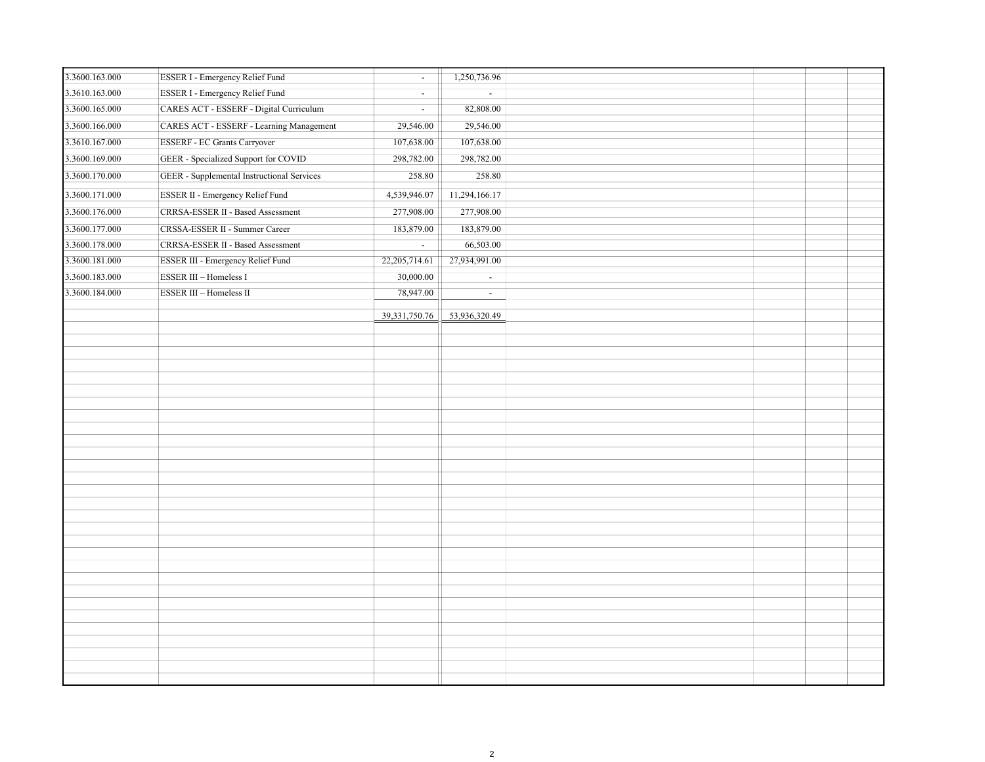| 3.3600.163.000 | ESSER I - Emergency Relief Fund                   | $\blacksquare$ | 1,250,736.96   |  |
|----------------|---------------------------------------------------|----------------|----------------|--|
| 3.3610.163.000 | <b>ESSER I - Emergency Relief Fund</b>            | $\blacksquare$ | $\sim$         |  |
| 3.3600.165.000 | CARES ACT - ESSERF - Digital Curriculum           | $\blacksquare$ | 82,808.00      |  |
| 3.3600.166.000 | CARES ACT - ESSERF - Learning Management          | 29,546.00      | 29,546.00      |  |
| 3.3610.167.000 | <b>ESSERF</b> - EC Grants Carryover               | 107,638.00     | 107,638.00     |  |
| 3.3600.169.000 | GEER - Specialized Support for COVID              | 298,782.00     | 298,782.00     |  |
| 3.3600.170.000 | <b>GEER</b> - Supplemental Instructional Services | 258.80         | 258.80         |  |
| 3.3600.171.000 | ESSER II - Emergency Relief Fund                  | 4,539,946.07   | 11,294,166.17  |  |
| 3.3600.176.000 | CRRSA-ESSER II - Based Assessment                 | 277,908.00     | 277,908.00     |  |
| 3.3600.177.000 | CRSSA-ESSER II - Summer Career                    | 183,879.00     | 183,879.00     |  |
| 3.3600.178.000 | CRRSA-ESSER II - Based Assessment                 | $\omega$       | 66,503.00      |  |
| 3.3600.181.000 | ESSER III - Emergency Relief Fund                 | 22,205,714.61  | 27,934,991.00  |  |
| 3.3600.183.000 | ESSER III - Homeless I                            | 30,000.00      | $\blacksquare$ |  |
| 3.3600.184.000 | ESSER III - Homeless II                           | 78,947.00      | $\sim$         |  |
|                |                                                   |                |                |  |
|                |                                                   | 39,331,750.76  | 53,936,320.49  |  |
|                |                                                   |                |                |  |
|                |                                                   |                |                |  |
|                |                                                   |                |                |  |
|                |                                                   |                |                |  |
|                |                                                   |                |                |  |
|                |                                                   |                |                |  |
|                |                                                   |                |                |  |
|                |                                                   |                |                |  |
|                |                                                   |                |                |  |
|                |                                                   |                |                |  |
|                |                                                   |                |                |  |
|                |                                                   |                |                |  |
|                |                                                   |                |                |  |
|                |                                                   |                |                |  |
|                |                                                   |                |                |  |
|                |                                                   |                |                |  |
|                |                                                   |                |                |  |
|                |                                                   |                |                |  |
|                |                                                   |                |                |  |
|                |                                                   |                |                |  |
|                |                                                   |                |                |  |
|                |                                                   |                |                |  |
|                |                                                   |                |                |  |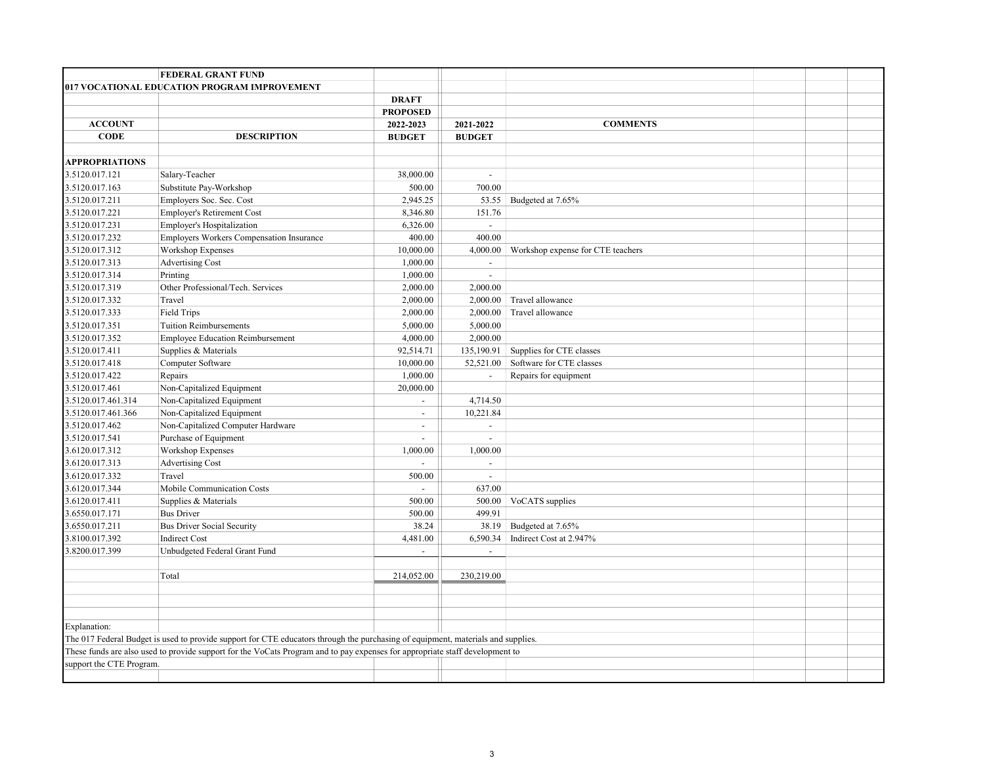|                                  | <b>FEDERAL GRANT FUND</b>                                                                                                        |                           |                          |                                   |  |  |
|----------------------------------|----------------------------------------------------------------------------------------------------------------------------------|---------------------------|--------------------------|-----------------------------------|--|--|
|                                  | 017 VOCATIONAL EDUCATION PROGRAM IMPROVEMENT                                                                                     |                           |                          |                                   |  |  |
|                                  |                                                                                                                                  | <b>DRAFT</b>              |                          |                                   |  |  |
|                                  |                                                                                                                                  | <b>PROPOSED</b>           |                          |                                   |  |  |
| <b>ACCOUNT</b>                   |                                                                                                                                  | 2022-2023                 | 2021-2022                | <b>COMMENTS</b>                   |  |  |
| <b>CODE</b>                      | <b>DESCRIPTION</b>                                                                                                               | <b>BUDGET</b>             | <b>BUDGET</b>            |                                   |  |  |
|                                  |                                                                                                                                  |                           |                          |                                   |  |  |
| <b>APPROPRIATIONS</b>            |                                                                                                                                  |                           |                          |                                   |  |  |
| 3.5120.017.121                   | Salary-Teacher                                                                                                                   | 38,000.00                 | $\sim$                   |                                   |  |  |
| 3.5120.017.163                   | Substitute Pay-Workshop                                                                                                          | 500.00                    | 700.00                   |                                   |  |  |
| 3.5120.017.211                   | Employers Soc. Sec. Cost                                                                                                         | 2,945.25                  | 53.55                    | Budgeted at 7.65%                 |  |  |
| 3.5120.017.221                   | Employer's Retirement Cost                                                                                                       | 8,346.80                  | 151.76                   |                                   |  |  |
| 3.5120.017.231                   | Employer's Hospitalization                                                                                                       | 6,326.00                  | $\mathcal{L}$            |                                   |  |  |
| 3.5120.017.232                   | Employers Workers Compensation Insurance                                                                                         | 400.00                    | 400.00                   |                                   |  |  |
| 3.5120.017.312                   | Workshop Expenses                                                                                                                | 10,000.00                 | 4,000.00                 | Workshop expense for CTE teachers |  |  |
| 3.5120.017.313                   | <b>Advertising Cost</b>                                                                                                          | 1,000.00                  | $\sim$                   |                                   |  |  |
| 3.5120.017.314                   | Printing                                                                                                                         | 1,000.00                  | $\overline{\phantom{a}}$ |                                   |  |  |
| 3.5120.017.319                   | Other Professional/Tech. Services                                                                                                | 2,000.00                  | 2,000.00                 |                                   |  |  |
| 3.5120.017.332                   | Travel                                                                                                                           | 2,000.00                  | 2,000.00                 | Travel allowance                  |  |  |
| 3.5120.017.333                   | <b>Field Trips</b>                                                                                                               | 2,000.00                  | 2,000.00                 | Travel allowance                  |  |  |
| 3.5120.017.351                   | <b>Tuition Reimbursements</b>                                                                                                    | 5,000.00                  | 5,000.00                 |                                   |  |  |
| 3.5120.017.352                   | <b>Employee Education Reimbursement</b>                                                                                          | 4,000.00                  | 2,000.00                 |                                   |  |  |
| 3.5120.017.411                   | Supplies & Materials                                                                                                             | 92,514.71                 | 135,190.91               | Supplies for CTE classes          |  |  |
| 3.5120.017.418                   | Computer Software                                                                                                                | 10,000.00                 | 52,521.00                | Software for CTE classes          |  |  |
| 3.5120.017.422                   | Repairs                                                                                                                          | 1,000.00                  | $\blacksquare$           | Repairs for equipment             |  |  |
| 3.5120.017.461                   | Non-Capitalized Equipment                                                                                                        | 20,000.00                 |                          |                                   |  |  |
| 3.5120.017.461.314               | Non-Capitalized Equipment                                                                                                        | $\mathbb{Z}^{\mathbb{Z}}$ | 4,714.50                 |                                   |  |  |
| 3.5120.017.461.366               | Non-Capitalized Equipment                                                                                                        | $\mathbf{r}$              | 10,221.84                |                                   |  |  |
| 3.5120.017.462                   | Non-Capitalized Computer Hardware                                                                                                | $\mathbf{r}$              | $\overline{a}$           |                                   |  |  |
| 3.5120.017.541                   | Purchase of Equipment                                                                                                            | $\sim$                    | $\blacksquare$           |                                   |  |  |
| 3.6120.017.312                   | Workshop Expenses                                                                                                                | 1,000.00                  | 1,000.00                 |                                   |  |  |
| 3.6120.017.313                   | Advertising Cost                                                                                                                 |                           | $\sim$                   |                                   |  |  |
| 3.6120.017.332<br>3.6120.017.344 | Travel                                                                                                                           | 500.00<br>÷               | $\blacksquare$<br>637.00 |                                   |  |  |
| 3.6120.017.411                   | Mobile Communication Costs<br>Supplies & Materials                                                                               | 500.00                    |                          | VoCATS supplies                   |  |  |
| 3.6550.017.171                   | <b>Bus Driver</b>                                                                                                                | 500.00                    | 500.00<br>499.91         |                                   |  |  |
| 3.6550.017.211                   | <b>Bus Driver Social Security</b>                                                                                                | 38.24                     | 38.19                    | Budgeted at 7.65%                 |  |  |
| 3.8100.017.392                   | <b>Indirect Cost</b>                                                                                                             | 4,481.00                  | 6,590.34                 | Indirect Cost at 2.947%           |  |  |
| 3.8200.017.399                   | Unbudgeted Federal Grant Fund                                                                                                    | $\overline{a}$            | $\overline{\phantom{a}}$ |                                   |  |  |
|                                  |                                                                                                                                  |                           |                          |                                   |  |  |
|                                  | Total                                                                                                                            | 214,052.00                | 230,219.00               |                                   |  |  |
|                                  |                                                                                                                                  |                           |                          |                                   |  |  |
|                                  |                                                                                                                                  |                           |                          |                                   |  |  |
|                                  |                                                                                                                                  |                           |                          |                                   |  |  |
| Explanation:                     |                                                                                                                                  |                           |                          |                                   |  |  |
|                                  | The 017 Federal Budget is used to provide support for CTE educators through the purchasing of equipment, materials and supplies. |                           |                          |                                   |  |  |
|                                  | These funds are also used to provide support for the VoCats Program and to pay expenses for appropriate staff development to     |                           |                          |                                   |  |  |
| support the CTE Program.         |                                                                                                                                  |                           |                          |                                   |  |  |
|                                  |                                                                                                                                  |                           |                          |                                   |  |  |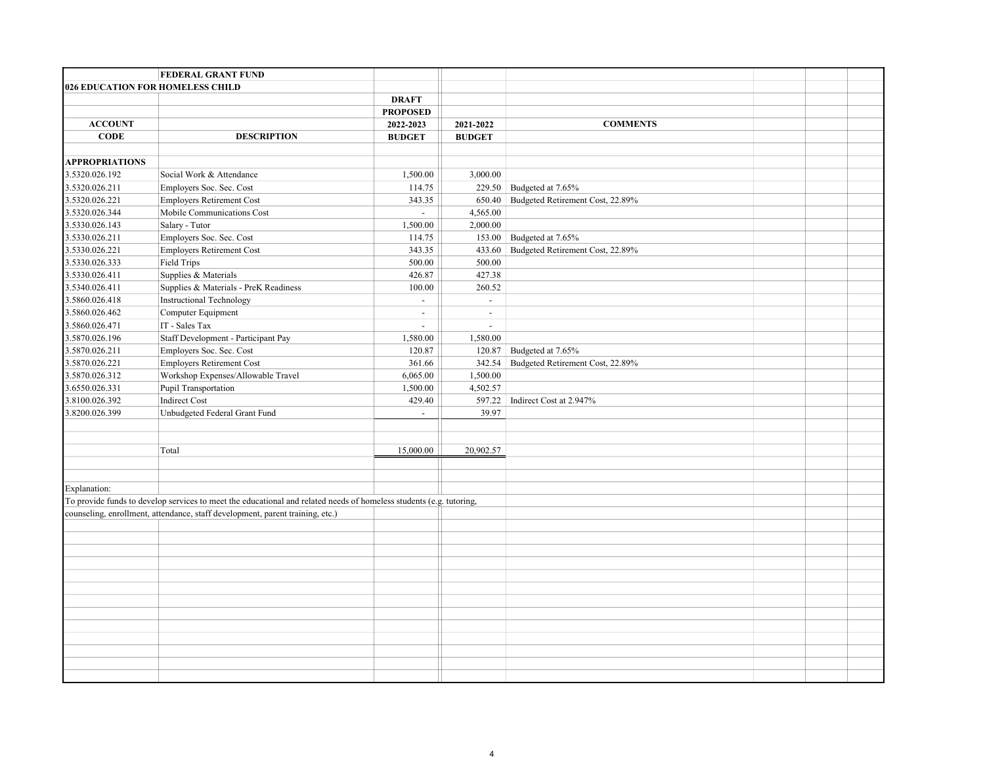|                                  | FEDERAL GRANT FUND                                                                                                  |                                       |                |                                  |  |  |
|----------------------------------|---------------------------------------------------------------------------------------------------------------------|---------------------------------------|----------------|----------------------------------|--|--|
| 026 EDUCATION FOR HOMELESS CHILD |                                                                                                                     |                                       |                |                                  |  |  |
|                                  |                                                                                                                     | <b>DRAFT</b>                          |                |                                  |  |  |
|                                  |                                                                                                                     | <b>PROPOSED</b>                       |                |                                  |  |  |
| <b>ACCOUNT</b>                   |                                                                                                                     | 2022-2023                             | 2021-2022      | <b>COMMENTS</b>                  |  |  |
| <b>CODE</b>                      | <b>DESCRIPTION</b>                                                                                                  | <b>BUDGET</b>                         | <b>BUDGET</b>  |                                  |  |  |
|                                  |                                                                                                                     |                                       |                |                                  |  |  |
| <b>APPROPRIATIONS</b>            |                                                                                                                     |                                       |                |                                  |  |  |
| 3.5320.026.192                   | Social Work & Attendance                                                                                            | 1,500.00                              | 3,000.00       |                                  |  |  |
| 3.5320.026.211                   | Employers Soc. Sec. Cost                                                                                            | 114.75                                | 229.50         | Budgeted at 7.65%                |  |  |
| 3.5320.026.221                   | <b>Employers Retirement Cost</b>                                                                                    | 343.35                                | 650.40         | Budgeted Retirement Cost, 22.89% |  |  |
| 3.5320.026.344                   | Mobile Communications Cost                                                                                          | ÷.                                    | 4,565.00       |                                  |  |  |
| 3.5330.026.143                   | Salary - Tutor                                                                                                      | 1,500.00                              | 2,000.00       |                                  |  |  |
| 3.5330.026.211                   | Employers Soc. Sec. Cost                                                                                            | 114.75                                | 153.00         | Budgeted at 7.65%                |  |  |
| 3.5330.026.221                   | <b>Employers Retirement Cost</b>                                                                                    | 343.35                                | 433.60         | Budgeted Retirement Cost, 22.89% |  |  |
| 3.5330.026.333                   | <b>Field Trips</b>                                                                                                  | 500.00                                | 500.00         |                                  |  |  |
| 3.5330.026.411                   | Supplies & Materials                                                                                                | 426.87                                | 427.38         |                                  |  |  |
| 3.5340.026.411                   | Supplies & Materials - PreK Readiness                                                                               | 100.00                                | 260.52         |                                  |  |  |
| 3.5860.026.418                   | Instructional Technology                                                                                            | $\omega$                              | $\mathbb{Z}^2$ |                                  |  |  |
| 3.5860.026.462                   | Computer Equipment                                                                                                  | $\omega$                              | $\omega$       |                                  |  |  |
| 3.5860.026.471                   | IT - Sales Tax                                                                                                      | $\sim$                                | $\omega$       |                                  |  |  |
| 3.5870.026.196                   | Staff Development - Participant Pay                                                                                 | 1,580.00                              | 1,580.00       |                                  |  |  |
| 3.5870.026.211                   | Employers Soc. Sec. Cost                                                                                            | 120.87                                | 120.87         | Budgeted at 7.65%                |  |  |
| 3.5870.026.221                   | <b>Employers Retirement Cost</b>                                                                                    | 361.66                                | 342.54         | Budgeted Retirement Cost, 22.89% |  |  |
| 3.5870.026.312                   | Workshop Expenses/Allowable Travel                                                                                  | 6,065.00                              | 1,500.00       |                                  |  |  |
| 3.6550.026.331                   | Pupil Transportation                                                                                                | 1,500.00                              | 4,502.57       |                                  |  |  |
| 3.8100.026.392                   | <b>Indirect Cost</b>                                                                                                | 429.40<br>$\mathcal{L}^{\mathcal{A}}$ | 597.22         | Indirect Cost at 2.947%          |  |  |
| 3.8200.026.399                   | Unbudgeted Federal Grant Fund                                                                                       |                                       | 39.97          |                                  |  |  |
|                                  |                                                                                                                     |                                       |                |                                  |  |  |
|                                  | Total                                                                                                               | 15,000.00                             | 20,902.57      |                                  |  |  |
|                                  |                                                                                                                     |                                       |                |                                  |  |  |
|                                  |                                                                                                                     |                                       |                |                                  |  |  |
| Explanation:                     |                                                                                                                     |                                       |                |                                  |  |  |
|                                  | To provide funds to develop services to meet the educational and related needs of homeless students (e.g. tutoring, |                                       |                |                                  |  |  |
|                                  | counseling, enrollment, attendance, staff development, parent training, etc.)                                       |                                       |                |                                  |  |  |
|                                  |                                                                                                                     |                                       |                |                                  |  |  |
|                                  |                                                                                                                     |                                       |                |                                  |  |  |
|                                  |                                                                                                                     |                                       |                |                                  |  |  |
|                                  |                                                                                                                     |                                       |                |                                  |  |  |
|                                  |                                                                                                                     |                                       |                |                                  |  |  |
|                                  |                                                                                                                     |                                       |                |                                  |  |  |
|                                  |                                                                                                                     |                                       |                |                                  |  |  |
|                                  |                                                                                                                     |                                       |                |                                  |  |  |
|                                  |                                                                                                                     |                                       |                |                                  |  |  |
|                                  |                                                                                                                     |                                       |                |                                  |  |  |
|                                  |                                                                                                                     |                                       |                |                                  |  |  |
|                                  |                                                                                                                     |                                       |                |                                  |  |  |
|                                  |                                                                                                                     |                                       |                |                                  |  |  |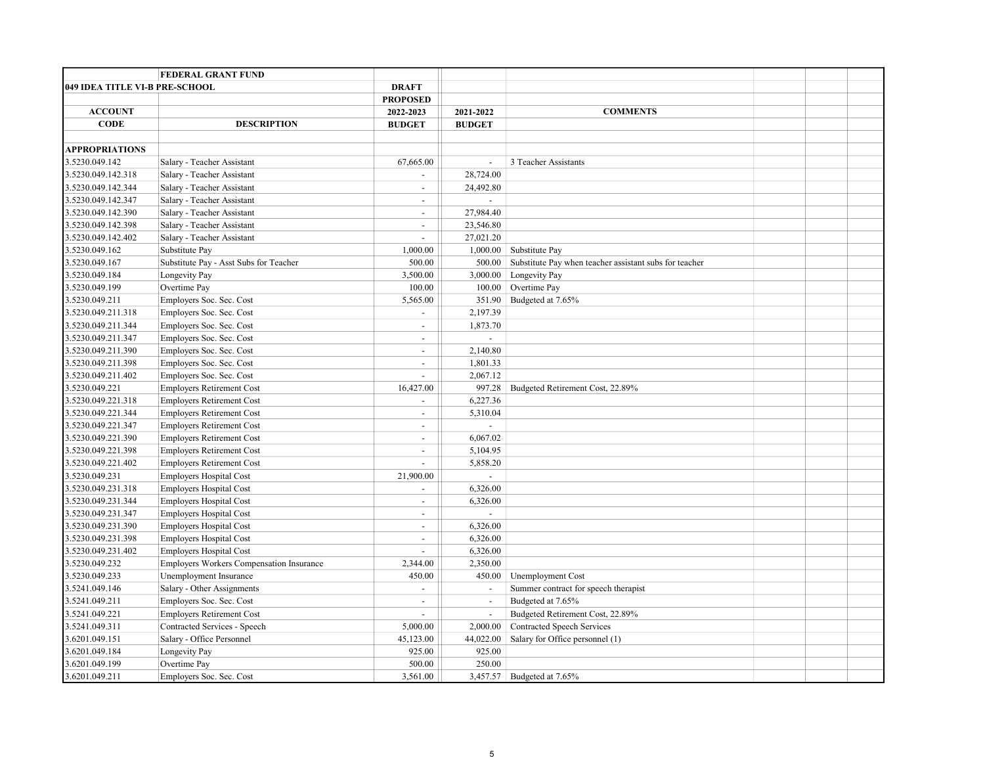|                                | <b>FEDERAL GRANT FUND</b>                       |                             |                          |                                                        |  |  |
|--------------------------------|-------------------------------------------------|-----------------------------|--------------------------|--------------------------------------------------------|--|--|
| 049 IDEA TITLE VI-B PRE-SCHOOL |                                                 | <b>DRAFT</b>                |                          |                                                        |  |  |
|                                |                                                 | <b>PROPOSED</b>             |                          |                                                        |  |  |
| <b>ACCOUNT</b>                 |                                                 | 2022-2023                   | 2021-2022                | <b>COMMENTS</b>                                        |  |  |
| <b>CODE</b>                    | <b>DESCRIPTION</b>                              | <b>BUDGET</b>               | <b>BUDGET</b>            |                                                        |  |  |
|                                |                                                 |                             |                          |                                                        |  |  |
| <b>APPROPRIATIONS</b>          |                                                 |                             |                          |                                                        |  |  |
| 3.5230.049.142                 | Salary - Teacher Assistant                      | 67,665.00                   | $\overline{\phantom{a}}$ | 3 Teacher Assistants                                   |  |  |
| 3.5230.049.142.318             | Salary - Teacher Assistant                      | $\sim$                      | 28,724.00                |                                                        |  |  |
| 3.5230.049.142.344             | Salary - Teacher Assistant                      | $\blacksquare$              | 24,492.80                |                                                        |  |  |
| 3.5230.049.142.347             | Salary - Teacher Assistant                      | $\overline{\phantom{a}}$    | $\sim$                   |                                                        |  |  |
| 3.5230.049.142.390             | Salary - Teacher Assistant                      | $\overline{a}$              | 27,984.40                |                                                        |  |  |
| 3.5230.049.142.398             | Salary - Teacher Assistant                      | $\overline{\phantom{a}}$    | 23,546.80                |                                                        |  |  |
| 3.5230.049.142.402             | Salary - Teacher Assistant                      | $\overline{a}$              | 27,021.20                |                                                        |  |  |
| 3.5230.049.162                 | Substitute Pay                                  | 1,000.00                    | 1,000.00                 | Substitute Pay                                         |  |  |
| 3.5230.049.167                 | Substitute Pay - Asst Subs for Teacher          | 500.00                      | 500.00                   | Substitute Pay when teacher assistant subs for teacher |  |  |
| 3.5230.049.184                 | Longevity Pay                                   | 3,500.00                    | 3,000.00                 | Longevity Pay                                          |  |  |
| 3.5230.049.199                 | Overtime Pay                                    | 100.00                      | 100.00                   | Overtime Pay                                           |  |  |
| 3.5230.049.211                 | Employers Soc. Sec. Cost                        | 5,565.00                    | 351.90                   | Budgeted at 7.65%                                      |  |  |
| 3.5230.049.211.318             | Employers Soc. Sec. Cost                        | $\blacksquare$              | 2,197.39                 |                                                        |  |  |
| 3.5230.049.211.344             | Employers Soc. Sec. Cost                        | $\overline{\phantom{a}}$    | 1,873.70                 |                                                        |  |  |
| 3.5230.049.211.347             | Employers Soc. Sec. Cost                        | $\overline{\phantom{a}}$    | $\sim$                   |                                                        |  |  |
| 3.5230.049.211.390             | Employers Soc. Sec. Cost                        | $\blacksquare$              | 2,140.80                 |                                                        |  |  |
| 3.5230.049.211.398             | Employers Soc. Sec. Cost                        | $\sim$                      | 1,801.33                 |                                                        |  |  |
| 3.5230.049.211.402             | Employers Soc. Sec. Cost                        | $\overline{\phantom{a}}$    | 2,067.12                 |                                                        |  |  |
| 3.5230.049.221                 | <b>Employers Retirement Cost</b>                | 16,427.00                   | 997.28                   | Budgeted Retirement Cost, 22.89%                       |  |  |
| 3.5230.049.221.318             | <b>Employers Retirement Cost</b>                | $\blacksquare$              | 6,227.36                 |                                                        |  |  |
| 3.5230.049.221.344             | <b>Employers Retirement Cost</b>                | $\blacksquare$              | 5,310.04                 |                                                        |  |  |
| 3.5230.049.221.347             | <b>Employers Retirement Cost</b>                | $\overline{\phantom{a}}$    | $\blacksquare$           |                                                        |  |  |
| 3.5230.049.221.390             | <b>Employers Retirement Cost</b>                | $\overline{a}$              | 6,067.02                 |                                                        |  |  |
| 3.5230.049.221.398             | <b>Employers Retirement Cost</b>                | $\overline{\phantom{a}}$    | 5,104.95                 |                                                        |  |  |
| 3.5230.049.221.402             | <b>Employers Retirement Cost</b>                | $\mathcal{L}^{\mathcal{A}}$ | 5,858.20                 |                                                        |  |  |
| 3.5230.049.231                 | <b>Employers Hospital Cost</b>                  | 21,900.00                   |                          |                                                        |  |  |
| 3.5230.049.231.318             | <b>Employers Hospital Cost</b>                  | $\overline{\phantom{a}}$    | 6,326.00                 |                                                        |  |  |
| 3.5230.049.231.344             | <b>Employers Hospital Cost</b>                  | $\sim$                      | 6,326.00                 |                                                        |  |  |
| 3.5230.049.231.347             | <b>Employers Hospital Cost</b>                  | $\blacksquare$              | $\mathbf{r}$             |                                                        |  |  |
| 3.5230.049.231.390             | <b>Employers Hospital Cost</b>                  | $\blacksquare$              | 6,326.00                 |                                                        |  |  |
| 3.5230.049.231.398             | <b>Employers Hospital Cost</b>                  | $\blacksquare$              | 6,326.00                 |                                                        |  |  |
| 3.5230.049.231.402             | <b>Employers Hospital Cost</b>                  | $\overline{a}$              | 6,326.00                 |                                                        |  |  |
| 3.5230.049.232                 | <b>Employers Workers Compensation Insurance</b> | 2,344.00                    | 2,350.00                 |                                                        |  |  |
| 3.5230.049.233                 | Unemployment Insurance                          | 450.00                      | 450.00                   | Unemployment Cost                                      |  |  |
| 3.5241.049.146                 | Salary - Other Assignments                      | $\blacksquare$              | $\overline{\phantom{a}}$ | Summer contract for speech therapist                   |  |  |
| 3.5241.049.211                 | Employers Soc. Sec. Cost                        | $\sim$                      | $\omega$                 | Budgeted at 7.65%                                      |  |  |
| 3.5241.049.221                 | <b>Employers Retirement Cost</b>                | $\blacksquare$              | $\blacksquare$           | Budgeted Retirement Cost, 22.89%                       |  |  |
| 3.5241.049.311                 | Contracted Services - Speech                    | 5,000.00                    | 2,000.00                 | Contracted Speech Services                             |  |  |
| 3.6201.049.151                 | Salary - Office Personnel                       | 45,123.00                   | 44,022.00                | Salary for Office personnel (1)                        |  |  |
| 3.6201.049.184                 | Longevity Pay                                   | 925.00                      | 925.00                   |                                                        |  |  |
| 3.6201.049.199                 | Overtime Pay                                    | 500.00                      | 250.00                   |                                                        |  |  |
| 3.6201.049.211                 | Employers Soc. Sec. Cost                        | 3,561.00                    |                          | 3,457.57 Budgeted at 7.65%                             |  |  |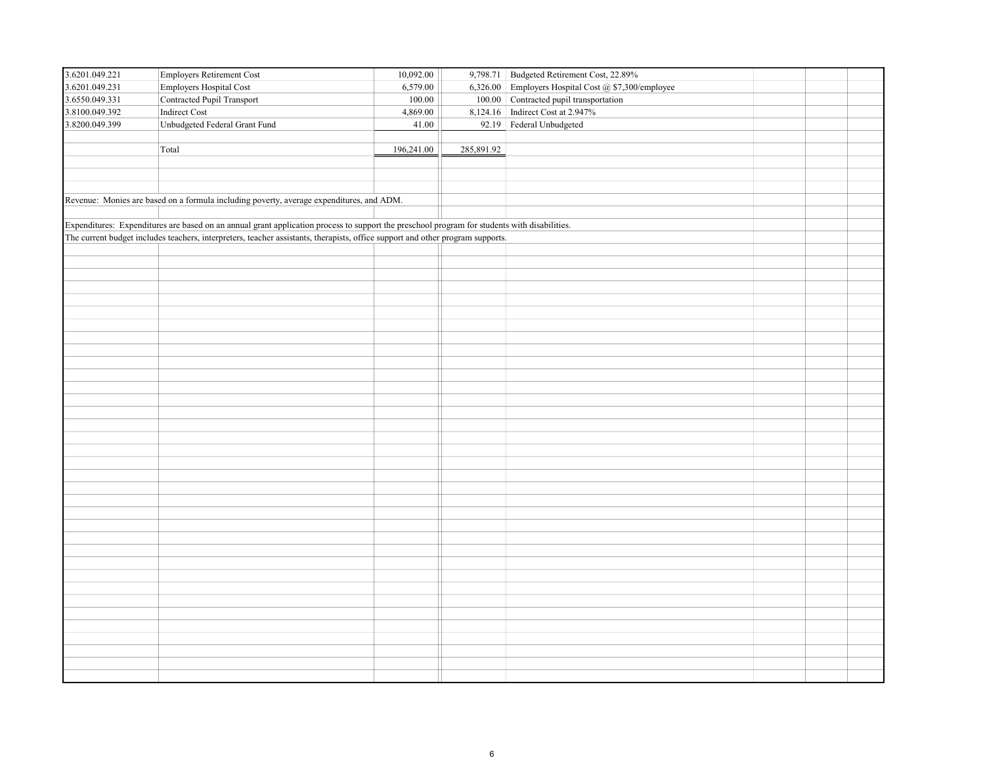| 3.6201.049.221 | Employers Retirement Cost                                                                                                                    | 10,092.00  |            | 9,798.71 Budgeted Retirement Cost, 22.89%           |  |
|----------------|----------------------------------------------------------------------------------------------------------------------------------------------|------------|------------|-----------------------------------------------------|--|
| 3.6201.049.231 | Employers Hospital Cost                                                                                                                      | 6,579.00   |            | 6,326.00 Employers Hospital Cost @ \$7,300/employee |  |
| 3.6550.049.331 | Contracted Pupil Transport                                                                                                                   | 100.00     |            | 100.00 Contracted pupil transportation              |  |
| 3.8100.049.392 | Indirect Cost                                                                                                                                | 4,869.00   |            | 8,124.16 Indirect Cost at 2.947%                    |  |
| 3.8200.049.399 | Unbudgeted Federal Grant Fund                                                                                                                | 41.00      | 92.19      | Federal Unbudgeted                                  |  |
|                |                                                                                                                                              |            |            |                                                     |  |
|                | Total                                                                                                                                        | 196,241.00 | 285,891.92 |                                                     |  |
|                |                                                                                                                                              |            |            |                                                     |  |
|                |                                                                                                                                              |            |            |                                                     |  |
|                |                                                                                                                                              |            |            |                                                     |  |
|                | Revenue: Monies are based on a formula including poverty, average expenditures, and ADM.                                                     |            |            |                                                     |  |
|                |                                                                                                                                              |            |            |                                                     |  |
|                | Expenditures: Expenditures are based on an annual grant application process to support the preschool program for students with disabilities. |            |            |                                                     |  |
|                | The current budget includes teachers, interpreters, teacher assistants, therapists, office support and other program supports.               |            |            |                                                     |  |
|                |                                                                                                                                              |            |            |                                                     |  |
|                |                                                                                                                                              |            |            |                                                     |  |
|                |                                                                                                                                              |            |            |                                                     |  |
|                |                                                                                                                                              |            |            |                                                     |  |
|                |                                                                                                                                              |            |            |                                                     |  |
|                |                                                                                                                                              |            |            |                                                     |  |
|                |                                                                                                                                              |            |            |                                                     |  |
|                |                                                                                                                                              |            |            |                                                     |  |
|                |                                                                                                                                              |            |            |                                                     |  |
|                |                                                                                                                                              |            |            |                                                     |  |
|                |                                                                                                                                              |            |            |                                                     |  |
|                |                                                                                                                                              |            |            |                                                     |  |
|                |                                                                                                                                              |            |            |                                                     |  |
|                |                                                                                                                                              |            |            |                                                     |  |
|                |                                                                                                                                              |            |            |                                                     |  |
|                |                                                                                                                                              |            |            |                                                     |  |
|                |                                                                                                                                              |            |            |                                                     |  |
|                |                                                                                                                                              |            |            |                                                     |  |
|                |                                                                                                                                              |            |            |                                                     |  |
|                |                                                                                                                                              |            |            |                                                     |  |
|                |                                                                                                                                              |            |            |                                                     |  |
|                |                                                                                                                                              |            |            |                                                     |  |
|                |                                                                                                                                              |            |            |                                                     |  |
|                |                                                                                                                                              |            |            |                                                     |  |
|                |                                                                                                                                              |            |            |                                                     |  |
|                |                                                                                                                                              |            |            |                                                     |  |
|                |                                                                                                                                              |            |            |                                                     |  |
|                |                                                                                                                                              |            |            |                                                     |  |
|                |                                                                                                                                              |            |            |                                                     |  |
|                |                                                                                                                                              |            |            |                                                     |  |
|                |                                                                                                                                              |            |            |                                                     |  |
|                |                                                                                                                                              |            |            |                                                     |  |
|                |                                                                                                                                              |            |            |                                                     |  |
|                |                                                                                                                                              |            |            |                                                     |  |
|                |                                                                                                                                              |            |            |                                                     |  |
|                |                                                                                                                                              |            |            |                                                     |  |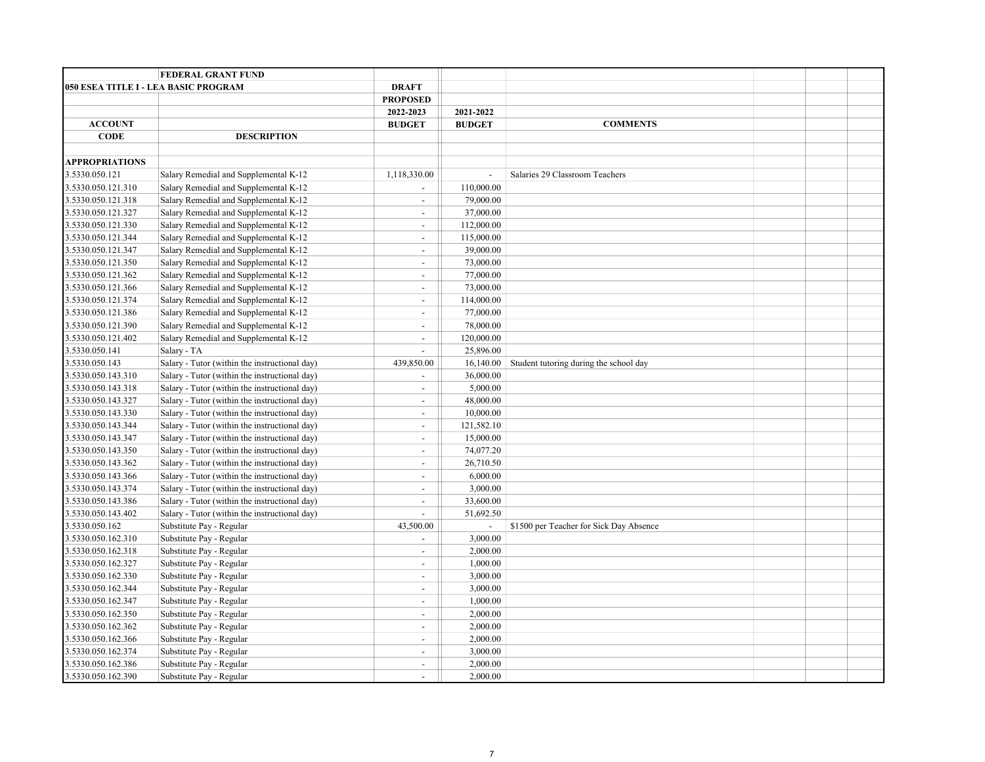|                                      | <b>FEDERAL GRANT FUND</b>                     |                          |                |                                         |  |  |
|--------------------------------------|-----------------------------------------------|--------------------------|----------------|-----------------------------------------|--|--|
| 050 ESEA TITLE I - LEA BASIC PROGRAM |                                               | <b>DRAFT</b>             |                |                                         |  |  |
|                                      |                                               | <b>PROPOSED</b>          |                |                                         |  |  |
|                                      |                                               | 2022-2023                | 2021-2022      |                                         |  |  |
| <b>ACCOUNT</b>                       |                                               | <b>BUDGET</b>            | <b>BUDGET</b>  | <b>COMMENTS</b>                         |  |  |
| <b>CODE</b>                          | <b>DESCRIPTION</b>                            |                          |                |                                         |  |  |
|                                      |                                               |                          |                |                                         |  |  |
| <b>APPROPRIATIONS</b>                |                                               |                          |                |                                         |  |  |
| 3.5330.050.121                       | Salary Remedial and Supplemental K-12         | 1,118,330.00             | $\mathbb{Z}^2$ | Salaries 29 Classroom Teachers          |  |  |
| 3.5330.050.121.310                   | Salary Remedial and Supplemental K-12         | $\blacksquare$           | 110,000.00     |                                         |  |  |
| 3.5330.050.121.318                   | Salary Remedial and Supplemental K-12         | $\overline{\phantom{a}}$ | 79,000.00      |                                         |  |  |
| 3.5330.050.121.327                   | Salary Remedial and Supplemental K-12         | $\overline{\phantom{a}}$ | 37,000.00      |                                         |  |  |
| 3.5330.050.121.330                   | Salary Remedial and Supplemental K-12         | $\overline{a}$           | 112,000.00     |                                         |  |  |
| 3.5330.050.121.344                   | Salary Remedial and Supplemental K-12         | $\overline{\phantom{a}}$ | 115,000.00     |                                         |  |  |
| 3.5330.050.121.347                   | Salary Remedial and Supplemental K-12         | $\overline{a}$           | 39,000.00      |                                         |  |  |
| 3.5330.050.121.350                   | Salary Remedial and Supplemental K-12         | $\blacksquare$           | 73,000.00      |                                         |  |  |
| 3.5330.050.121.362                   | Salary Remedial and Supplemental K-12         | $\blacksquare$           | 77,000.00      |                                         |  |  |
| 3.5330.050.121.366                   | Salary Remedial and Supplemental K-12         | $\blacksquare$           | 73,000.00      |                                         |  |  |
| 3.5330.050.121.374                   | Salary Remedial and Supplemental K-12         | $\blacksquare$           | 114,000.00     |                                         |  |  |
| 3.5330.050.121.386                   | Salary Remedial and Supplemental K-12         | $\blacksquare$           | 77,000.00      |                                         |  |  |
| 3.5330.050.121.390                   | Salary Remedial and Supplemental K-12         | $\blacksquare$           | 78,000.00      |                                         |  |  |
| 3.5330.050.121.402                   | Salary Remedial and Supplemental K-12         | $\blacksquare$           | 120,000.00     |                                         |  |  |
| 3.5330.050.141                       | Salary - TA                                   | $\overline{\phantom{a}}$ | 25,896.00      |                                         |  |  |
| 3.5330.050.143                       | Salary - Tutor (within the instructional day) | 439,850.00               | 16,140.00      | Student tutoring during the school day  |  |  |
| 3.5330.050.143.310                   | Salary - Tutor (within the instructional day) | $\blacksquare$           | 36,000.00      |                                         |  |  |
| 3.5330.050.143.318                   | Salary - Tutor (within the instructional day) | $\blacksquare$           | 5,000.00       |                                         |  |  |
| 3.5330.050.143.327                   | Salary - Tutor (within the instructional day) | $\blacksquare$           | 48,000.00      |                                         |  |  |
| 3.5330.050.143.330                   | Salary - Tutor (within the instructional day) | $\blacksquare$           | 10,000.00      |                                         |  |  |
| 3.5330.050.143.344                   | Salary - Tutor (within the instructional day) | $\blacksquare$           | 121,582.10     |                                         |  |  |
| 3.5330.050.143.347                   | Salary - Tutor (within the instructional day) | $\blacksquare$           | 15,000.00      |                                         |  |  |
| 3.5330.050.143.350                   | Salary - Tutor (within the instructional day) | $\overline{\phantom{a}}$ | 74,077.20      |                                         |  |  |
| 3.5330.050.143.362                   | Salary - Tutor (within the instructional day) | $\overline{a}$           | 26,710.50      |                                         |  |  |
| 3.5330.050.143.366                   | Salary - Tutor (within the instructional day) | $\overline{\phantom{a}}$ | 6,000.00       |                                         |  |  |
| 3.5330.050.143.374                   | Salary - Tutor (within the instructional day) | $\overline{\phantom{a}}$ | 3,000.00       |                                         |  |  |
| 3.5330.050.143.386                   | Salary - Tutor (within the instructional day) | $\overline{\phantom{a}}$ | 33,600.00      |                                         |  |  |
| 3.5330.050.143.402                   | Salary - Tutor (within the instructional day) | $\overline{a}$           | 51,692.50      |                                         |  |  |
| 3.5330.050.162                       | Substitute Pay - Regular                      | 43,500.00                |                | \$1500 per Teacher for Sick Day Absence |  |  |
| 3.5330.050.162.310                   | Substitute Pay - Regular                      | $\overline{\phantom{a}}$ | 3,000.00       |                                         |  |  |
| 3.5330.050.162.318                   | Substitute Pay - Regular                      | $\blacksquare$           | 2,000.00       |                                         |  |  |
| 3.5330.050.162.327                   | Substitute Pay - Regular                      | $\overline{\phantom{a}}$ | 1,000.00       |                                         |  |  |
| 3.5330.050.162.330                   | Substitute Pay - Regular                      | $\blacksquare$           | 3,000.00       |                                         |  |  |
| 3.5330.050.162.344                   | Substitute Pay - Regular                      | $\blacksquare$           | 3,000.00       |                                         |  |  |
| 3.5330.050.162.347                   | Substitute Pay - Regular                      | $\blacksquare$           | 1,000.00       |                                         |  |  |
| 3.5330.050.162.350                   | Substitute Pay - Regular                      | $\overline{\phantom{a}}$ | 2,000.00       |                                         |  |  |
| 3.5330.050.162.362                   | Substitute Pay - Regular                      | $\overline{\phantom{a}}$ | 2,000.00       |                                         |  |  |
| 3.5330.050.162.366                   | Substitute Pay - Regular                      | $\blacksquare$           | 2,000.00       |                                         |  |  |
| 3.5330.050.162.374                   | Substitute Pay - Regular                      | $\blacksquare$           | 3,000.00       |                                         |  |  |
| 3.5330.050.162.386                   | Substitute Pay - Regular                      | $\sim$                   | 2,000.00       |                                         |  |  |
| 3.5330.050.162.390                   | Substitute Pay - Regular                      | $\blacksquare$           | 2,000.00       |                                         |  |  |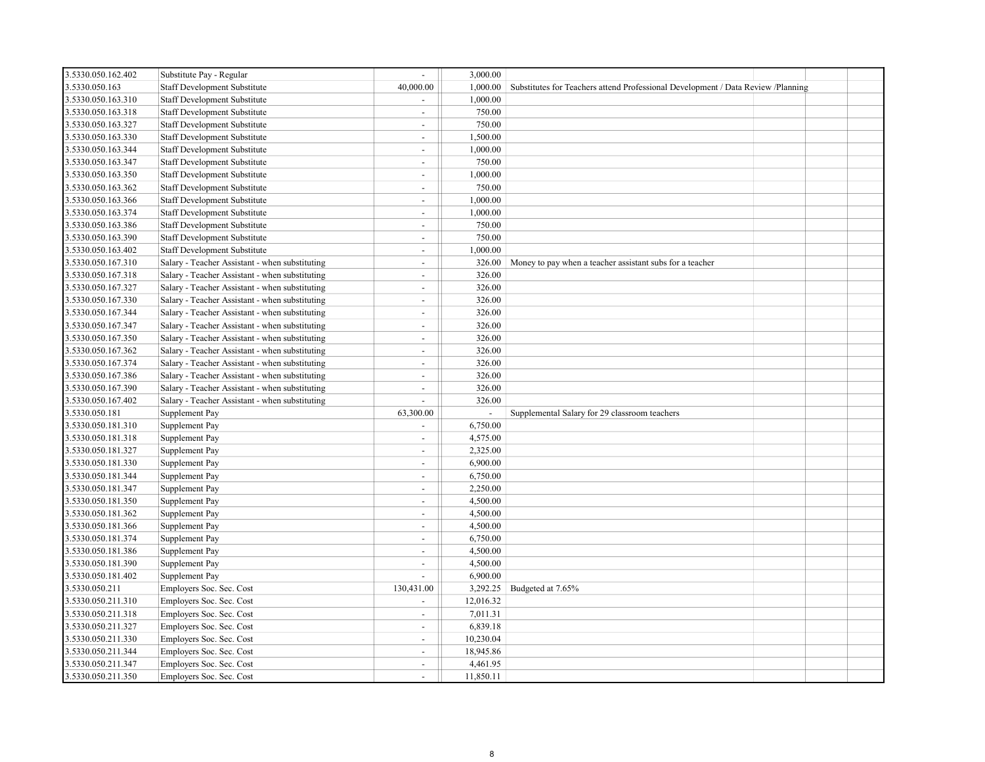| 3.5330.050.162.402 | Substitute Pay - Regular                       |                          | 3,000.00                 |                                                                                  |  |
|--------------------|------------------------------------------------|--------------------------|--------------------------|----------------------------------------------------------------------------------|--|
| 3.5330.050.163     | Staff Development Substitute                   | 40,000.00                | 1,000.00                 | Substitutes for Teachers attend Professional Development / Data Review /Planning |  |
| 3.5330.050.163.310 | Staff Development Substitute                   | $\blacksquare$           | 1,000.00                 |                                                                                  |  |
| 3.5330.050.163.318 | Staff Development Substitute                   | $\sim$                   | 750.00                   |                                                                                  |  |
| 3.5330.050.163.327 | <b>Staff Development Substitute</b>            | $\mathbf{r}$             | 750.00                   |                                                                                  |  |
| 3.5330.050.163.330 | Staff Development Substitute                   | $\sim$                   | 1,500.00                 |                                                                                  |  |
| 3.5330.050.163.344 | <b>Staff Development Substitute</b>            | $\mathbf{r}$             | 1,000.00                 |                                                                                  |  |
| 3.5330.050.163.347 | Staff Development Substitute                   | ÷.                       | 750.00                   |                                                                                  |  |
| 3.5330.050.163.350 | <b>Staff Development Substitute</b>            | $\mathbf{r}$             | 1,000.00                 |                                                                                  |  |
| 3.5330.050.163.362 | Staff Development Substitute                   | ÷.                       | 750.00                   |                                                                                  |  |
| 3.5330.050.163.366 | <b>Staff Development Substitute</b>            | $\sim$                   | 1,000.00                 |                                                                                  |  |
| 3.5330.050.163.374 | Staff Development Substitute                   | $\overline{a}$           | 1,000.00                 |                                                                                  |  |
| 3.5330.050.163.386 | <b>Staff Development Substitute</b>            | $\overline{\phantom{a}}$ | 750.00                   |                                                                                  |  |
| 3.5330.050.163.390 | <b>Staff Development Substitute</b>            | $\overline{a}$           | 750.00                   |                                                                                  |  |
| 3.5330.050.163.402 | <b>Staff Development Substitute</b>            | $\mathbf{r}$             | 1,000.00                 |                                                                                  |  |
| 3.5330.050.167.310 | Salary - Teacher Assistant - when substituting | $\blacksquare$           | 326.00                   | Money to pay when a teacher assistant subs for a teacher                         |  |
| 3.5330.050.167.318 | Salary - Teacher Assistant - when substituting | $\mathbf{r}$             | 326.00                   |                                                                                  |  |
| 3.5330.050.167.327 | Salary - Teacher Assistant - when substituting | $\blacksquare$           | 326.00                   |                                                                                  |  |
| 3.5330.050.167.330 | Salary - Teacher Assistant - when substituting | $\blacksquare$           | 326.00                   |                                                                                  |  |
| 3.5330.050.167.344 | Salary - Teacher Assistant - when substituting | $\overline{a}$           | 326.00                   |                                                                                  |  |
| 3.5330.050.167.347 | Salary - Teacher Assistant - when substituting | $\blacksquare$           | 326.00                   |                                                                                  |  |
| 3.5330.050.167.350 | Salary - Teacher Assistant - when substituting | $\overline{\phantom{0}}$ | 326.00                   |                                                                                  |  |
| 3.5330.050.167.362 | Salary - Teacher Assistant - when substituting | $\mathbf{r}$             | 326.00                   |                                                                                  |  |
| 3.5330.050.167.374 | Salary - Teacher Assistant - when substituting | $\sim$                   | 326.00                   |                                                                                  |  |
| 3.5330.050.167.386 | Salary - Teacher Assistant - when substituting | $\mathbf{r}$             | 326.00                   |                                                                                  |  |
| 3.5330.050.167.390 | Salary - Teacher Assistant - when substituting | $\sim$                   | 326.00                   |                                                                                  |  |
| 3.5330.050.167.402 | Salary - Teacher Assistant - when substituting | $\overline{\phantom{a}}$ | 326.00                   |                                                                                  |  |
| 3.5330.050.181     | Supplement Pay                                 | 63,300.00                | $\overline{\phantom{a}}$ | Supplemental Salary for 29 classroom teachers                                    |  |
| 3.5330.050.181.310 | Supplement Pay                                 | $\blacksquare$           | 6,750.00                 |                                                                                  |  |
| 3.5330.050.181.318 | Supplement Pay                                 | $\blacksquare$           | 4,575.00                 |                                                                                  |  |
| 3.5330.050.181.327 | Supplement Pay                                 | $\mathbf{r}$             | 2,325.00                 |                                                                                  |  |
| 3.5330.050.181.330 | Supplement Pay                                 | $\blacksquare$           | 6,900.00                 |                                                                                  |  |
| 3.5330.050.181.344 | Supplement Pay                                 | $\mathbf{r}$             | 6,750.00                 |                                                                                  |  |
| 3.5330.050.181.347 | Supplement Pay                                 | $\mathbf{r}$             | 2,250.00                 |                                                                                  |  |
| 3.5330.050.181.350 | Supplement Pay                                 | $\mathbf{r}$             | 4,500.00                 |                                                                                  |  |
| 3.5330.050.181.362 | Supplement Pay                                 | $\mathbf{r}$             | 4,500.00                 |                                                                                  |  |
| 3.5330.050.181.366 | Supplement Pay                                 | $\overline{a}$           | 4,500.00                 |                                                                                  |  |
| 3.5330.050.181.374 | Supplement Pay                                 | $\mathbf{r}$             | 6,750.00                 |                                                                                  |  |
| 3.5330.050.181.386 | Supplement Pay                                 | $\overline{a}$           | 4,500.00                 |                                                                                  |  |
| 3.5330.050.181.390 | Supplement Pay                                 | $\blacksquare$           | 4,500.00                 |                                                                                  |  |
| 3.5330.050.181.402 | Supplement Pay                                 | $\overline{a}$           | 6,900.00                 |                                                                                  |  |
| 3.5330.050.211     | Employers Soc. Sec. Cost                       | 130,431.00               | 3,292.25                 | Budgeted at 7.65%                                                                |  |
| 3.5330.050.211.310 | Employers Soc. Sec. Cost                       |                          | 12,016.32                |                                                                                  |  |
| 3.5330.050.211.318 | Employers Soc. Sec. Cost                       | $\blacksquare$           | 7,011.31                 |                                                                                  |  |
| 3.5330.050.211.327 | Employers Soc. Sec. Cost                       | $\mathbf{r}$             | 6,839.18                 |                                                                                  |  |
| 3.5330.050.211.330 | Employers Soc. Sec. Cost                       | $\omega$                 | 10,230.04                |                                                                                  |  |
| 3.5330.050.211.344 | Employers Soc. Sec. Cost                       | $\overline{a}$           | 18,945.86                |                                                                                  |  |
| 3.5330.050.211.347 | Employers Soc. Sec. Cost                       | $\sim$                   | 4,461.95                 |                                                                                  |  |
| 3.5330.050.211.350 | Employers Soc. Sec. Cost                       | $\overline{a}$           | 11,850.11                |                                                                                  |  |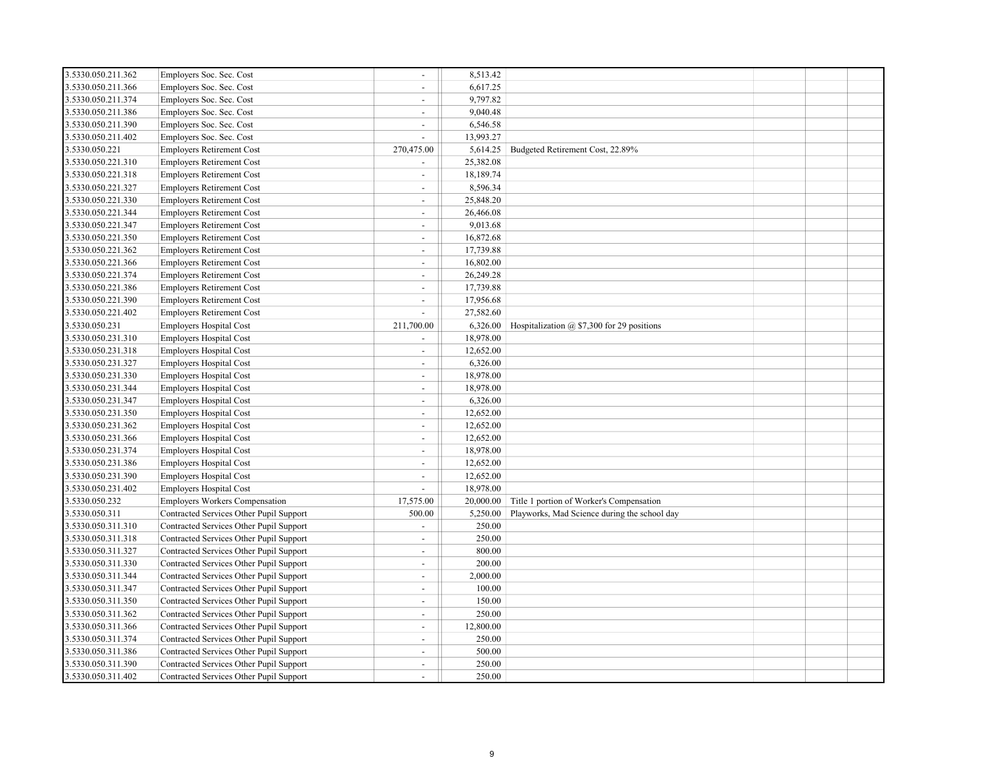| 3.5330.050.211.362 | Employers Soc. Sec. Cost                | $\overline{\phantom{a}}$ | 8,513.42  |                                                |  |  |
|--------------------|-----------------------------------------|--------------------------|-----------|------------------------------------------------|--|--|
| 3.5330.050.211.366 | Employers Soc. Sec. Cost                | $\sim$                   | 6,617.25  |                                                |  |  |
| 3.5330.050.211.374 | Employers Soc. Sec. Cost                | $\sim$                   | 9,797.82  |                                                |  |  |
| 3.5330.050.211.386 | Employers Soc. Sec. Cost                | $\sim$                   | 9,040.48  |                                                |  |  |
| 3.5330.050.211.390 | Employers Soc. Sec. Cost                | $\sim$                   | 6,546.58  |                                                |  |  |
| 3.5330.050.211.402 | Employers Soc. Sec. Cost                | $\sim$                   | 13,993.27 |                                                |  |  |
| 3.5330.050.221     | <b>Employers Retirement Cost</b>        | 270,475.00               | 5,614.25  | Budgeted Retirement Cost, 22.89%               |  |  |
| 3.5330.050.221.310 | <b>Employers Retirement Cost</b>        |                          | 25,382.08 |                                                |  |  |
| 3.5330.050.221.318 | <b>Employers Retirement Cost</b>        | $\sim$                   | 18,189.74 |                                                |  |  |
| 3.5330.050.221.327 | <b>Employers Retirement Cost</b>        | $\sim$                   | 8,596.34  |                                                |  |  |
| 3.5330.050.221.330 | <b>Employers Retirement Cost</b>        | $\sim$                   | 25,848.20 |                                                |  |  |
| 3.5330.050.221.344 | <b>Employers Retirement Cost</b>        | $\sim$                   | 26,466.08 |                                                |  |  |
| 3.5330.050.221.347 | <b>Employers Retirement Cost</b>        | $\sim$                   | 9,013.68  |                                                |  |  |
| 3.5330.050.221.350 | <b>Employers Retirement Cost</b>        | $\sim$                   | 16,872.68 |                                                |  |  |
| 3.5330.050.221.362 | <b>Employers Retirement Cost</b>        | $\sim$                   | 17,739.88 |                                                |  |  |
| 3.5330.050.221.366 | <b>Employers Retirement Cost</b>        | $\sim$                   | 16,802.00 |                                                |  |  |
| 3.5330.050.221.374 | <b>Employers Retirement Cost</b>        | $\sim$                   | 26,249.28 |                                                |  |  |
| 3.5330.050.221.386 | <b>Employers Retirement Cost</b>        | $\sim$                   | 17,739.88 |                                                |  |  |
| 3.5330.050.221.390 | <b>Employers Retirement Cost</b>        | $\sim$                   | 17,956.68 |                                                |  |  |
| 3.5330.050.221.402 | <b>Employers Retirement Cost</b>        |                          | 27,582.60 |                                                |  |  |
| 3.5330.050.231     | <b>Employers Hospital Cost</b>          | 211,700.00               | 6,326.00  | Hospitalization $(a)$ \$7,300 for 29 positions |  |  |
| 3.5330.050.231.310 | <b>Employers Hospital Cost</b>          |                          | 18,978.00 |                                                |  |  |
| 3.5330.050.231.318 | <b>Employers Hospital Cost</b>          | $\sim$                   | 12,652.00 |                                                |  |  |
| 3.5330.050.231.327 | <b>Employers Hospital Cost</b>          | $\sim$                   | 6,326.00  |                                                |  |  |
| 3.5330.050.231.330 | <b>Employers Hospital Cost</b>          | $\sim$                   | 18,978.00 |                                                |  |  |
| 3.5330.050.231.344 | <b>Employers Hospital Cost</b>          | $\sim$                   | 18,978.00 |                                                |  |  |
| 3.5330.050.231.347 | <b>Employers Hospital Cost</b>          | $\sim$                   | 6,326.00  |                                                |  |  |
| 3.5330.050.231.350 | Employers Hospital Cost                 | $\overline{\phantom{a}}$ | 12,652.00 |                                                |  |  |
| 3.5330.050.231.362 | <b>Employers Hospital Cost</b>          | $\sim$                   | 12,652.00 |                                                |  |  |
| 3.5330.050.231.366 | <b>Employers Hospital Cost</b>          | $\sim$                   | 12,652.00 |                                                |  |  |
| 3.5330.050.231.374 | Employers Hospital Cost                 | $\sim$                   | 18,978.00 |                                                |  |  |
| 3.5330.050.231.386 | <b>Employers Hospital Cost</b>          | $\sim$                   | 12,652.00 |                                                |  |  |
| 3.5330.050.231.390 | Employers Hospital Cost                 | $\sim$                   | 12,652.00 |                                                |  |  |
| 3.5330.050.231.402 | <b>Employers Hospital Cost</b>          | $\sim$                   | 18,978.00 |                                                |  |  |
| 3.5330.050.232     | <b>Employers Workers Compensation</b>   | 17,575.00                | 20,000.00 | Title 1 portion of Worker's Compensation       |  |  |
| 3.5330.050.311     | Contracted Services Other Pupil Support | 500.00                   | 5,250.00  | Playworks, Mad Science during the school day   |  |  |
| 3.5330.050.311.310 | Contracted Services Other Pupil Support | $\sim$                   | 250.00    |                                                |  |  |
| 3.5330.050.311.318 | Contracted Services Other Pupil Support | $\sim$                   | 250.00    |                                                |  |  |
| 3.5330.050.311.327 | Contracted Services Other Pupil Support | $\sim$                   | 800.00    |                                                |  |  |
| 3.5330.050.311.330 | Contracted Services Other Pupil Support | $\sim$                   | 200.00    |                                                |  |  |
| 3.5330.050.311.344 | Contracted Services Other Pupil Support | $\sim$                   | 2,000.00  |                                                |  |  |
| 3.5330.050.311.347 | Contracted Services Other Pupil Support | $\overline{\phantom{a}}$ | 100.00    |                                                |  |  |
| 3.5330.050.311.350 | Contracted Services Other Pupil Support | $\sim$                   | 150.00    |                                                |  |  |
| 3.5330.050.311.362 | Contracted Services Other Pupil Support | $\blacksquare$           | 250.00    |                                                |  |  |
| 3.5330.050.311.366 | Contracted Services Other Pupil Support | $\sim$                   | 12,800.00 |                                                |  |  |
| 3.5330.050.311.374 | Contracted Services Other Pupil Support | $\sim$                   | 250.00    |                                                |  |  |
| 3.5330.050.311.386 | Contracted Services Other Pupil Support | $\overline{a}$           | 500.00    |                                                |  |  |
| 3.5330.050.311.390 | Contracted Services Other Pupil Support | $\sim$                   | 250.00    |                                                |  |  |
| 3.5330.050.311.402 | Contracted Services Other Pupil Support |                          | 250.00    |                                                |  |  |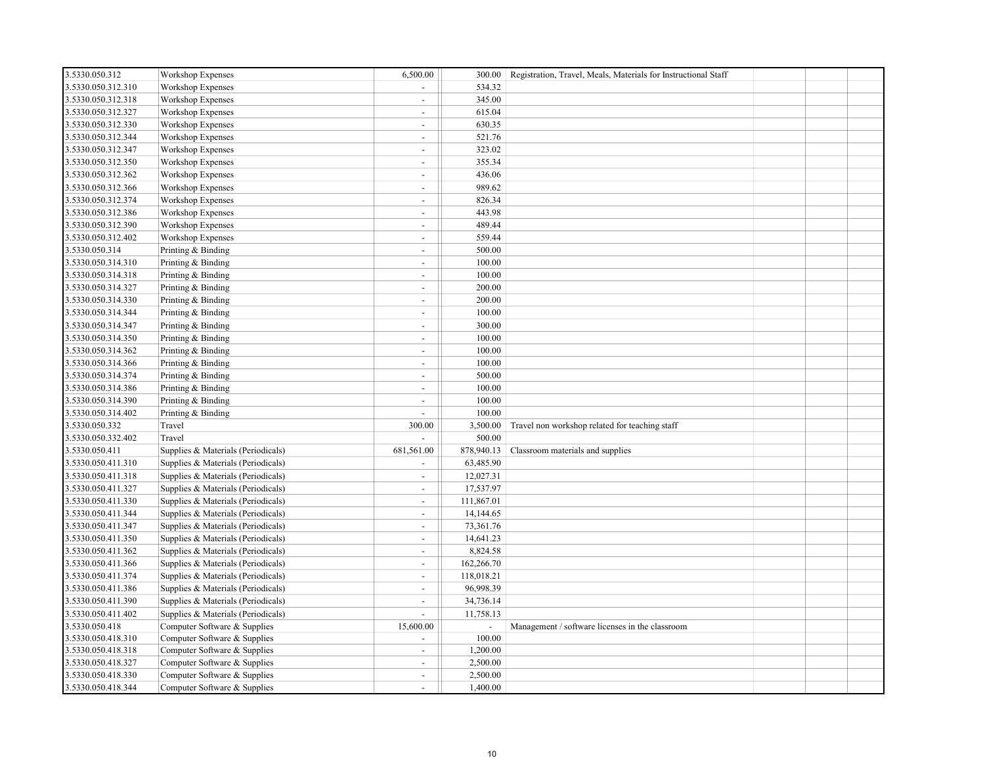| 3.5330.050.312     | Workshop Expenses                  | 6,500.00                 | 300.00     | Registration, Travel, Meals, Materials for Instructional Staff |  |  |
|--------------------|------------------------------------|--------------------------|------------|----------------------------------------------------------------|--|--|
| 3.5330.050.312.310 | Workshop Expenses                  | $\overline{a}$           | 534.32     |                                                                |  |  |
| 3.5330.050.312.318 | Workshop Expenses                  | $\overline{\phantom{a}}$ | 345.00     |                                                                |  |  |
| 3.5330.050.312.327 | Workshop Expenses                  | $\overline{\phantom{a}}$ | 615.04     |                                                                |  |  |
| 3.5330.050.312.330 | Workshop Expenses                  | $\overline{\phantom{a}}$ | 630.35     |                                                                |  |  |
| 3.5330.050.312.344 | Workshop Expenses                  | $\overline{\phantom{a}}$ | 521.76     |                                                                |  |  |
| 3.5330.050.312.347 | Workshop Expenses                  | $\blacksquare$           | 323.02     |                                                                |  |  |
| 3.5330.050.312.350 | Workshop Expenses                  | $\blacksquare$           | 355.34     |                                                                |  |  |
| 3.5330.050.312.362 | Workshop Expenses                  | $\blacksquare$           | 436.06     |                                                                |  |  |
| 3.5330.050.312.366 | Workshop Expenses                  | $\overline{\phantom{a}}$ | 989.62     |                                                                |  |  |
| 3.5330.050.312.374 | Workshop Expenses                  | $\overline{\phantom{a}}$ | 826.34     |                                                                |  |  |
| 3.5330.050.312.386 | Workshop Expenses                  | $\overline{\phantom{a}}$ | 443.98     |                                                                |  |  |
| 3.5330.050.312.390 | Workshop Expenses                  | $\overline{\phantom{a}}$ | 489.44     |                                                                |  |  |
| 3.5330.050.312.402 | Workshop Expenses                  | $\overline{\phantom{a}}$ | 559.44     |                                                                |  |  |
| 3.5330.050.314     | Printing & Binding                 | $\blacksquare$           | 500.00     |                                                                |  |  |
| 3.5330.050.314.310 | Printing & Binding                 | $\blacksquare$           | 100.00     |                                                                |  |  |
| 3.5330.050.314.318 | Printing & Binding                 | $\blacksquare$           | 100.00     |                                                                |  |  |
| 3.5330.050.314.327 | Printing & Binding                 | $\overline{\phantom{a}}$ | 200.00     |                                                                |  |  |
| 3.5330.050.314.330 | Printing & Binding                 | $\overline{\phantom{a}}$ | 200.00     |                                                                |  |  |
| 3.5330.050.314.344 | Printing & Binding                 | $\overline{\phantom{a}}$ | 100.00     |                                                                |  |  |
| 3.5330.050.314.347 | Printing & Binding                 | $\overline{\phantom{a}}$ | 300.00     |                                                                |  |  |
| 3.5330.050.314.350 | Printing & Binding                 | $\overline{\phantom{a}}$ | 100.00     |                                                                |  |  |
| 3.5330.050.314.362 | Printing & Binding                 | $\blacksquare$           | 100.00     |                                                                |  |  |
| 3.5330.050.314.366 | Printing & Binding                 | $\blacksquare$           | 100.00     |                                                                |  |  |
| 3.5330.050.314.374 | Printing & Binding                 | $\overline{\phantom{a}}$ | 500.00     |                                                                |  |  |
| 3.5330.050.314.386 | Printing & Binding                 | $\overline{\phantom{a}}$ | 100.00     |                                                                |  |  |
| 3.5330.050.314.390 | Printing & Binding                 | $\overline{\phantom{a}}$ | 100.00     |                                                                |  |  |
| 3.5330.050.314.402 | Printing & Binding                 | $\overline{\phantom{a}}$ | 100.00     |                                                                |  |  |
| 3.5330.050.332     | Travel                             | 300.00                   | 3,500.00   | Travel non workshop related for teaching staff                 |  |  |
| 3.5330.050.332.402 | Travel                             |                          | 500.00     |                                                                |  |  |
| 3.5330.050.411     | Supplies & Materials (Periodicals) | 681,561.00               | 878,940.13 | Classroom materials and supplies                               |  |  |
| 3.5330.050.411.310 | Supplies & Materials (Periodicals) | $\overline{a}$           | 63,485.90  |                                                                |  |  |
| 3.5330.050.411.318 | Supplies & Materials (Periodicals) | $\blacksquare$           | 12,027.31  |                                                                |  |  |
| 3.5330.050.411.327 | Supplies & Materials (Periodicals) | $\overline{\phantom{a}}$ | 17,537.97  |                                                                |  |  |
| 3.5330.050.411.330 | Supplies & Materials (Periodicals) | $\overline{\phantom{a}}$ | 111,867.01 |                                                                |  |  |
| 3.5330.050.411.344 | Supplies & Materials (Periodicals) | $\blacksquare$           | 14,144.65  |                                                                |  |  |
| 3.5330.050.411.347 | Supplies & Materials (Periodicals) | $\overline{\phantom{a}}$ | 73,361.76  |                                                                |  |  |
| 3.5330.050.411.350 | Supplies & Materials (Periodicals) | $\overline{\phantom{a}}$ | 14,641.23  |                                                                |  |  |
| 3.5330.050.411.362 | Supplies & Materials (Periodicals) | $\overline{\phantom{a}}$ | 8,824.58   |                                                                |  |  |
| 3.5330.050.411.366 | Supplies & Materials (Periodicals) | $\blacksquare$           | 162,266.70 |                                                                |  |  |
| 3.5330.050.411.374 | Supplies & Materials (Periodicals) | $\blacksquare$           | 118,018.21 |                                                                |  |  |
| 3.5330.050.411.386 | Supplies & Materials (Periodicals) | $\overline{\phantom{a}}$ | 96,998.39  |                                                                |  |  |
| 3.5330.050.411.390 | Supplies & Materials (Periodicals) | $\overline{\phantom{a}}$ | 34,736.14  |                                                                |  |  |
| 3.5330.050.411.402 | Supplies & Materials (Periodicals) | $\overline{\phantom{a}}$ | 11,758.13  |                                                                |  |  |
| 3.5330.050.418     | Computer Software & Supplies       | 15,600.00                |            | Management / software licenses in the classroom                |  |  |
| 3.5330.050.418.310 | Computer Software & Supplies       | ÷.                       | 100.00     |                                                                |  |  |
| 3.5330.050.418.318 | Computer Software & Supplies       | $\sim$                   | 1,200.00   |                                                                |  |  |
| 3.5330.050.418.327 | Computer Software & Supplies       | $\sim$                   | 2,500.00   |                                                                |  |  |
| 3.5330.050.418.330 | Computer Software & Supplies       | $\omega$                 | 2,500.00   |                                                                |  |  |
| 3.5330.050.418.344 | Computer Software & Supplies       | $\sim$                   | 1,400.00   |                                                                |  |  |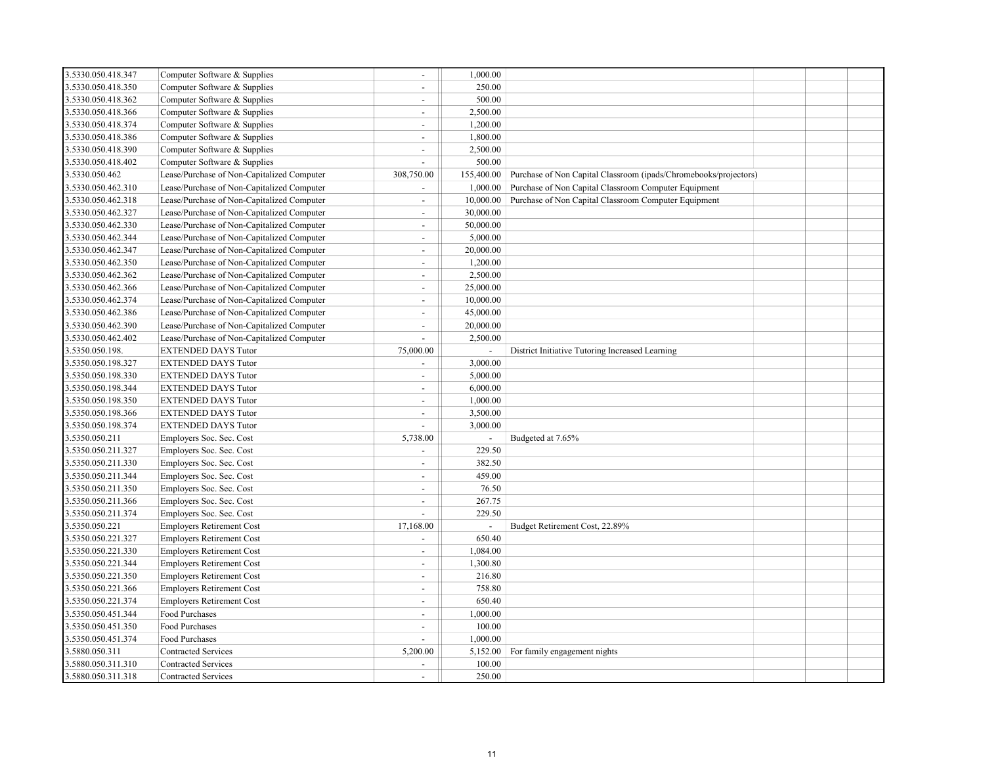| 3.5330.050.418.347 | Computer Software & Supplies               | $\blacksquare$           | 1,000.00       |                                                                  |  |  |
|--------------------|--------------------------------------------|--------------------------|----------------|------------------------------------------------------------------|--|--|
| 3.5330.050.418.350 | Computer Software & Supplies               | $\overline{\phantom{a}}$ | 250.00         |                                                                  |  |  |
| 3.5330.050.418.362 | Computer Software & Supplies               | $\sim$                   | 500.00         |                                                                  |  |  |
| 3.5330.050.418.366 | Computer Software & Supplies               | $\omega$                 | 2,500.00       |                                                                  |  |  |
| 3.5330.050.418.374 | Computer Software & Supplies               | $\mathbf{r}$             | 1,200.00       |                                                                  |  |  |
| 3.5330.050.418.386 | Computer Software & Supplies               | $\mathbf{r}$             | 1,800.00       |                                                                  |  |  |
| 3.5330.050.418.390 | Computer Software & Supplies               | $\mathbf{r}$             | 2,500.00       |                                                                  |  |  |
| 3.5330.050.418.402 | Computer Software & Supplies               | $\overline{a}$           | 500.00         |                                                                  |  |  |
| 3.5330.050.462     | Lease/Purchase of Non-Capitalized Computer | 308,750.00               | 155,400.00     | Purchase of Non Capital Classroom (ipads/Chromebooks/projectors) |  |  |
| 3.5330.050.462.310 | Lease/Purchase of Non-Capitalized Computer | $\blacksquare$           | 1,000.00       | Purchase of Non Capital Classroom Computer Equipment             |  |  |
| 3.5330.050.462.318 | Lease/Purchase of Non-Capitalized Computer | $\overline{\phantom{a}}$ | 10,000.00      | Purchase of Non Capital Classroom Computer Equipment             |  |  |
| 3.5330.050.462.327 | Lease/Purchase of Non-Capitalized Computer | $\overline{a}$           | 30,000.00      |                                                                  |  |  |
| 3.5330.050.462.330 | Lease/Purchase of Non-Capitalized Computer | $\overline{\phantom{a}}$ | 50,000.00      |                                                                  |  |  |
| 3.5330.050.462.344 | Lease/Purchase of Non-Capitalized Computer | $\overline{a}$           | 5,000.00       |                                                                  |  |  |
| 3.5330.050.462.347 | Lease/Purchase of Non-Capitalized Computer | $\blacksquare$           | 20,000.00      |                                                                  |  |  |
| 3.5330.050.462.350 | Lease/Purchase of Non-Capitalized Computer | $\blacksquare$           | 1,200.00       |                                                                  |  |  |
| 3.5330.050.462.362 | Lease/Purchase of Non-Capitalized Computer | $\sim$                   | 2,500.00       |                                                                  |  |  |
| 3.5330.050.462.366 | Lease/Purchase of Non-Capitalized Computer | $\blacksquare$           | 25,000.00      |                                                                  |  |  |
| 3.5330.050.462.374 | Lease/Purchase of Non-Capitalized Computer | $\blacksquare$           | 10,000.00      |                                                                  |  |  |
| 3.5330.050.462.386 | Lease/Purchase of Non-Capitalized Computer | ÷,                       | 45,000.00      |                                                                  |  |  |
| 3.5330.050.462.390 | Lease/Purchase of Non-Capitalized Computer | $\blacksquare$           | 20,000.00      |                                                                  |  |  |
| 3.5330.050.462.402 | Lease/Purchase of Non-Capitalized Computer | ÷.                       | 2,500.00       |                                                                  |  |  |
| 3.5350.050.198.    | <b>EXTENDED DAYS Tutor</b>                 | 75,000.00                |                | District Initiative Tutoring Increased Learning                  |  |  |
| 3.5350.050.198.327 | <b>EXTENDED DAYS Tutor</b>                 | $\blacksquare$           | 3,000.00       |                                                                  |  |  |
| 3.5350.050.198.330 | <b>EXTENDED DAYS Tutor</b>                 | $\mathbf{r}$             | 5,000.00       |                                                                  |  |  |
| 3.5350.050.198.344 | <b>EXTENDED DAYS Tutor</b>                 | $\sim$                   | 6,000.00       |                                                                  |  |  |
| 3.5350.050.198.350 | <b>EXTENDED DAYS Tutor</b>                 | $\mathbf{r}$             | 1,000.00       |                                                                  |  |  |
| 3.5350.050.198.366 | <b>EXTENDED DAYS Tutor</b>                 | $\mathbf{r}$             | 3,500.00       |                                                                  |  |  |
| 3.5350.050.198.374 | <b>EXTENDED DAYS Tutor</b>                 | $\mathbf{r}$             | 3,000.00       |                                                                  |  |  |
| 3.5350.050.211     | Employers Soc. Sec. Cost                   | 5,738.00                 | $\blacksquare$ | Budgeted at 7.65%                                                |  |  |
| 3.5350.050.211.327 | Employers Soc. Sec. Cost                   | $\blacksquare$           | 229.50         |                                                                  |  |  |
| 3.5350.050.211.330 | Employers Soc. Sec. Cost                   | $\blacksquare$           | 382.50         |                                                                  |  |  |
| 3.5350.050.211.344 | Employers Soc. Sec. Cost                   | $\mathbf{r}$             | 459.00         |                                                                  |  |  |
| 3.5350.050.211.350 | Employers Soc. Sec. Cost                   | $\mathbf{r}$             | 76.50          |                                                                  |  |  |
| 3.5350.050.211.366 | Employers Soc. Sec. Cost                   | $\mathbf{r}$             | 267.75         |                                                                  |  |  |
| 3.5350.050.211.374 | Employers Soc. Sec. Cost                   | $\mathbf{r}$             | 229.50         |                                                                  |  |  |
| 3.5350.050.221     | <b>Employers Retirement Cost</b>           | 17,168.00                |                | Budget Retirement Cost, 22.89%                                   |  |  |
| 3.5350.050.221.327 | <b>Employers Retirement Cost</b>           | $\overline{a}$           | 650.40         |                                                                  |  |  |
| 3.5350.050.221.330 | <b>Employers Retirement Cost</b>           | $\omega$                 | 1,084.00       |                                                                  |  |  |
| 3.5350.050.221.344 | <b>Employers Retirement Cost</b>           | $\blacksquare$           | 1,300.80       |                                                                  |  |  |
| 3.5350.050.221.350 | <b>Employers Retirement Cost</b>           | $\overline{a}$           | 216.80         |                                                                  |  |  |
| 3.5350.050.221.366 | <b>Employers Retirement Cost</b>           | $\blacksquare$           | 758.80         |                                                                  |  |  |
| 3.5350.050.221.374 | <b>Employers Retirement Cost</b>           | $\overline{a}$           | 650.40         |                                                                  |  |  |
| 3.5350.050.451.344 | Food Purchases                             | $\blacksquare$           | 1,000.00       |                                                                  |  |  |
| 3.5350.050.451.350 | Food Purchases                             | $\mathbf{r}$             | 100.00         |                                                                  |  |  |
| 3.5350.050.451.374 | Food Purchases                             | ÷.                       | 1,000.00       |                                                                  |  |  |
| 3.5880.050.311     | <b>Contracted Services</b>                 | 5,200.00                 | 5,152.00       | For family engagement nights                                     |  |  |
| 3.5880.050.311.310 | <b>Contracted Services</b>                 | ÷                        | 100.00         |                                                                  |  |  |
| 3.5880.050.311.318 | <b>Contracted Services</b>                 |                          | 250.00         |                                                                  |  |  |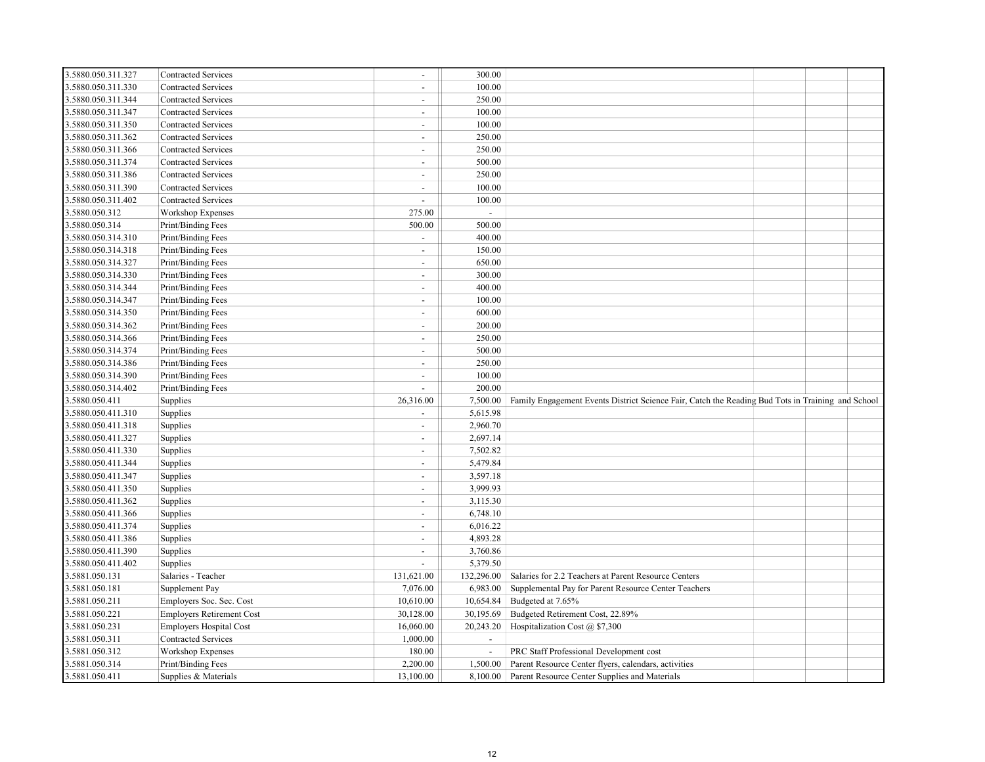| 3.5880.050.311.327 | <b>Contracted Services</b>       | $\sim$         | 300.00                   |                                                                                                   |  |  |
|--------------------|----------------------------------|----------------|--------------------------|---------------------------------------------------------------------------------------------------|--|--|
| 3.5880.050.311.330 | Contracted Services              | $\sim$         | 100.00                   |                                                                                                   |  |  |
| 3.5880.050.311.344 | <b>Contracted Services</b>       | $\sim$         | 250.00                   |                                                                                                   |  |  |
| 3.5880.050.311.347 | Contracted Services              | $\sim$         | 100.00                   |                                                                                                   |  |  |
| 3.5880.050.311.350 | <b>Contracted Services</b>       | $\sim$         | 100.00                   |                                                                                                   |  |  |
| 3.5880.050.311.362 | Contracted Services              | $\sim$         | 250.00                   |                                                                                                   |  |  |
| 3.5880.050.311.366 | <b>Contracted Services</b>       | $\sim$         | 250.00                   |                                                                                                   |  |  |
| 3.5880.050.311.374 | <b>Contracted Services</b>       | $\sim$         | 500.00                   |                                                                                                   |  |  |
| 3.5880.050.311.386 | <b>Contracted Services</b>       | $\sim$         | 250.00                   |                                                                                                   |  |  |
| 3.5880.050.311.390 | Contracted Services              | $\sim$         | 100.00                   |                                                                                                   |  |  |
| 3.5880.050.311.402 | <b>Contracted Services</b>       | $\sim$         | 100.00                   |                                                                                                   |  |  |
| 3.5880.050.312     | Workshop Expenses                | 275.00         | $\mathcal{L}$            |                                                                                                   |  |  |
| 3.5880.050.314     | Print/Binding Fees               | 500.00         | 500.00                   |                                                                                                   |  |  |
| 3.5880.050.314.310 | Print/Binding Fees               | $\blacksquare$ | 400.00                   |                                                                                                   |  |  |
| 3.5880.050.314.318 | Print/Binding Fees               | $\sim$         | 150.00                   |                                                                                                   |  |  |
| 3.5880.050.314.327 | Print/Binding Fees               | $\sim$         | 650.00                   |                                                                                                   |  |  |
| 3.5880.050.314.330 | Print/Binding Fees               | $\sim$         | 300.00                   |                                                                                                   |  |  |
| 3.5880.050.314.344 | Print/Binding Fees               | $\blacksquare$ | 400.00                   |                                                                                                   |  |  |
| 3.5880.050.314.347 | Print/Binding Fees               | $\sim$         | 100.00                   |                                                                                                   |  |  |
| 3.5880.050.314.350 | Print/Binding Fees               | $\sim$         | 600.00                   |                                                                                                   |  |  |
| 3.5880.050.314.362 | Print/Binding Fees               | $\sim$         | 200.00                   |                                                                                                   |  |  |
| 3.5880.050.314.366 | Print/Binding Fees               | $\sim$         | 250.00                   |                                                                                                   |  |  |
| 3.5880.050.314.374 | Print/Binding Fees               | $\sim$         | 500.00                   |                                                                                                   |  |  |
| 3.5880.050.314.386 | Print/Binding Fees               | $\sim$         | 250.00                   |                                                                                                   |  |  |
| 3.5880.050.314.390 | Print/Binding Fees               | $\sim$         | 100.00                   |                                                                                                   |  |  |
| 3.5880.050.314.402 | Print/Binding Fees               | $\sim$         | 200.00                   |                                                                                                   |  |  |
| 3.5880.050.411     | Supplies                         | 26,316.00      | 7,500.00                 | Family Engagement Events District Science Fair, Catch the Reading Bud Tots in Training and School |  |  |
| 3.5880.050.411.310 | Supplies                         | $\sim$         | 5,615.98                 |                                                                                                   |  |  |
| 3.5880.050.411.318 | Supplies                         | $\sim$         | 2,960.70                 |                                                                                                   |  |  |
| 3.5880.050.411.327 | Supplies                         |                | 2,697.14                 |                                                                                                   |  |  |
| 3.5880.050.411.330 | Supplies                         | $\overline{a}$ | 7,502.82                 |                                                                                                   |  |  |
| 3.5880.050.411.344 | Supplies                         | $\sim$         | 5,479.84                 |                                                                                                   |  |  |
| 3.5880.050.411.347 | Supplies                         | $\sim$         | 3,597.18                 |                                                                                                   |  |  |
| 3.5880.050.411.350 | Supplies                         | $\sim$         | 3,999.93                 |                                                                                                   |  |  |
| 3.5880.050.411.362 | Supplies                         | $\sim$         | 3,115.30                 |                                                                                                   |  |  |
| 3.5880.050.411.366 | Supplies                         | $\sim$         | 6,748.10                 |                                                                                                   |  |  |
| 3.5880.050.411.374 | Supplies                         | $\sim$         | 6,016.22                 |                                                                                                   |  |  |
| 3.5880.050.411.386 | Supplies                         | $\sim$         | 4,893.28                 |                                                                                                   |  |  |
| 3.5880.050.411.390 | Supplies                         | $\overline{a}$ | 3,760.86                 |                                                                                                   |  |  |
| 3.5880.050.411.402 | Supplies                         |                | 5,379.50                 |                                                                                                   |  |  |
| 3.5881.050.131     | Salaries - Teacher               | 131,621.00     | 132,296.00               | Salaries for 2.2 Teachers at Parent Resource Centers                                              |  |  |
| 3.5881.050.181     | Supplement Pay                   | 7,076.00       | 6,983.00                 | Supplemental Pay for Parent Resource Center Teachers                                              |  |  |
| 3.5881.050.211     | Employers Soc. Sec. Cost         | 10,610.00      | 10,654.84                | Budgeted at 7.65%                                                                                 |  |  |
| 3.5881.050.221     | <b>Employers Retirement Cost</b> | 30,128.00      | 30,195.69                | Budgeted Retirement Cost, 22.89%                                                                  |  |  |
| 3.5881.050.231     | <b>Employers Hospital Cost</b>   | 16,060.00      | 20,243.20                | Hospitalization Cost @ \$7,300                                                                    |  |  |
| 3.5881.050.311     | Contracted Services              | 1,000.00       | $\blacksquare$           |                                                                                                   |  |  |
| 3.5881.050.312     | Workshop Expenses                | 180.00         | $\overline{\phantom{a}}$ | PRC Staff Professional Development cost                                                           |  |  |
| 3.5881.050.314     | Print/Binding Fees               | 2,200.00       | 1,500.00                 | Parent Resource Center flyers, calendars, activities                                              |  |  |
| 3.5881.050.411     | Supplies & Materials             | 13,100.00      | 8,100.00                 | Parent Resource Center Supplies and Materials                                                     |  |  |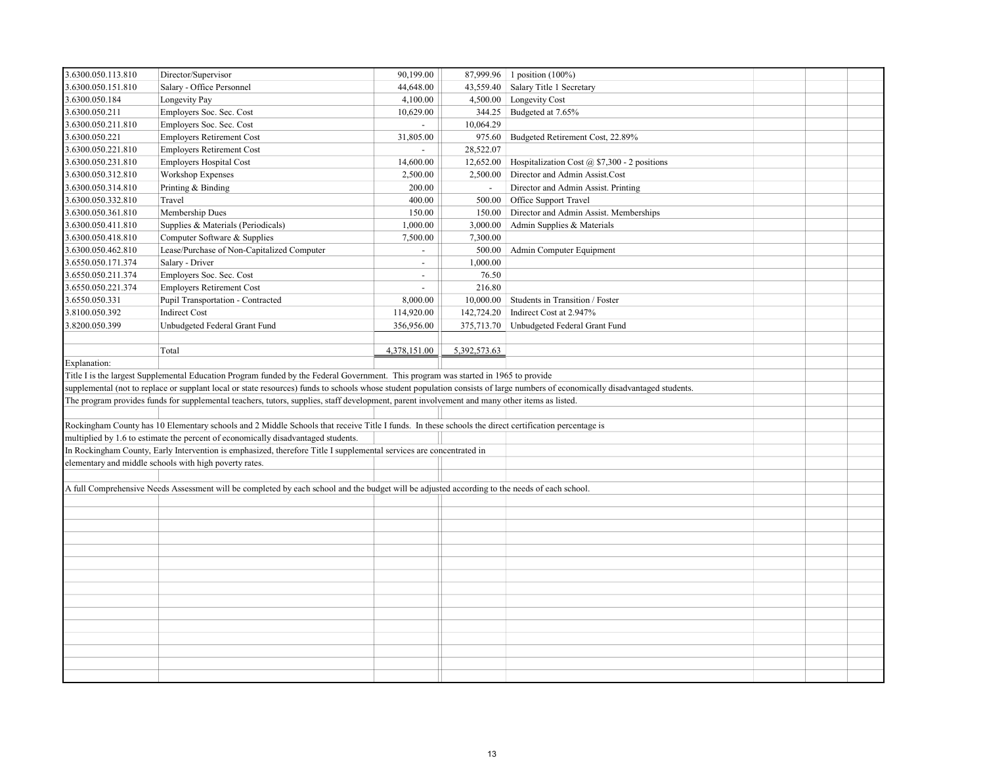| 3.6300.050.113.810 | Director/Supervisor                                                                                                                                                            | 90,199.00                |                | 87,999.96 1 position (100%)                  |  |  |
|--------------------|--------------------------------------------------------------------------------------------------------------------------------------------------------------------------------|--------------------------|----------------|----------------------------------------------|--|--|
| 3.6300.050.151.810 | Salary - Office Personnel                                                                                                                                                      | 44,648.00                | 43,559.40      | Salary Title 1 Secretary                     |  |  |
| 3.6300.050.184     | Longevity Pay                                                                                                                                                                  | 4,100.00                 | 4,500.00       | Longevity Cost                               |  |  |
| 3.6300.050.211     | Employers Soc. Sec. Cost                                                                                                                                                       | 10,629.00                | 344.25         | Budgeted at 7.65%                            |  |  |
| 3.6300.050.211.810 | Employers Soc. Sec. Cost                                                                                                                                                       | $\sim$                   | 10,064.29      |                                              |  |  |
| 3.6300.050.221     | <b>Employers Retirement Cost</b>                                                                                                                                               | 31,805.00                | 975.60         | Budgeted Retirement Cost, 22.89%             |  |  |
| 3.6300.050.221.810 | <b>Employers Retirement Cost</b>                                                                                                                                               | $\sim$                   | 28,522.07      |                                              |  |  |
| 3.6300.050.231.810 | <b>Employers Hospital Cost</b>                                                                                                                                                 | 14,600.00                | 12,652.00      | Hospitalization Cost @ \$7,300 - 2 positions |  |  |
| 3.6300.050.312.810 | Workshop Expenses                                                                                                                                                              | 2,500.00                 | 2,500.00       | Director and Admin Assist.Cost               |  |  |
| 3.6300.050.314.810 | Printing & Binding                                                                                                                                                             | 200.00                   | $\blacksquare$ | Director and Admin Assist. Printing          |  |  |
| 3.6300.050.332.810 | Travel                                                                                                                                                                         | 400.00                   | 500.00         | Office Support Travel                        |  |  |
| 3.6300.050.361.810 | Membership Dues                                                                                                                                                                | 150.00                   | 150.00         | Director and Admin Assist. Memberships       |  |  |
| 3.6300.050.411.810 | Supplies & Materials (Periodicals)                                                                                                                                             | 1,000.00                 | 3,000.00       | Admin Supplies & Materials                   |  |  |
| 3.6300.050.418.810 | Computer Software & Supplies                                                                                                                                                   | 7,500.00                 | 7,300.00       |                                              |  |  |
| 3.6300.050.462.810 | Lease/Purchase of Non-Capitalized Computer                                                                                                                                     | $\blacksquare$           | 500.00         | Admin Computer Equipment                     |  |  |
| 3.6550.050.171.374 | Salary - Driver                                                                                                                                                                | $\overline{\phantom{a}}$ | 1,000.00       |                                              |  |  |
| 3.6550.050.211.374 | Employers Soc. Sec. Cost                                                                                                                                                       | $\blacksquare$           | 76.50          |                                              |  |  |
| 3.6550.050.221.374 | <b>Employers Retirement Cost</b>                                                                                                                                               | $\overline{\phantom{0}}$ | 216.80         |                                              |  |  |
| 3.6550.050.331     | Pupil Transportation - Contracted                                                                                                                                              | 8,000.00                 | 10,000.00      | Students in Transition / Foster              |  |  |
| 3.8100.050.392     | <b>Indirect Cost</b>                                                                                                                                                           | 114,920.00               | 142,724.20     | Indirect Cost at 2.947%                      |  |  |
| 3.8200.050.399     | Unbudgeted Federal Grant Fund                                                                                                                                                  | 356,956.00               | 375,713.70     | Unbudgeted Federal Grant Fund                |  |  |
|                    |                                                                                                                                                                                |                          |                |                                              |  |  |
|                    | Total                                                                                                                                                                          | 4,378,151.00             | 5,392,573.63   |                                              |  |  |
| Explanation:       |                                                                                                                                                                                |                          |                |                                              |  |  |
|                    | Title I is the largest Supplemental Education Program funded by the Federal Government. This program was started in 1965 to provide                                            |                          |                |                                              |  |  |
|                    | supplemental (not to replace or supplant local or state resources) funds to schools whose student population consists of large numbers of economically disadvantaged students. |                          |                |                                              |  |  |
|                    | The program provides funds for supplemental teachers, tutors, supplies, staff development, parent involvement and many other items as listed.                                  |                          |                |                                              |  |  |
|                    |                                                                                                                                                                                |                          |                |                                              |  |  |
|                    | Rockingham County has 10 Elementary schools and 2 Middle Schools that receive Title I funds. In these schools the direct certification percentage is                           |                          |                |                                              |  |  |
|                    | multiplied by 1.6 to estimate the percent of economically disadvantaged students.                                                                                              |                          |                |                                              |  |  |
|                    | In Rockingham County, Early Intervention is emphasized, therefore Title I supplemental services are concentrated in                                                            |                          |                |                                              |  |  |
|                    | elementary and middle schools with high poverty rates.                                                                                                                         |                          |                |                                              |  |  |
|                    |                                                                                                                                                                                |                          |                |                                              |  |  |
|                    | A full Comprehensive Needs Assessment will be completed by each school and the budget will be adjusted according to the needs of each school.                                  |                          |                |                                              |  |  |
|                    |                                                                                                                                                                                |                          |                |                                              |  |  |
|                    |                                                                                                                                                                                |                          |                |                                              |  |  |
|                    |                                                                                                                                                                                |                          |                |                                              |  |  |
|                    |                                                                                                                                                                                |                          |                |                                              |  |  |
|                    |                                                                                                                                                                                |                          |                |                                              |  |  |
|                    |                                                                                                                                                                                |                          |                |                                              |  |  |
|                    |                                                                                                                                                                                |                          |                |                                              |  |  |
|                    |                                                                                                                                                                                |                          |                |                                              |  |  |
|                    |                                                                                                                                                                                |                          |                |                                              |  |  |
|                    |                                                                                                                                                                                |                          |                |                                              |  |  |
|                    |                                                                                                                                                                                |                          |                |                                              |  |  |
|                    |                                                                                                                                                                                |                          |                |                                              |  |  |
|                    |                                                                                                                                                                                |                          |                |                                              |  |  |
|                    |                                                                                                                                                                                |                          |                |                                              |  |  |
|                    |                                                                                                                                                                                |                          |                |                                              |  |  |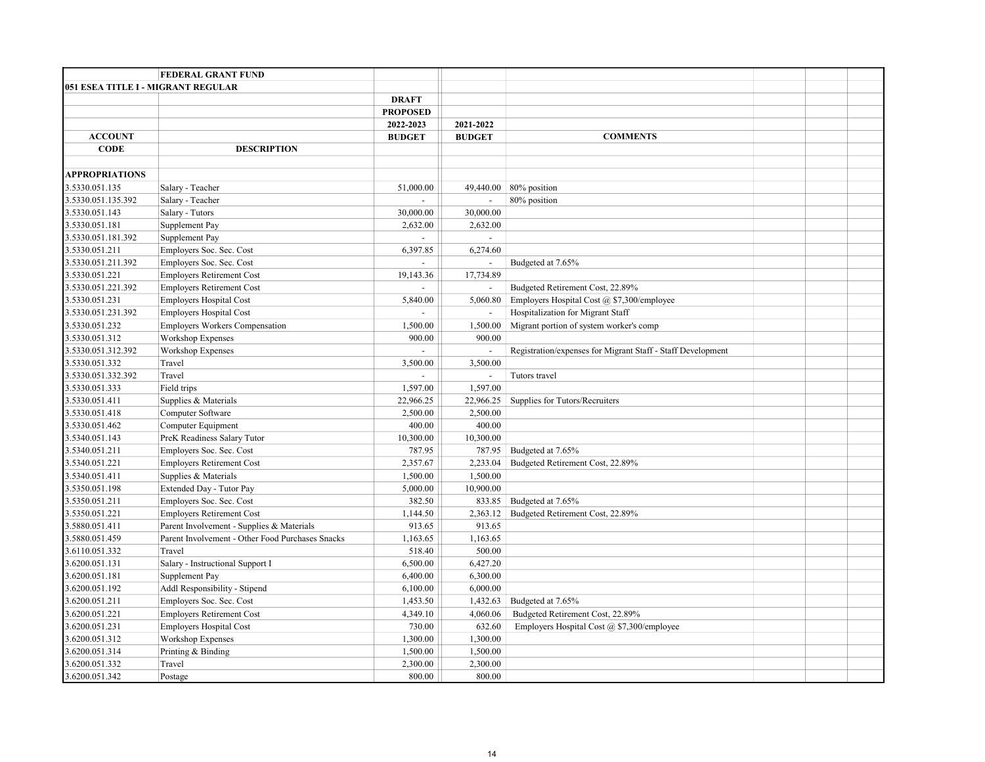|                                    | <b>FEDERAL GRANT FUND</b>                        |                             |                |                                                             |  |  |
|------------------------------------|--------------------------------------------------|-----------------------------|----------------|-------------------------------------------------------------|--|--|
| 051 ESEA TITLE I - MIGRANT REGULAR |                                                  |                             |                |                                                             |  |  |
|                                    |                                                  | <b>DRAFT</b>                |                |                                                             |  |  |
|                                    |                                                  | <b>PROPOSED</b>             |                |                                                             |  |  |
|                                    |                                                  | 2022-2023                   | 2021-2022      |                                                             |  |  |
| <b>ACCOUNT</b>                     |                                                  | <b>BUDGET</b>               | <b>BUDGET</b>  | <b>COMMENTS</b>                                             |  |  |
| <b>CODE</b>                        | <b>DESCRIPTION</b>                               |                             |                |                                                             |  |  |
|                                    |                                                  |                             |                |                                                             |  |  |
| <b>APPROPRIATIONS</b>              |                                                  |                             |                |                                                             |  |  |
| 3.5330.051.135                     | Salary - Teacher                                 | 51,000.00                   | 49,440.00      | 80% position                                                |  |  |
| 3.5330.051.135.392                 | Salary - Teacher                                 | $\mathcal{L}^{\mathcal{A}}$ | $\overline{a}$ | 80% position                                                |  |  |
| 3.5330.051.143                     | Salary - Tutors                                  | 30,000.00                   | 30,000.00      |                                                             |  |  |
| 3.5330.051.181                     | Supplement Pay                                   | 2,632.00                    | 2,632.00       |                                                             |  |  |
| 3.5330.051.181.392                 | Supplement Pay                                   |                             | $\mathbb{L}$   |                                                             |  |  |
| 3.5330.051.211                     | Employers Soc. Sec. Cost                         | 6,397.85                    | 6,274.60       |                                                             |  |  |
| 3.5330.051.211.392                 | Employers Soc. Sec. Cost                         |                             | $\mathbb{L}$   | Budgeted at 7.65%                                           |  |  |
| 3.5330.051.221                     | <b>Employers Retirement Cost</b>                 | 19,143.36                   | 17,734.89      |                                                             |  |  |
| 3.5330.051.221.392                 | <b>Employers Retirement Cost</b>                 |                             |                | Budgeted Retirement Cost, 22.89%                            |  |  |
| 3.5330.051.231                     | <b>Employers Hospital Cost</b>                   | 5,840.00                    | 5,060.80       | Employers Hospital Cost @ \$7,300/employee                  |  |  |
| 3.5330.051.231.392                 | <b>Employers Hospital Cost</b>                   | $\overline{a}$              |                | Hospitalization for Migrant Staff                           |  |  |
| 3.5330.051.232                     | <b>Employers Workers Compensation</b>            | 1,500.00                    | 1,500.00       | Migrant portion of system worker's comp                     |  |  |
| 3.5330.051.312                     | Workshop Expenses                                | 900.00                      | 900.00         |                                                             |  |  |
| 3.5330.051.312.392                 | <b>Workshop Expenses</b>                         |                             |                | Registration/expenses for Migrant Staff - Staff Development |  |  |
| 3.5330.051.332                     | Travel                                           | 3,500.00                    | 3,500.00       |                                                             |  |  |
| 3.5330.051.332.392                 | Travel                                           |                             | $\sim$         | Tutors travel                                               |  |  |
| 3.5330.051.333                     | Field trips                                      | 1,597.00                    | 1,597.00       |                                                             |  |  |
| 3.5330.051.411                     | Supplies & Materials                             | 22,966.25                   | 22,966.25      | Supplies for Tutors/Recruiters                              |  |  |
| 3.5330.051.418                     | Computer Software                                | 2,500.00                    | 2,500.00       |                                                             |  |  |
| 3.5330.051.462                     | Computer Equipment                               | 400.00                      | 400.00         |                                                             |  |  |
| 3.5340.051.143                     | PreK Readiness Salary Tutor                      | 10,300.00                   | 10,300.00      |                                                             |  |  |
| 3.5340.051.211                     | Employers Soc. Sec. Cost                         | 787.95                      | 787.95         | Budgeted at 7.65%                                           |  |  |
| 3.5340.051.221                     | <b>Employers Retirement Cost</b>                 | 2,357.67                    | 2,233.04       | Budgeted Retirement Cost, 22.89%                            |  |  |
| 3.5340.051.411                     | Supplies & Materials                             | 1,500.00                    | 1,500.00       |                                                             |  |  |
| 3.5350.051.198                     | Extended Day - Tutor Pay                         | 5,000.00                    | 10,900.00      |                                                             |  |  |
| 3.5350.051.211                     | Employers Soc. Sec. Cost                         | 382.50                      | 833.85         | Budgeted at 7.65%                                           |  |  |
| 3.5350.051.221                     | <b>Employers Retirement Cost</b>                 | 1,144.50                    | 2,363.12       | Budgeted Retirement Cost, 22.89%                            |  |  |
| 3.5880.051.411                     | Parent Involvement - Supplies & Materials        | 913.65                      | 913.65         |                                                             |  |  |
| 3.5880.051.459                     | Parent Involvement - Other Food Purchases Snacks | 1,163.65                    | 1,163.65       |                                                             |  |  |
| 3.6110.051.332                     | Travel                                           | 518.40                      | 500.00         |                                                             |  |  |
| 3.6200.051.131                     | Salary - Instructional Support I                 | 6,500.00                    | 6,427.20       |                                                             |  |  |
| 3.6200.051.181                     | Supplement Pay                                   | 6,400.00                    | 6,300.00       |                                                             |  |  |
| 3.6200.051.192                     | Addl Responsibility - Stipend                    | 6,100.00                    | 6,000.00       |                                                             |  |  |
| 3.6200.051.211                     | Employers Soc. Sec. Cost                         | 1,453.50                    | 1,432.63       | Budgeted at 7.65%                                           |  |  |
| 3.6200.051.221                     | <b>Employers Retirement Cost</b>                 | 4,349.10                    | 4,060.06       | Budgeted Retirement Cost, 22.89%                            |  |  |
| 3.6200.051.231                     | <b>Employers Hospital Cost</b>                   | 730.00                      | 632.60         | Employers Hospital Cost @ \$7,300/employee                  |  |  |
| 3.6200.051.312                     | Workshop Expenses                                | 1,300.00                    | 1,300.00       |                                                             |  |  |
| 3.6200.051.314                     | Printing & Binding                               | 1,500.00                    | 1,500.00       |                                                             |  |  |
| 3.6200.051.332                     | Travel                                           | 2,300.00                    | 2,300.00       |                                                             |  |  |
| 3.6200.051.342                     | Postage                                          | 800.00                      | 800.00         |                                                             |  |  |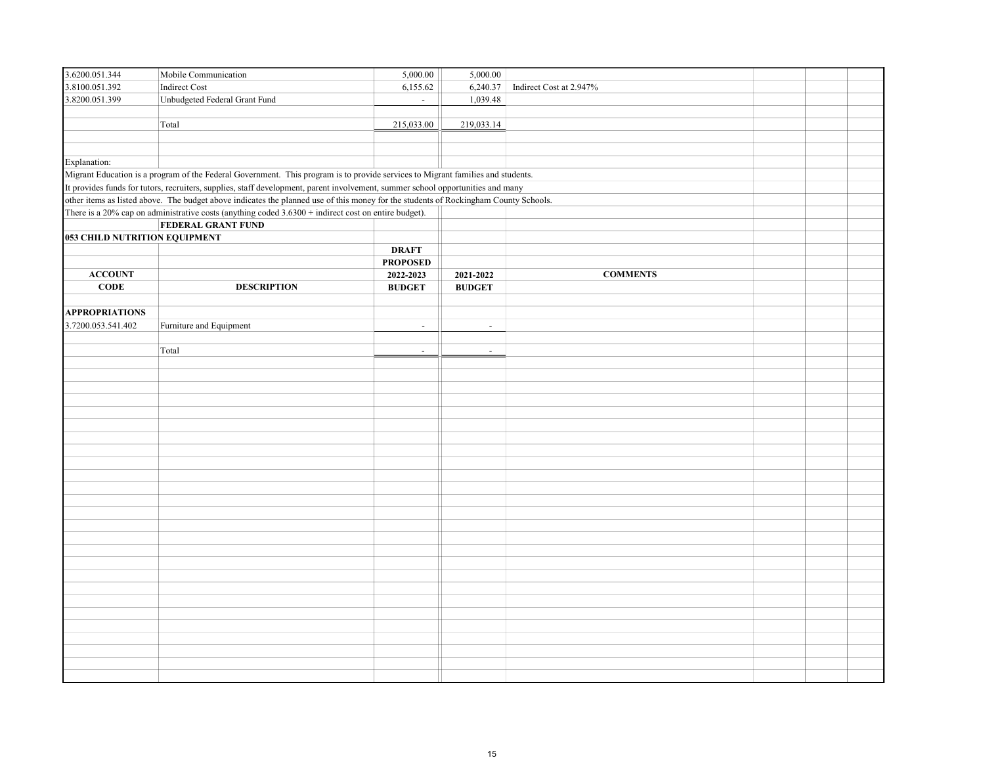| 3.6200.051.344                | Mobile Communication                                                                                                                 | 5,000.00        | 5,000.00       |                         |  |
|-------------------------------|--------------------------------------------------------------------------------------------------------------------------------------|-----------------|----------------|-------------------------|--|
| 3.8100.051.392                | Indirect Cost                                                                                                                        | 6,155.62        | 6,240.37       | Indirect Cost at 2.947% |  |
| 3.8200.051.399                | Unbudgeted Federal Grant Fund                                                                                                        | $\sim$          | 1,039.48       |                         |  |
|                               |                                                                                                                                      |                 |                |                         |  |
|                               | Total                                                                                                                                | 215,033.00      | 219,033.14     |                         |  |
|                               |                                                                                                                                      |                 |                |                         |  |
|                               |                                                                                                                                      |                 |                |                         |  |
| Explanation:                  |                                                                                                                                      |                 |                |                         |  |
|                               | Migrant Education is a program of the Federal Government. This program is to provide services to Migrant families and students.      |                 |                |                         |  |
|                               | It provides funds for tutors, recruiters, supplies, staff development, parent involvement, summer school opportunities and many      |                 |                |                         |  |
|                               | other items as listed above. The budget above indicates the planned use of this money for the students of Rockingham County Schools. |                 |                |                         |  |
|                               | There is a 20% cap on administrative costs (anything coded 3.6300 + indirect cost on entire budget).                                 |                 |                |                         |  |
|                               | <b>FEDERAL GRANT FUND</b>                                                                                                            |                 |                |                         |  |
| 053 CHILD NUTRITION EQUIPMENT |                                                                                                                                      |                 |                |                         |  |
|                               |                                                                                                                                      | <b>DRAFT</b>    |                |                         |  |
|                               |                                                                                                                                      | <b>PROPOSED</b> |                |                         |  |
| <b>ACCOUNT</b>                |                                                                                                                                      | 2022-2023       | 2021-2022      | <b>COMMENTS</b>         |  |
| $CODE$                        | <b>DESCRIPTION</b>                                                                                                                   | <b>BUDGET</b>   | <b>BUDGET</b>  |                         |  |
|                               |                                                                                                                                      |                 |                |                         |  |
| <b>APPROPRIATIONS</b>         |                                                                                                                                      |                 |                |                         |  |
| 3.7200.053.541.402            | Furniture and Equipment                                                                                                              | $\blacksquare$  | $\blacksquare$ |                         |  |
|                               |                                                                                                                                      |                 |                |                         |  |
|                               | Total                                                                                                                                | $\sim$          | $\omega$       |                         |  |
|                               |                                                                                                                                      |                 |                |                         |  |
|                               |                                                                                                                                      |                 |                |                         |  |
|                               |                                                                                                                                      |                 |                |                         |  |
|                               |                                                                                                                                      |                 |                |                         |  |
|                               |                                                                                                                                      |                 |                |                         |  |
|                               |                                                                                                                                      |                 |                |                         |  |
|                               |                                                                                                                                      |                 |                |                         |  |
|                               |                                                                                                                                      |                 |                |                         |  |
|                               |                                                                                                                                      |                 |                |                         |  |
|                               |                                                                                                                                      |                 |                |                         |  |
|                               |                                                                                                                                      |                 |                |                         |  |
|                               |                                                                                                                                      |                 |                |                         |  |
|                               |                                                                                                                                      |                 |                |                         |  |
|                               |                                                                                                                                      |                 |                |                         |  |
|                               |                                                                                                                                      |                 |                |                         |  |
|                               |                                                                                                                                      |                 |                |                         |  |
|                               |                                                                                                                                      |                 |                |                         |  |
|                               |                                                                                                                                      |                 |                |                         |  |
|                               |                                                                                                                                      |                 |                |                         |  |
|                               |                                                                                                                                      |                 |                |                         |  |
|                               |                                                                                                                                      |                 |                |                         |  |
|                               |                                                                                                                                      |                 |                |                         |  |
|                               |                                                                                                                                      |                 |                |                         |  |
|                               |                                                                                                                                      |                 |                |                         |  |
|                               |                                                                                                                                      |                 |                |                         |  |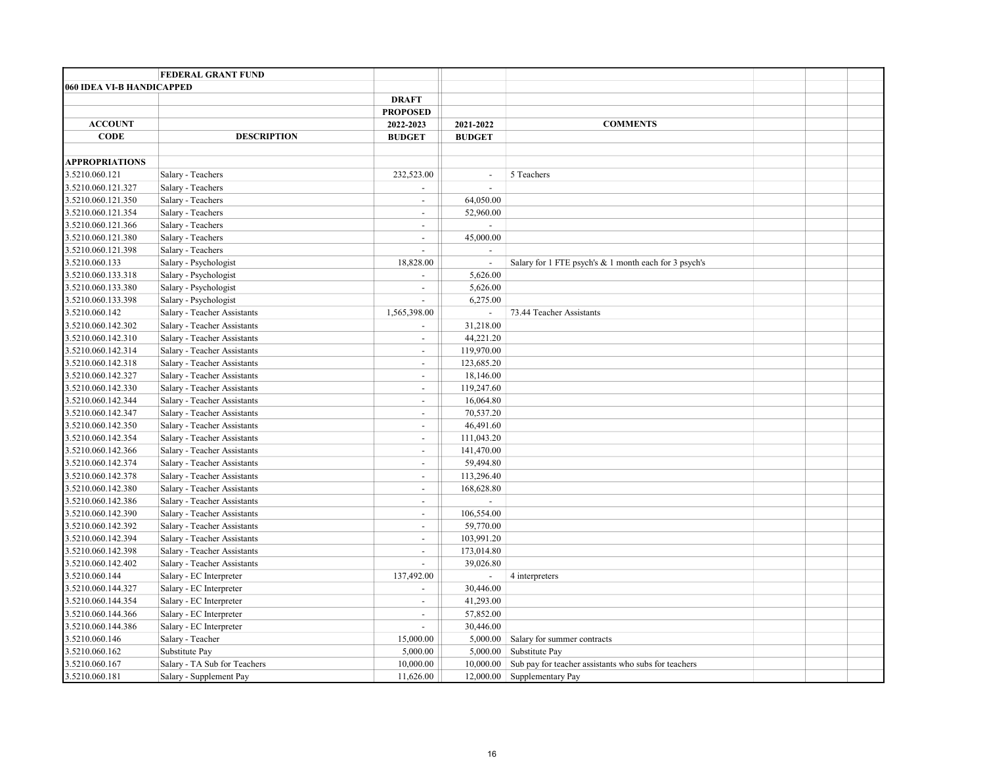|                           | <b>FEDERAL GRANT FUND</b>    |                             |                          |                                                       |  |  |
|---------------------------|------------------------------|-----------------------------|--------------------------|-------------------------------------------------------|--|--|
| 060 IDEA VI-B HANDICAPPED |                              |                             |                          |                                                       |  |  |
|                           |                              | <b>DRAFT</b>                |                          |                                                       |  |  |
|                           |                              | <b>PROPOSED</b>             |                          |                                                       |  |  |
| <b>ACCOUNT</b>            |                              | 2022-2023                   | 2021-2022                | <b>COMMENTS</b>                                       |  |  |
| <b>CODE</b>               | <b>DESCRIPTION</b>           | <b>BUDGET</b>               | <b>BUDGET</b>            |                                                       |  |  |
|                           |                              |                             |                          |                                                       |  |  |
| <b>APPROPRIATIONS</b>     |                              |                             |                          |                                                       |  |  |
| 3.5210.060.121            | Salary - Teachers            | 232,523.00                  | $\omega$                 | 5 Teachers                                            |  |  |
| 3.5210.060.121.327        | Salary - Teachers            | $\blacksquare$              | $\sim$                   |                                                       |  |  |
| 3.5210.060.121.350        | Salary - Teachers            | $\overline{\phantom{a}}$    | 64,050.00                |                                                       |  |  |
| 3.5210.060.121.354        | Salary - Teachers            | $\overline{\phantom{a}}$    | 52,960.00                |                                                       |  |  |
| 3.5210.060.121.366        | Salary - Teachers            | $\overline{\phantom{a}}$    | $\overline{a}$           |                                                       |  |  |
| 3.5210.060.121.380        | Salary - Teachers            | $\overline{\phantom{a}}$    | 45,000.00                |                                                       |  |  |
| 3.5210.060.121.398        | Salary - Teachers            | $\mathcal{L}^{\mathcal{A}}$ |                          |                                                       |  |  |
| 3.5210.060.133            | Salary - Psychologist        | 18,828.00                   | $\blacksquare$           | Salary for 1 FTE psych's & 1 month each for 3 psych's |  |  |
| 3.5210.060.133.318        | Salary - Psychologist        | $\overline{\phantom{a}}$    | 5,626.00                 |                                                       |  |  |
| 3.5210.060.133.380        | Salary - Psychologist        | $\overline{\phantom{a}}$    | 5,626.00                 |                                                       |  |  |
| 3.5210.060.133.398        | Salary - Psychologist        | $\mathbf{r}$                | 6,275.00                 |                                                       |  |  |
| 3.5210.060.142            | Salary - Teacher Assistants  | 1,565,398.00                | $\blacksquare$           | 73.44 Teacher Assistants                              |  |  |
| 3.5210.060.142.302        | Salary - Teacher Assistants  | $\blacksquare$              | 31,218.00                |                                                       |  |  |
| 3.5210.060.142.310        | Salary - Teacher Assistants  | $\blacksquare$              | 44,221.20                |                                                       |  |  |
| 3.5210.060.142.314        | Salary - Teacher Assistants  | $\blacksquare$              | 119,970.00               |                                                       |  |  |
| 3.5210.060.142.318        | Salary - Teacher Assistants  | $\overline{\phantom{a}}$    | 123,685.20               |                                                       |  |  |
| 3.5210.060.142.327        | Salary - Teacher Assistants  | $\sim$                      | 18,146.00                |                                                       |  |  |
| 3.5210.060.142.330        | Salary - Teacher Assistants  | $\blacksquare$              | 119,247.60               |                                                       |  |  |
| 3.5210.060.142.344        | Salary - Teacher Assistants  | $\blacksquare$              | 16,064.80                |                                                       |  |  |
| 3.5210.060.142.347        | Salary - Teacher Assistants  | $\blacksquare$              | 70,537.20                |                                                       |  |  |
| 3.5210.060.142.350        | Salary - Teacher Assistants  | $\blacksquare$              | 46,491.60                |                                                       |  |  |
| 3.5210.060.142.354        | Salary - Teacher Assistants  | $\blacksquare$              | 111,043.20               |                                                       |  |  |
| 3.5210.060.142.366        | Salary - Teacher Assistants  | $\blacksquare$              | 141,470.00               |                                                       |  |  |
| 3.5210.060.142.374        | Salary - Teacher Assistants  | $\overline{a}$              | 59,494.80                |                                                       |  |  |
| 3.5210.060.142.378        | Salary - Teacher Assistants  | $\overline{\phantom{a}}$    | 113,296.40               |                                                       |  |  |
| 3.5210.060.142.380        | Salary - Teacher Assistants  | $\overline{a}$              | 168,628.80               |                                                       |  |  |
| 3.5210.060.142.386        | Salary - Teacher Assistants  | $\overline{\phantom{a}}$    | $\blacksquare$           |                                                       |  |  |
| 3.5210.060.142.390        | Salary - Teacher Assistants  | $\overline{\phantom{a}}$    | 106,554.00               |                                                       |  |  |
| 3.5210.060.142.392        | Salary - Teacher Assistants  | $\blacksquare$              | 59,770.00                |                                                       |  |  |
| 3.5210.060.142.394        | Salary - Teacher Assistants  | $\overline{\phantom{a}}$    | 103,991.20               |                                                       |  |  |
| 3.5210.060.142.398        | Salary - Teacher Assistants  | $\blacksquare$              | 173,014.80               |                                                       |  |  |
| 3.5210.060.142.402        | Salary - Teacher Assistants  | $\overline{\phantom{a}}$    | 39,026.80                |                                                       |  |  |
| 3.5210.060.144            | Salary - EC Interpreter      | 137,492.00                  | $\overline{\phantom{a}}$ | 4 interpreters                                        |  |  |
| 3.5210.060.144.327        | Salary - EC Interpreter      | $\blacksquare$              | 30,446.00                |                                                       |  |  |
| 3.5210.060.144.354        | Salary - EC Interpreter      | $\blacksquare$              | 41,293.00                |                                                       |  |  |
| 3.5210.060.144.366        | Salary - EC Interpreter      | $\blacksquare$              | 57,852.00                |                                                       |  |  |
| 3.5210.060.144.386        | Salary - EC Interpreter      | $\blacksquare$              | 30,446.00                |                                                       |  |  |
| 3.5210.060.146            | Salary - Teacher             | 15,000.00                   | 5,000.00                 | Salary for summer contracts                           |  |  |
| 3.5210.060.162            | Substitute Pay               | 5,000.00                    | 5,000.00                 | Substitute Pay                                        |  |  |
| 3.5210.060.167            | Salary - TA Sub for Teachers | 10,000.00                   | 10,000.00                | Sub pay for teacher assistants who subs for teachers  |  |  |
| 3.5210.060.181            | Salary - Supplement Pay      | 11,626.00                   | 12,000.00                | Supplementary Pay                                     |  |  |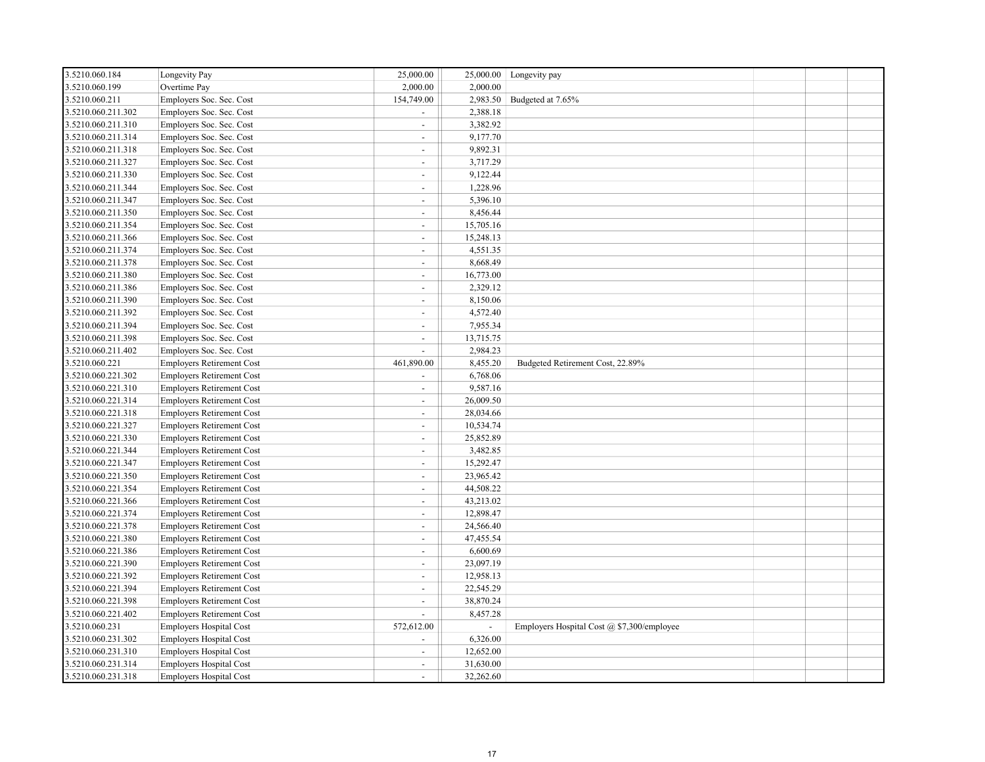| 3.5210.060.184     | Longevity Pay                    | 25,000.00                | 25,000.00 | Longevity pay                              |  |  |
|--------------------|----------------------------------|--------------------------|-----------|--------------------------------------------|--|--|
| 3.5210.060.199     | Overtime Pay                     | 2,000.00                 | 2,000.00  |                                            |  |  |
| 3.5210.060.211     | Employers Soc. Sec. Cost         | 154,749.00               | 2,983.50  | Budgeted at 7.65%                          |  |  |
| 3.5210.060.211.302 | Employers Soc. Sec. Cost         | $\sim$                   | 2,388.18  |                                            |  |  |
| 3.5210.060.211.310 | Employers Soc. Sec. Cost         | $\sim$                   | 3,382.92  |                                            |  |  |
| 3.5210.060.211.314 | Employers Soc. Sec. Cost         | $\sim$                   | 9,177.70  |                                            |  |  |
| 3.5210.060.211.318 | Employers Soc. Sec. Cost         | $\sim$                   | 9,892.31  |                                            |  |  |
| 3.5210.060.211.327 | Employers Soc. Sec. Cost         | $\sim$                   | 3,717.29  |                                            |  |  |
| 3.5210.060.211.330 | Employers Soc. Sec. Cost         | $\sim$                   | 9,122.44  |                                            |  |  |
| 3.5210.060.211.344 | Employers Soc. Sec. Cost         | $\sim$                   | 1,228.96  |                                            |  |  |
| 3.5210.060.211.347 | Employers Soc. Sec. Cost         | $\sim$                   | 5,396.10  |                                            |  |  |
| 3.5210.060.211.350 | Employers Soc. Sec. Cost         | $\sim$                   | 8,456.44  |                                            |  |  |
| 3.5210.060.211.354 | Employers Soc. Sec. Cost         | $\blacksquare$           | 15,705.16 |                                            |  |  |
| 3.5210.060.211.366 | Employers Soc. Sec. Cost         | $\sim$                   | 15,248.13 |                                            |  |  |
| 3.5210.060.211.374 | Employers Soc. Sec. Cost         | $\blacksquare$           | 4,551.35  |                                            |  |  |
| 3.5210.060.211.378 | Employers Soc. Sec. Cost         | $\sim$                   | 8,668.49  |                                            |  |  |
| 3.5210.060.211.380 | Employers Soc. Sec. Cost         | $\omega$                 | 16,773.00 |                                            |  |  |
| 3.5210.060.211.386 | Employers Soc. Sec. Cost         | $\sim$                   | 2,329.12  |                                            |  |  |
| 3.5210.060.211.390 | Employers Soc. Sec. Cost         | $\sim$                   | 8,150.06  |                                            |  |  |
| 3.5210.060.211.392 | Employers Soc. Sec. Cost         | $\sim$                   | 4,572.40  |                                            |  |  |
| 3.5210.060.211.394 | Employers Soc. Sec. Cost         | $\sim$                   | 7,955.34  |                                            |  |  |
| 3.5210.060.211.398 | Employers Soc. Sec. Cost         | $\sim$                   | 13,715.75 |                                            |  |  |
| 3.5210.060.211.402 | Employers Soc. Sec. Cost         | $\sim$                   | 2,984.23  |                                            |  |  |
| 3.5210.060.221     | <b>Employers Retirement Cost</b> | 461,890.00               | 8,455.20  | Budgeted Retirement Cost, 22.89%           |  |  |
| 3.5210.060.221.302 | <b>Employers Retirement Cost</b> |                          | 6,768.06  |                                            |  |  |
| 3.5210.060.221.310 | <b>Employers Retirement Cost</b> | $\sim$                   | 9,587.16  |                                            |  |  |
| 3.5210.060.221.314 | <b>Employers Retirement Cost</b> | $\sim$                   | 26,009.50 |                                            |  |  |
| 3.5210.060.221.318 | <b>Employers Retirement Cost</b> | $\sim$                   | 28,034.66 |                                            |  |  |
| 3.5210.060.221.327 | <b>Employers Retirement Cost</b> | $\sim$                   | 10,534.74 |                                            |  |  |
| 3.5210.060.221.330 | <b>Employers Retirement Cost</b> | $\sim$                   | 25,852.89 |                                            |  |  |
| 3.5210.060.221.344 | <b>Employers Retirement Cost</b> | $\sim$                   | 3,482.85  |                                            |  |  |
| 3.5210.060.221.347 | <b>Employers Retirement Cost</b> | $\sim$                   | 15,292.47 |                                            |  |  |
| 3.5210.060.221.350 | <b>Employers Retirement Cost</b> | $\sim$                   | 23,965.42 |                                            |  |  |
| 3.5210.060.221.354 | <b>Employers Retirement Cost</b> | $\overline{\phantom{a}}$ | 44,508.22 |                                            |  |  |
| 3.5210.060.221.366 | <b>Employers Retirement Cost</b> | $\sim$                   | 43,213.02 |                                            |  |  |
| 3.5210.060.221.374 | <b>Employers Retirement Cost</b> | $\sim$                   | 12,898.47 |                                            |  |  |
| 3.5210.060.221.378 | <b>Employers Retirement Cost</b> | $\sim$                   | 24,566.40 |                                            |  |  |
| 3.5210.060.221.380 | <b>Employers Retirement Cost</b> | $\blacksquare$           | 47,455.54 |                                            |  |  |
| 3.5210.060.221.386 | <b>Employers Retirement Cost</b> | $\sim$                   | 6,600.69  |                                            |  |  |
| 3.5210.060.221.390 | <b>Employers Retirement Cost</b> | $\sim$                   | 23,097.19 |                                            |  |  |
| 3.5210.060.221.392 | <b>Employers Retirement Cost</b> | $\sim$                   | 12,958.13 |                                            |  |  |
| 3.5210.060.221.394 | <b>Employers Retirement Cost</b> | $\sim$                   | 22,545.29 |                                            |  |  |
| 3.5210.060.221.398 | <b>Employers Retirement Cost</b> | $\sim$                   | 38,870.24 |                                            |  |  |
| 3.5210.060.221.402 | <b>Employers Retirement Cost</b> | $\sim$                   | 8,457.28  |                                            |  |  |
| 3.5210.060.231     | <b>Employers Hospital Cost</b>   | 572,612.00               | $\sim$    | Employers Hospital Cost @ \$7,300/employee |  |  |
| 3.5210.060.231.302 | <b>Employers Hospital Cost</b>   | $\overline{a}$           | 6,326.00  |                                            |  |  |
| 3.5210.060.231.310 | <b>Employers Hospital Cost</b>   | $\sim$                   | 12,652.00 |                                            |  |  |
| 3.5210.060.231.314 | <b>Employers Hospital Cost</b>   | $\sim$                   | 31,630.00 |                                            |  |  |
| 3.5210.060.231.318 | <b>Employers Hospital Cost</b>   | $\sim$                   | 32,262.60 |                                            |  |  |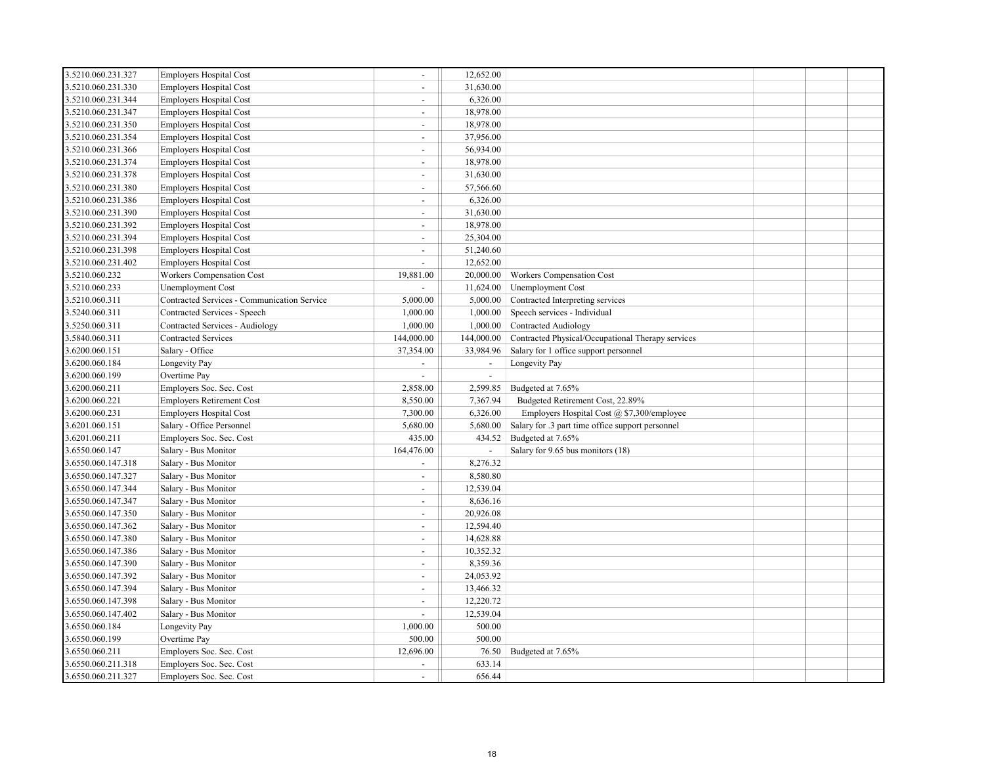| 3.5210.060.231.330<br>31,630.00<br><b>Employers Hospital Cost</b><br>$\sim$<br>3.5210.060.231.344<br><b>Employers Hospital Cost</b><br>6,326.00<br>$\sim$<br>3.5210.060.231.347<br>18,978.00<br><b>Employers Hospital Cost</b><br>$\blacksquare$<br>3.5210.060.231.350<br><b>Employers Hospital Cost</b><br>18,978.00<br>$\overline{a}$<br>3.5210.060.231.354<br>37,956.00<br><b>Employers Hospital Cost</b><br>$\blacksquare$<br>3.5210.060.231.366<br><b>Employers Hospital Cost</b><br>56,934.00<br>$\overline{a}$<br>18,978.00<br>Employers Hospital Cost<br>3.5210.060.231.374<br>$\blacksquare$<br><b>Employers Hospital Cost</b><br>31,630.00<br>3.5210.060.231.378<br>$\sim$<br>57,566.60<br>3.5210.060.231.380<br><b>Employers Hospital Cost</b><br>$\sim$<br>3.5210.060.231.386<br><b>Employers Hospital Cost</b><br>6,326.00<br>$\overline{a}$<br><b>Employers Hospital Cost</b><br>31,630.00<br>3.5210.060.231.390<br>$\omega$<br>18,978.00<br>3.5210.060.231.392<br><b>Employers Hospital Cost</b><br>$\overline{a}$<br>3.5210.060.231.394<br><b>Employers Hospital Cost</b><br>25,304.00<br>$\blacksquare$<br><b>Employers Hospital Cost</b><br>51,240.60<br>3.5210.060.231.398<br>$\blacksquare$<br>3.5210.060.231.402<br><b>Employers Hospital Cost</b><br>12,652.00<br>$\overline{a}$<br>3.5210.060.232<br>Workers Compensation Cost<br>20,000.00<br>19,881.00<br>Workers Compensation Cost<br>3.5210.060.233<br>Unemployment Cost<br>11,624.00<br><b>Unemployment Cost</b><br>3.5210.060.311<br>Contracted Services - Communication Service<br>5,000.00<br>5,000.00<br>Contracted Interpreting services<br>3.5240.060.311<br>Contracted Services - Speech<br>1,000.00<br>1,000.00<br>Speech services - Individual<br>3.5250.060.311<br>1,000.00<br><b>Contracted Audiology</b><br>Contracted Services - Audiology<br>1,000.00<br><b>Contracted Services</b><br>3.5840.060.311<br>144,000.00<br>144,000.00<br>Contracted Physical/Occupational Therapy services<br>3.6200.060.151<br>Salary - Office<br>Salary for 1 office support personnel<br>37,354.00<br>33,984.96<br>3.6200.060.184<br>Longevity Pay<br>Longevity Pay<br>$\blacksquare$<br>$\blacksquare$<br>3.6200.060.199<br>Overtime Pay<br>$\overline{\phantom{a}}$<br>$\blacksquare$<br>3.6200.060.211<br>Employers Soc. Sec. Cost<br>2,858.00<br>2,599.85<br>Budgeted at 7.65%<br>3.6200.060.221<br><b>Employers Retirement Cost</b><br>8,550.00<br>7,367.94<br>Budgeted Retirement Cost, 22.89%<br><b>Employers Hospital Cost</b><br>7,300.00<br>6,326.00<br>Employers Hospital Cost @ \$7,300/employee<br>3.6200.060.231<br>3.6201.060.151<br>Salary - Office Personnel<br>5,680.00<br>5,680.00<br>Salary for .3 part time office support personnel<br>Employers Soc. Sec. Cost<br>435.00<br>434.52<br>Budgeted at 7.65%<br>3.6201.060.211<br>3.6550.060.147<br>164,476.00<br>Salary - Bus Monitor<br>Salary for 9.65 bus monitors (18)<br>Salary - Bus Monitor<br>8,276.32<br>3.6550.060.147.318<br>$\overline{a}$<br>8,580.80<br>3.6550.060.147.327<br>Salary - Bus Monitor<br>$\sim$<br>12,539.04<br>3.6550.060.147.344<br>Salary - Bus Monitor<br>$\sim$<br>3.6550.060.147.347<br>8,636.16<br>Salary - Bus Monitor<br>$\sim$<br>3.6550.060.147.350<br>Salary - Bus Monitor<br>20,926.08<br>$\sim$<br>12,594.40<br>3.6550.060.147.362<br>Salary - Bus Monitor<br>$\omega$<br>3.6550.060.147.380<br>Salary - Bus Monitor<br>14,628.88<br>$\overline{a}$<br>10,352.32<br>3.6550.060.147.386<br>Salary - Bus Monitor<br>$\blacksquare$<br>8,359.36<br>3.6550.060.147.390<br>Salary - Bus Monitor<br>$\blacksquare$<br>3.6550.060.147.392<br>Salary - Bus Monitor<br>24,053.92<br>$\blacksquare$<br>3.6550.060.147.394<br>Salary - Bus Monitor<br>13,466.32<br>$\blacksquare$<br>12,220.72<br>3.6550.060.147.398<br>Salary - Bus Monitor<br>$\blacksquare$<br>3.6550.060.147.402<br>Salary - Bus Monitor<br>12,539.04<br>$\overline{\phantom{a}}$<br>500.00<br>3.6550.060.184<br>1,000.00<br>Longevity Pay<br>3.6550.060.199<br>500.00<br>500.00<br>Overtime Pay<br>3.6550.060.211<br>76.50<br>Budgeted at 7.65%<br>Employers Soc. Sec. Cost<br>12,696.00<br>Employers Soc. Sec. Cost<br>3.6550.060.211.318<br>633.14 | 3.5210.060.231.327 | <b>Employers Hospital Cost</b> | $\sim$ | 12,652.00 |  |  |
|-----------------------------------------------------------------------------------------------------------------------------------------------------------------------------------------------------------------------------------------------------------------------------------------------------------------------------------------------------------------------------------------------------------------------------------------------------------------------------------------------------------------------------------------------------------------------------------------------------------------------------------------------------------------------------------------------------------------------------------------------------------------------------------------------------------------------------------------------------------------------------------------------------------------------------------------------------------------------------------------------------------------------------------------------------------------------------------------------------------------------------------------------------------------------------------------------------------------------------------------------------------------------------------------------------------------------------------------------------------------------------------------------------------------------------------------------------------------------------------------------------------------------------------------------------------------------------------------------------------------------------------------------------------------------------------------------------------------------------------------------------------------------------------------------------------------------------------------------------------------------------------------------------------------------------------------------------------------------------------------------------------------------------------------------------------------------------------------------------------------------------------------------------------------------------------------------------------------------------------------------------------------------------------------------------------------------------------------------------------------------------------------------------------------------------------------------------------------------------------------------------------------------------------------------------------------------------------------------------------------------------------------------------------------------------------------------------------------------------------------------------------------------------------------------------------------------------------------------------------------------------------------------------------------------------------------------------------------------------------------------------------------------------------------------------------------------------------------------------------------------------------------------------------------------------------------------------------------------------------------------------------------------------------------------------------------------------------------------------------------------------------------------------------------------------------------------------------------------------------------------------------------------------------------------------------------------------------------------------------------------------------------------------------------------------------------------------------------------------------------------------------------------------------------------------------------------------------------------------------------------------------------------------------------------------------------------------------------------------------------------------------------------------------------------------------------------------------------------------------------------------------------------------------------------------------------------------|--------------------|--------------------------------|--------|-----------|--|--|
|                                                                                                                                                                                                                                                                                                                                                                                                                                                                                                                                                                                                                                                                                                                                                                                                                                                                                                                                                                                                                                                                                                                                                                                                                                                                                                                                                                                                                                                                                                                                                                                                                                                                                                                                                                                                                                                                                                                                                                                                                                                                                                                                                                                                                                                                                                                                                                                                                                                                                                                                                                                                                                                                                                                                                                                                                                                                                                                                                                                                                                                                                                                                                                                                                                                                                                                                                                                                                                                                                                                                                                                                                                                                                                                                                                                                                                                                                                                                                                                                                                                                                                                                                                                                     |                    |                                |        |           |  |  |
|                                                                                                                                                                                                                                                                                                                                                                                                                                                                                                                                                                                                                                                                                                                                                                                                                                                                                                                                                                                                                                                                                                                                                                                                                                                                                                                                                                                                                                                                                                                                                                                                                                                                                                                                                                                                                                                                                                                                                                                                                                                                                                                                                                                                                                                                                                                                                                                                                                                                                                                                                                                                                                                                                                                                                                                                                                                                                                                                                                                                                                                                                                                                                                                                                                                                                                                                                                                                                                                                                                                                                                                                                                                                                                                                                                                                                                                                                                                                                                                                                                                                                                                                                                                                     |                    |                                |        |           |  |  |
|                                                                                                                                                                                                                                                                                                                                                                                                                                                                                                                                                                                                                                                                                                                                                                                                                                                                                                                                                                                                                                                                                                                                                                                                                                                                                                                                                                                                                                                                                                                                                                                                                                                                                                                                                                                                                                                                                                                                                                                                                                                                                                                                                                                                                                                                                                                                                                                                                                                                                                                                                                                                                                                                                                                                                                                                                                                                                                                                                                                                                                                                                                                                                                                                                                                                                                                                                                                                                                                                                                                                                                                                                                                                                                                                                                                                                                                                                                                                                                                                                                                                                                                                                                                                     |                    |                                |        |           |  |  |
|                                                                                                                                                                                                                                                                                                                                                                                                                                                                                                                                                                                                                                                                                                                                                                                                                                                                                                                                                                                                                                                                                                                                                                                                                                                                                                                                                                                                                                                                                                                                                                                                                                                                                                                                                                                                                                                                                                                                                                                                                                                                                                                                                                                                                                                                                                                                                                                                                                                                                                                                                                                                                                                                                                                                                                                                                                                                                                                                                                                                                                                                                                                                                                                                                                                                                                                                                                                                                                                                                                                                                                                                                                                                                                                                                                                                                                                                                                                                                                                                                                                                                                                                                                                                     |                    |                                |        |           |  |  |
|                                                                                                                                                                                                                                                                                                                                                                                                                                                                                                                                                                                                                                                                                                                                                                                                                                                                                                                                                                                                                                                                                                                                                                                                                                                                                                                                                                                                                                                                                                                                                                                                                                                                                                                                                                                                                                                                                                                                                                                                                                                                                                                                                                                                                                                                                                                                                                                                                                                                                                                                                                                                                                                                                                                                                                                                                                                                                                                                                                                                                                                                                                                                                                                                                                                                                                                                                                                                                                                                                                                                                                                                                                                                                                                                                                                                                                                                                                                                                                                                                                                                                                                                                                                                     |                    |                                |        |           |  |  |
|                                                                                                                                                                                                                                                                                                                                                                                                                                                                                                                                                                                                                                                                                                                                                                                                                                                                                                                                                                                                                                                                                                                                                                                                                                                                                                                                                                                                                                                                                                                                                                                                                                                                                                                                                                                                                                                                                                                                                                                                                                                                                                                                                                                                                                                                                                                                                                                                                                                                                                                                                                                                                                                                                                                                                                                                                                                                                                                                                                                                                                                                                                                                                                                                                                                                                                                                                                                                                                                                                                                                                                                                                                                                                                                                                                                                                                                                                                                                                                                                                                                                                                                                                                                                     |                    |                                |        |           |  |  |
|                                                                                                                                                                                                                                                                                                                                                                                                                                                                                                                                                                                                                                                                                                                                                                                                                                                                                                                                                                                                                                                                                                                                                                                                                                                                                                                                                                                                                                                                                                                                                                                                                                                                                                                                                                                                                                                                                                                                                                                                                                                                                                                                                                                                                                                                                                                                                                                                                                                                                                                                                                                                                                                                                                                                                                                                                                                                                                                                                                                                                                                                                                                                                                                                                                                                                                                                                                                                                                                                                                                                                                                                                                                                                                                                                                                                                                                                                                                                                                                                                                                                                                                                                                                                     |                    |                                |        |           |  |  |
|                                                                                                                                                                                                                                                                                                                                                                                                                                                                                                                                                                                                                                                                                                                                                                                                                                                                                                                                                                                                                                                                                                                                                                                                                                                                                                                                                                                                                                                                                                                                                                                                                                                                                                                                                                                                                                                                                                                                                                                                                                                                                                                                                                                                                                                                                                                                                                                                                                                                                                                                                                                                                                                                                                                                                                                                                                                                                                                                                                                                                                                                                                                                                                                                                                                                                                                                                                                                                                                                                                                                                                                                                                                                                                                                                                                                                                                                                                                                                                                                                                                                                                                                                                                                     |                    |                                |        |           |  |  |
|                                                                                                                                                                                                                                                                                                                                                                                                                                                                                                                                                                                                                                                                                                                                                                                                                                                                                                                                                                                                                                                                                                                                                                                                                                                                                                                                                                                                                                                                                                                                                                                                                                                                                                                                                                                                                                                                                                                                                                                                                                                                                                                                                                                                                                                                                                                                                                                                                                                                                                                                                                                                                                                                                                                                                                                                                                                                                                                                                                                                                                                                                                                                                                                                                                                                                                                                                                                                                                                                                                                                                                                                                                                                                                                                                                                                                                                                                                                                                                                                                                                                                                                                                                                                     |                    |                                |        |           |  |  |
|                                                                                                                                                                                                                                                                                                                                                                                                                                                                                                                                                                                                                                                                                                                                                                                                                                                                                                                                                                                                                                                                                                                                                                                                                                                                                                                                                                                                                                                                                                                                                                                                                                                                                                                                                                                                                                                                                                                                                                                                                                                                                                                                                                                                                                                                                                                                                                                                                                                                                                                                                                                                                                                                                                                                                                                                                                                                                                                                                                                                                                                                                                                                                                                                                                                                                                                                                                                                                                                                                                                                                                                                                                                                                                                                                                                                                                                                                                                                                                                                                                                                                                                                                                                                     |                    |                                |        |           |  |  |
|                                                                                                                                                                                                                                                                                                                                                                                                                                                                                                                                                                                                                                                                                                                                                                                                                                                                                                                                                                                                                                                                                                                                                                                                                                                                                                                                                                                                                                                                                                                                                                                                                                                                                                                                                                                                                                                                                                                                                                                                                                                                                                                                                                                                                                                                                                                                                                                                                                                                                                                                                                                                                                                                                                                                                                                                                                                                                                                                                                                                                                                                                                                                                                                                                                                                                                                                                                                                                                                                                                                                                                                                                                                                                                                                                                                                                                                                                                                                                                                                                                                                                                                                                                                                     |                    |                                |        |           |  |  |
|                                                                                                                                                                                                                                                                                                                                                                                                                                                                                                                                                                                                                                                                                                                                                                                                                                                                                                                                                                                                                                                                                                                                                                                                                                                                                                                                                                                                                                                                                                                                                                                                                                                                                                                                                                                                                                                                                                                                                                                                                                                                                                                                                                                                                                                                                                                                                                                                                                                                                                                                                                                                                                                                                                                                                                                                                                                                                                                                                                                                                                                                                                                                                                                                                                                                                                                                                                                                                                                                                                                                                                                                                                                                                                                                                                                                                                                                                                                                                                                                                                                                                                                                                                                                     |                    |                                |        |           |  |  |
|                                                                                                                                                                                                                                                                                                                                                                                                                                                                                                                                                                                                                                                                                                                                                                                                                                                                                                                                                                                                                                                                                                                                                                                                                                                                                                                                                                                                                                                                                                                                                                                                                                                                                                                                                                                                                                                                                                                                                                                                                                                                                                                                                                                                                                                                                                                                                                                                                                                                                                                                                                                                                                                                                                                                                                                                                                                                                                                                                                                                                                                                                                                                                                                                                                                                                                                                                                                                                                                                                                                                                                                                                                                                                                                                                                                                                                                                                                                                                                                                                                                                                                                                                                                                     |                    |                                |        |           |  |  |
|                                                                                                                                                                                                                                                                                                                                                                                                                                                                                                                                                                                                                                                                                                                                                                                                                                                                                                                                                                                                                                                                                                                                                                                                                                                                                                                                                                                                                                                                                                                                                                                                                                                                                                                                                                                                                                                                                                                                                                                                                                                                                                                                                                                                                                                                                                                                                                                                                                                                                                                                                                                                                                                                                                                                                                                                                                                                                                                                                                                                                                                                                                                                                                                                                                                                                                                                                                                                                                                                                                                                                                                                                                                                                                                                                                                                                                                                                                                                                                                                                                                                                                                                                                                                     |                    |                                |        |           |  |  |
|                                                                                                                                                                                                                                                                                                                                                                                                                                                                                                                                                                                                                                                                                                                                                                                                                                                                                                                                                                                                                                                                                                                                                                                                                                                                                                                                                                                                                                                                                                                                                                                                                                                                                                                                                                                                                                                                                                                                                                                                                                                                                                                                                                                                                                                                                                                                                                                                                                                                                                                                                                                                                                                                                                                                                                                                                                                                                                                                                                                                                                                                                                                                                                                                                                                                                                                                                                                                                                                                                                                                                                                                                                                                                                                                                                                                                                                                                                                                                                                                                                                                                                                                                                                                     |                    |                                |        |           |  |  |
|                                                                                                                                                                                                                                                                                                                                                                                                                                                                                                                                                                                                                                                                                                                                                                                                                                                                                                                                                                                                                                                                                                                                                                                                                                                                                                                                                                                                                                                                                                                                                                                                                                                                                                                                                                                                                                                                                                                                                                                                                                                                                                                                                                                                                                                                                                                                                                                                                                                                                                                                                                                                                                                                                                                                                                                                                                                                                                                                                                                                                                                                                                                                                                                                                                                                                                                                                                                                                                                                                                                                                                                                                                                                                                                                                                                                                                                                                                                                                                                                                                                                                                                                                                                                     |                    |                                |        |           |  |  |
|                                                                                                                                                                                                                                                                                                                                                                                                                                                                                                                                                                                                                                                                                                                                                                                                                                                                                                                                                                                                                                                                                                                                                                                                                                                                                                                                                                                                                                                                                                                                                                                                                                                                                                                                                                                                                                                                                                                                                                                                                                                                                                                                                                                                                                                                                                                                                                                                                                                                                                                                                                                                                                                                                                                                                                                                                                                                                                                                                                                                                                                                                                                                                                                                                                                                                                                                                                                                                                                                                                                                                                                                                                                                                                                                                                                                                                                                                                                                                                                                                                                                                                                                                                                                     |                    |                                |        |           |  |  |
|                                                                                                                                                                                                                                                                                                                                                                                                                                                                                                                                                                                                                                                                                                                                                                                                                                                                                                                                                                                                                                                                                                                                                                                                                                                                                                                                                                                                                                                                                                                                                                                                                                                                                                                                                                                                                                                                                                                                                                                                                                                                                                                                                                                                                                                                                                                                                                                                                                                                                                                                                                                                                                                                                                                                                                                                                                                                                                                                                                                                                                                                                                                                                                                                                                                                                                                                                                                                                                                                                                                                                                                                                                                                                                                                                                                                                                                                                                                                                                                                                                                                                                                                                                                                     |                    |                                |        |           |  |  |
|                                                                                                                                                                                                                                                                                                                                                                                                                                                                                                                                                                                                                                                                                                                                                                                                                                                                                                                                                                                                                                                                                                                                                                                                                                                                                                                                                                                                                                                                                                                                                                                                                                                                                                                                                                                                                                                                                                                                                                                                                                                                                                                                                                                                                                                                                                                                                                                                                                                                                                                                                                                                                                                                                                                                                                                                                                                                                                                                                                                                                                                                                                                                                                                                                                                                                                                                                                                                                                                                                                                                                                                                                                                                                                                                                                                                                                                                                                                                                                                                                                                                                                                                                                                                     |                    |                                |        |           |  |  |
|                                                                                                                                                                                                                                                                                                                                                                                                                                                                                                                                                                                                                                                                                                                                                                                                                                                                                                                                                                                                                                                                                                                                                                                                                                                                                                                                                                                                                                                                                                                                                                                                                                                                                                                                                                                                                                                                                                                                                                                                                                                                                                                                                                                                                                                                                                                                                                                                                                                                                                                                                                                                                                                                                                                                                                                                                                                                                                                                                                                                                                                                                                                                                                                                                                                                                                                                                                                                                                                                                                                                                                                                                                                                                                                                                                                                                                                                                                                                                                                                                                                                                                                                                                                                     |                    |                                |        |           |  |  |
|                                                                                                                                                                                                                                                                                                                                                                                                                                                                                                                                                                                                                                                                                                                                                                                                                                                                                                                                                                                                                                                                                                                                                                                                                                                                                                                                                                                                                                                                                                                                                                                                                                                                                                                                                                                                                                                                                                                                                                                                                                                                                                                                                                                                                                                                                                                                                                                                                                                                                                                                                                                                                                                                                                                                                                                                                                                                                                                                                                                                                                                                                                                                                                                                                                                                                                                                                                                                                                                                                                                                                                                                                                                                                                                                                                                                                                                                                                                                                                                                                                                                                                                                                                                                     |                    |                                |        |           |  |  |
|                                                                                                                                                                                                                                                                                                                                                                                                                                                                                                                                                                                                                                                                                                                                                                                                                                                                                                                                                                                                                                                                                                                                                                                                                                                                                                                                                                                                                                                                                                                                                                                                                                                                                                                                                                                                                                                                                                                                                                                                                                                                                                                                                                                                                                                                                                                                                                                                                                                                                                                                                                                                                                                                                                                                                                                                                                                                                                                                                                                                                                                                                                                                                                                                                                                                                                                                                                                                                                                                                                                                                                                                                                                                                                                                                                                                                                                                                                                                                                                                                                                                                                                                                                                                     |                    |                                |        |           |  |  |
|                                                                                                                                                                                                                                                                                                                                                                                                                                                                                                                                                                                                                                                                                                                                                                                                                                                                                                                                                                                                                                                                                                                                                                                                                                                                                                                                                                                                                                                                                                                                                                                                                                                                                                                                                                                                                                                                                                                                                                                                                                                                                                                                                                                                                                                                                                                                                                                                                                                                                                                                                                                                                                                                                                                                                                                                                                                                                                                                                                                                                                                                                                                                                                                                                                                                                                                                                                                                                                                                                                                                                                                                                                                                                                                                                                                                                                                                                                                                                                                                                                                                                                                                                                                                     |                    |                                |        |           |  |  |
|                                                                                                                                                                                                                                                                                                                                                                                                                                                                                                                                                                                                                                                                                                                                                                                                                                                                                                                                                                                                                                                                                                                                                                                                                                                                                                                                                                                                                                                                                                                                                                                                                                                                                                                                                                                                                                                                                                                                                                                                                                                                                                                                                                                                                                                                                                                                                                                                                                                                                                                                                                                                                                                                                                                                                                                                                                                                                                                                                                                                                                                                                                                                                                                                                                                                                                                                                                                                                                                                                                                                                                                                                                                                                                                                                                                                                                                                                                                                                                                                                                                                                                                                                                                                     |                    |                                |        |           |  |  |
|                                                                                                                                                                                                                                                                                                                                                                                                                                                                                                                                                                                                                                                                                                                                                                                                                                                                                                                                                                                                                                                                                                                                                                                                                                                                                                                                                                                                                                                                                                                                                                                                                                                                                                                                                                                                                                                                                                                                                                                                                                                                                                                                                                                                                                                                                                                                                                                                                                                                                                                                                                                                                                                                                                                                                                                                                                                                                                                                                                                                                                                                                                                                                                                                                                                                                                                                                                                                                                                                                                                                                                                                                                                                                                                                                                                                                                                                                                                                                                                                                                                                                                                                                                                                     |                    |                                |        |           |  |  |
|                                                                                                                                                                                                                                                                                                                                                                                                                                                                                                                                                                                                                                                                                                                                                                                                                                                                                                                                                                                                                                                                                                                                                                                                                                                                                                                                                                                                                                                                                                                                                                                                                                                                                                                                                                                                                                                                                                                                                                                                                                                                                                                                                                                                                                                                                                                                                                                                                                                                                                                                                                                                                                                                                                                                                                                                                                                                                                                                                                                                                                                                                                                                                                                                                                                                                                                                                                                                                                                                                                                                                                                                                                                                                                                                                                                                                                                                                                                                                                                                                                                                                                                                                                                                     |                    |                                |        |           |  |  |
|                                                                                                                                                                                                                                                                                                                                                                                                                                                                                                                                                                                                                                                                                                                                                                                                                                                                                                                                                                                                                                                                                                                                                                                                                                                                                                                                                                                                                                                                                                                                                                                                                                                                                                                                                                                                                                                                                                                                                                                                                                                                                                                                                                                                                                                                                                                                                                                                                                                                                                                                                                                                                                                                                                                                                                                                                                                                                                                                                                                                                                                                                                                                                                                                                                                                                                                                                                                                                                                                                                                                                                                                                                                                                                                                                                                                                                                                                                                                                                                                                                                                                                                                                                                                     |                    |                                |        |           |  |  |
|                                                                                                                                                                                                                                                                                                                                                                                                                                                                                                                                                                                                                                                                                                                                                                                                                                                                                                                                                                                                                                                                                                                                                                                                                                                                                                                                                                                                                                                                                                                                                                                                                                                                                                                                                                                                                                                                                                                                                                                                                                                                                                                                                                                                                                                                                                                                                                                                                                                                                                                                                                                                                                                                                                                                                                                                                                                                                                                                                                                                                                                                                                                                                                                                                                                                                                                                                                                                                                                                                                                                                                                                                                                                                                                                                                                                                                                                                                                                                                                                                                                                                                                                                                                                     |                    |                                |        |           |  |  |
|                                                                                                                                                                                                                                                                                                                                                                                                                                                                                                                                                                                                                                                                                                                                                                                                                                                                                                                                                                                                                                                                                                                                                                                                                                                                                                                                                                                                                                                                                                                                                                                                                                                                                                                                                                                                                                                                                                                                                                                                                                                                                                                                                                                                                                                                                                                                                                                                                                                                                                                                                                                                                                                                                                                                                                                                                                                                                                                                                                                                                                                                                                                                                                                                                                                                                                                                                                                                                                                                                                                                                                                                                                                                                                                                                                                                                                                                                                                                                                                                                                                                                                                                                                                                     |                    |                                |        |           |  |  |
|                                                                                                                                                                                                                                                                                                                                                                                                                                                                                                                                                                                                                                                                                                                                                                                                                                                                                                                                                                                                                                                                                                                                                                                                                                                                                                                                                                                                                                                                                                                                                                                                                                                                                                                                                                                                                                                                                                                                                                                                                                                                                                                                                                                                                                                                                                                                                                                                                                                                                                                                                                                                                                                                                                                                                                                                                                                                                                                                                                                                                                                                                                                                                                                                                                                                                                                                                                                                                                                                                                                                                                                                                                                                                                                                                                                                                                                                                                                                                                                                                                                                                                                                                                                                     |                    |                                |        |           |  |  |
|                                                                                                                                                                                                                                                                                                                                                                                                                                                                                                                                                                                                                                                                                                                                                                                                                                                                                                                                                                                                                                                                                                                                                                                                                                                                                                                                                                                                                                                                                                                                                                                                                                                                                                                                                                                                                                                                                                                                                                                                                                                                                                                                                                                                                                                                                                                                                                                                                                                                                                                                                                                                                                                                                                                                                                                                                                                                                                                                                                                                                                                                                                                                                                                                                                                                                                                                                                                                                                                                                                                                                                                                                                                                                                                                                                                                                                                                                                                                                                                                                                                                                                                                                                                                     |                    |                                |        |           |  |  |
|                                                                                                                                                                                                                                                                                                                                                                                                                                                                                                                                                                                                                                                                                                                                                                                                                                                                                                                                                                                                                                                                                                                                                                                                                                                                                                                                                                                                                                                                                                                                                                                                                                                                                                                                                                                                                                                                                                                                                                                                                                                                                                                                                                                                                                                                                                                                                                                                                                                                                                                                                                                                                                                                                                                                                                                                                                                                                                                                                                                                                                                                                                                                                                                                                                                                                                                                                                                                                                                                                                                                                                                                                                                                                                                                                                                                                                                                                                                                                                                                                                                                                                                                                                                                     |                    |                                |        |           |  |  |
|                                                                                                                                                                                                                                                                                                                                                                                                                                                                                                                                                                                                                                                                                                                                                                                                                                                                                                                                                                                                                                                                                                                                                                                                                                                                                                                                                                                                                                                                                                                                                                                                                                                                                                                                                                                                                                                                                                                                                                                                                                                                                                                                                                                                                                                                                                                                                                                                                                                                                                                                                                                                                                                                                                                                                                                                                                                                                                                                                                                                                                                                                                                                                                                                                                                                                                                                                                                                                                                                                                                                                                                                                                                                                                                                                                                                                                                                                                                                                                                                                                                                                                                                                                                                     |                    |                                |        |           |  |  |
|                                                                                                                                                                                                                                                                                                                                                                                                                                                                                                                                                                                                                                                                                                                                                                                                                                                                                                                                                                                                                                                                                                                                                                                                                                                                                                                                                                                                                                                                                                                                                                                                                                                                                                                                                                                                                                                                                                                                                                                                                                                                                                                                                                                                                                                                                                                                                                                                                                                                                                                                                                                                                                                                                                                                                                                                                                                                                                                                                                                                                                                                                                                                                                                                                                                                                                                                                                                                                                                                                                                                                                                                                                                                                                                                                                                                                                                                                                                                                                                                                                                                                                                                                                                                     |                    |                                |        |           |  |  |
|                                                                                                                                                                                                                                                                                                                                                                                                                                                                                                                                                                                                                                                                                                                                                                                                                                                                                                                                                                                                                                                                                                                                                                                                                                                                                                                                                                                                                                                                                                                                                                                                                                                                                                                                                                                                                                                                                                                                                                                                                                                                                                                                                                                                                                                                                                                                                                                                                                                                                                                                                                                                                                                                                                                                                                                                                                                                                                                                                                                                                                                                                                                                                                                                                                                                                                                                                                                                                                                                                                                                                                                                                                                                                                                                                                                                                                                                                                                                                                                                                                                                                                                                                                                                     |                    |                                |        |           |  |  |
|                                                                                                                                                                                                                                                                                                                                                                                                                                                                                                                                                                                                                                                                                                                                                                                                                                                                                                                                                                                                                                                                                                                                                                                                                                                                                                                                                                                                                                                                                                                                                                                                                                                                                                                                                                                                                                                                                                                                                                                                                                                                                                                                                                                                                                                                                                                                                                                                                                                                                                                                                                                                                                                                                                                                                                                                                                                                                                                                                                                                                                                                                                                                                                                                                                                                                                                                                                                                                                                                                                                                                                                                                                                                                                                                                                                                                                                                                                                                                                                                                                                                                                                                                                                                     |                    |                                |        |           |  |  |
|                                                                                                                                                                                                                                                                                                                                                                                                                                                                                                                                                                                                                                                                                                                                                                                                                                                                                                                                                                                                                                                                                                                                                                                                                                                                                                                                                                                                                                                                                                                                                                                                                                                                                                                                                                                                                                                                                                                                                                                                                                                                                                                                                                                                                                                                                                                                                                                                                                                                                                                                                                                                                                                                                                                                                                                                                                                                                                                                                                                                                                                                                                                                                                                                                                                                                                                                                                                                                                                                                                                                                                                                                                                                                                                                                                                                                                                                                                                                                                                                                                                                                                                                                                                                     |                    |                                |        |           |  |  |
|                                                                                                                                                                                                                                                                                                                                                                                                                                                                                                                                                                                                                                                                                                                                                                                                                                                                                                                                                                                                                                                                                                                                                                                                                                                                                                                                                                                                                                                                                                                                                                                                                                                                                                                                                                                                                                                                                                                                                                                                                                                                                                                                                                                                                                                                                                                                                                                                                                                                                                                                                                                                                                                                                                                                                                                                                                                                                                                                                                                                                                                                                                                                                                                                                                                                                                                                                                                                                                                                                                                                                                                                                                                                                                                                                                                                                                                                                                                                                                                                                                                                                                                                                                                                     |                    |                                |        |           |  |  |
|                                                                                                                                                                                                                                                                                                                                                                                                                                                                                                                                                                                                                                                                                                                                                                                                                                                                                                                                                                                                                                                                                                                                                                                                                                                                                                                                                                                                                                                                                                                                                                                                                                                                                                                                                                                                                                                                                                                                                                                                                                                                                                                                                                                                                                                                                                                                                                                                                                                                                                                                                                                                                                                                                                                                                                                                                                                                                                                                                                                                                                                                                                                                                                                                                                                                                                                                                                                                                                                                                                                                                                                                                                                                                                                                                                                                                                                                                                                                                                                                                                                                                                                                                                                                     |                    |                                |        |           |  |  |
|                                                                                                                                                                                                                                                                                                                                                                                                                                                                                                                                                                                                                                                                                                                                                                                                                                                                                                                                                                                                                                                                                                                                                                                                                                                                                                                                                                                                                                                                                                                                                                                                                                                                                                                                                                                                                                                                                                                                                                                                                                                                                                                                                                                                                                                                                                                                                                                                                                                                                                                                                                                                                                                                                                                                                                                                                                                                                                                                                                                                                                                                                                                                                                                                                                                                                                                                                                                                                                                                                                                                                                                                                                                                                                                                                                                                                                                                                                                                                                                                                                                                                                                                                                                                     |                    |                                |        |           |  |  |
|                                                                                                                                                                                                                                                                                                                                                                                                                                                                                                                                                                                                                                                                                                                                                                                                                                                                                                                                                                                                                                                                                                                                                                                                                                                                                                                                                                                                                                                                                                                                                                                                                                                                                                                                                                                                                                                                                                                                                                                                                                                                                                                                                                                                                                                                                                                                                                                                                                                                                                                                                                                                                                                                                                                                                                                                                                                                                                                                                                                                                                                                                                                                                                                                                                                                                                                                                                                                                                                                                                                                                                                                                                                                                                                                                                                                                                                                                                                                                                                                                                                                                                                                                                                                     |                    |                                |        |           |  |  |
|                                                                                                                                                                                                                                                                                                                                                                                                                                                                                                                                                                                                                                                                                                                                                                                                                                                                                                                                                                                                                                                                                                                                                                                                                                                                                                                                                                                                                                                                                                                                                                                                                                                                                                                                                                                                                                                                                                                                                                                                                                                                                                                                                                                                                                                                                                                                                                                                                                                                                                                                                                                                                                                                                                                                                                                                                                                                                                                                                                                                                                                                                                                                                                                                                                                                                                                                                                                                                                                                                                                                                                                                                                                                                                                                                                                                                                                                                                                                                                                                                                                                                                                                                                                                     |                    |                                |        |           |  |  |
|                                                                                                                                                                                                                                                                                                                                                                                                                                                                                                                                                                                                                                                                                                                                                                                                                                                                                                                                                                                                                                                                                                                                                                                                                                                                                                                                                                                                                                                                                                                                                                                                                                                                                                                                                                                                                                                                                                                                                                                                                                                                                                                                                                                                                                                                                                                                                                                                                                                                                                                                                                                                                                                                                                                                                                                                                                                                                                                                                                                                                                                                                                                                                                                                                                                                                                                                                                                                                                                                                                                                                                                                                                                                                                                                                                                                                                                                                                                                                                                                                                                                                                                                                                                                     |                    |                                |        |           |  |  |
|                                                                                                                                                                                                                                                                                                                                                                                                                                                                                                                                                                                                                                                                                                                                                                                                                                                                                                                                                                                                                                                                                                                                                                                                                                                                                                                                                                                                                                                                                                                                                                                                                                                                                                                                                                                                                                                                                                                                                                                                                                                                                                                                                                                                                                                                                                                                                                                                                                                                                                                                                                                                                                                                                                                                                                                                                                                                                                                                                                                                                                                                                                                                                                                                                                                                                                                                                                                                                                                                                                                                                                                                                                                                                                                                                                                                                                                                                                                                                                                                                                                                                                                                                                                                     |                    |                                |        |           |  |  |
|                                                                                                                                                                                                                                                                                                                                                                                                                                                                                                                                                                                                                                                                                                                                                                                                                                                                                                                                                                                                                                                                                                                                                                                                                                                                                                                                                                                                                                                                                                                                                                                                                                                                                                                                                                                                                                                                                                                                                                                                                                                                                                                                                                                                                                                                                                                                                                                                                                                                                                                                                                                                                                                                                                                                                                                                                                                                                                                                                                                                                                                                                                                                                                                                                                                                                                                                                                                                                                                                                                                                                                                                                                                                                                                                                                                                                                                                                                                                                                                                                                                                                                                                                                                                     |                    |                                |        |           |  |  |
|                                                                                                                                                                                                                                                                                                                                                                                                                                                                                                                                                                                                                                                                                                                                                                                                                                                                                                                                                                                                                                                                                                                                                                                                                                                                                                                                                                                                                                                                                                                                                                                                                                                                                                                                                                                                                                                                                                                                                                                                                                                                                                                                                                                                                                                                                                                                                                                                                                                                                                                                                                                                                                                                                                                                                                                                                                                                                                                                                                                                                                                                                                                                                                                                                                                                                                                                                                                                                                                                                                                                                                                                                                                                                                                                                                                                                                                                                                                                                                                                                                                                                                                                                                                                     |                    |                                |        |           |  |  |
|                                                                                                                                                                                                                                                                                                                                                                                                                                                                                                                                                                                                                                                                                                                                                                                                                                                                                                                                                                                                                                                                                                                                                                                                                                                                                                                                                                                                                                                                                                                                                                                                                                                                                                                                                                                                                                                                                                                                                                                                                                                                                                                                                                                                                                                                                                                                                                                                                                                                                                                                                                                                                                                                                                                                                                                                                                                                                                                                                                                                                                                                                                                                                                                                                                                                                                                                                                                                                                                                                                                                                                                                                                                                                                                                                                                                                                                                                                                                                                                                                                                                                                                                                                                                     |                    |                                |        |           |  |  |
|                                                                                                                                                                                                                                                                                                                                                                                                                                                                                                                                                                                                                                                                                                                                                                                                                                                                                                                                                                                                                                                                                                                                                                                                                                                                                                                                                                                                                                                                                                                                                                                                                                                                                                                                                                                                                                                                                                                                                                                                                                                                                                                                                                                                                                                                                                                                                                                                                                                                                                                                                                                                                                                                                                                                                                                                                                                                                                                                                                                                                                                                                                                                                                                                                                                                                                                                                                                                                                                                                                                                                                                                                                                                                                                                                                                                                                                                                                                                                                                                                                                                                                                                                                                                     |                    |                                |        |           |  |  |
|                                                                                                                                                                                                                                                                                                                                                                                                                                                                                                                                                                                                                                                                                                                                                                                                                                                                                                                                                                                                                                                                                                                                                                                                                                                                                                                                                                                                                                                                                                                                                                                                                                                                                                                                                                                                                                                                                                                                                                                                                                                                                                                                                                                                                                                                                                                                                                                                                                                                                                                                                                                                                                                                                                                                                                                                                                                                                                                                                                                                                                                                                                                                                                                                                                                                                                                                                                                                                                                                                                                                                                                                                                                                                                                                                                                                                                                                                                                                                                                                                                                                                                                                                                                                     | 3.6550.060.211.327 | Employers Soc. Sec. Cost       |        | 656.44    |  |  |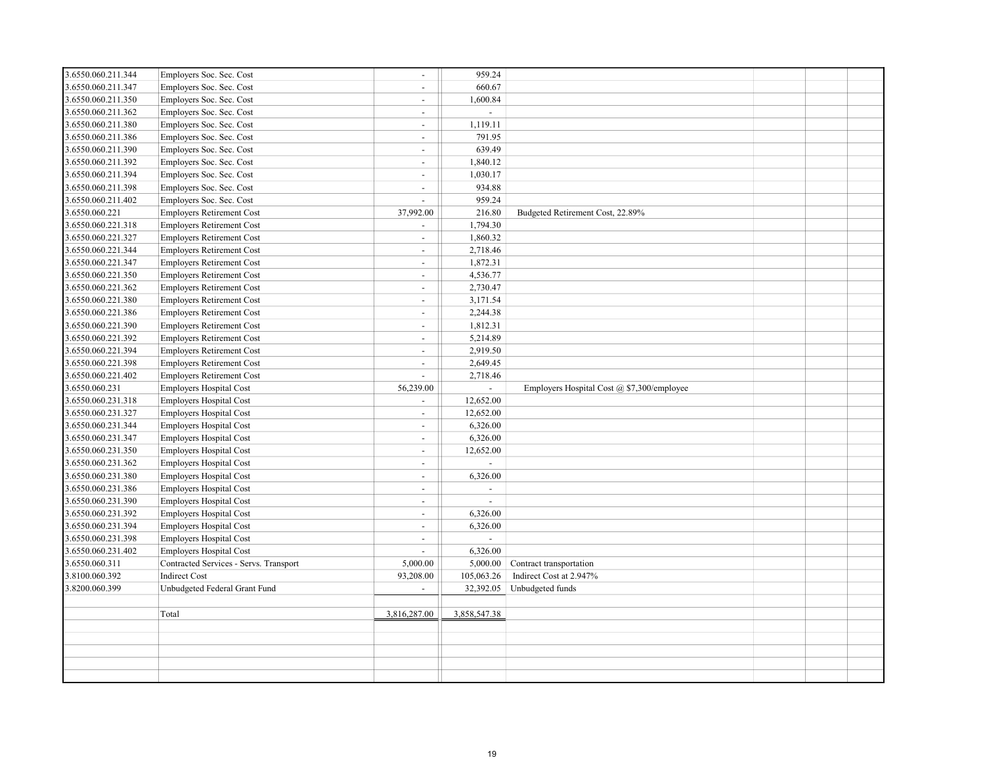| 3.6550.060.211.344 | Employers Soc. Sec. Cost               | $\sim$         | 959.24         |                                            |  |  |
|--------------------|----------------------------------------|----------------|----------------|--------------------------------------------|--|--|
| 3.6550.060.211.347 | Employers Soc. Sec. Cost               | $\sim$         | 660.67         |                                            |  |  |
| 3.6550.060.211.350 | Employers Soc. Sec. Cost               | $\sim$         | 1,600.84       |                                            |  |  |
| 3.6550.060.211.362 | Employers Soc. Sec. Cost               | $\sim$         | $\overline{a}$ |                                            |  |  |
| 3.6550.060.211.380 | Employers Soc. Sec. Cost               | $\sim$         | 1,119.11       |                                            |  |  |
| 3.6550.060.211.386 | Employers Soc. Sec. Cost               | $\sim$         | 791.95         |                                            |  |  |
| 3.6550.060.211.390 | Employers Soc. Sec. Cost               | $\sim$         | 639.49         |                                            |  |  |
| 3.6550.060.211.392 | Employers Soc. Sec. Cost               | $\sim$         | 1,840.12       |                                            |  |  |
| 3.6550.060.211.394 | Employers Soc. Sec. Cost               | $\sim$         | 1,030.17       |                                            |  |  |
| 3.6550.060.211.398 | Employers Soc. Sec. Cost               | $\sim$         | 934.88         |                                            |  |  |
| 3.6550.060.211.402 | Employers Soc. Sec. Cost               | $\sim$         | 959.24         |                                            |  |  |
| 3.6550.060.221     | <b>Employers Retirement Cost</b>       | 37,992.00      | 216.80         | Budgeted Retirement Cost, 22.89%           |  |  |
| 3.6550.060.221.318 | <b>Employers Retirement Cost</b>       | $\sim$         | 1,794.30       |                                            |  |  |
| 3.6550.060.221.327 | <b>Employers Retirement Cost</b>       | $\sim$         | 1,860.32       |                                            |  |  |
| 3.6550.060.221.344 | <b>Employers Retirement Cost</b>       | $\sim$         | 2,718.46       |                                            |  |  |
| 3.6550.060.221.347 | <b>Employers Retirement Cost</b>       | $\sim$         | 1,872.31       |                                            |  |  |
| 3.6550.060.221.350 | <b>Employers Retirement Cost</b>       | $\sim$         | 4,536.77       |                                            |  |  |
| 3.6550.060.221.362 | <b>Employers Retirement Cost</b>       | $\sim$         | 2,730.47       |                                            |  |  |
| 3.6550.060.221.380 | <b>Employers Retirement Cost</b>       | $\omega$       | 3,171.54       |                                            |  |  |
| 3.6550.060.221.386 | <b>Employers Retirement Cost</b>       | $\sim$         | 2,244.38       |                                            |  |  |
| 3.6550.060.221.390 | <b>Employers Retirement Cost</b>       | $\sim$         | 1,812.31       |                                            |  |  |
| 3.6550.060.221.392 | <b>Employers Retirement Cost</b>       | $\sim$         | 5,214.89       |                                            |  |  |
| 3.6550.060.221.394 | <b>Employers Retirement Cost</b>       | $\sim$         | 2,919.50       |                                            |  |  |
| 3.6550.060.221.398 | <b>Employers Retirement Cost</b>       | $\sim$         | 2,649.45       |                                            |  |  |
| 3.6550.060.221.402 | <b>Employers Retirement Cost</b>       | $\sim$         | 2,718.46       |                                            |  |  |
| 3.6550.060.231     | <b>Employers Hospital Cost</b>         | 56,239.00      | $\sim$         | Employers Hospital Cost @ \$7,300/employee |  |  |
| 3.6550.060.231.318 | <b>Employers Hospital Cost</b>         | $\sim$         | 12,652.00      |                                            |  |  |
| 3.6550.060.231.327 | <b>Employers Hospital Cost</b>         | $\sim$         | 12,652.00      |                                            |  |  |
| 3.6550.060.231.344 | <b>Employers Hospital Cost</b>         | $\sim$         | 6,326.00       |                                            |  |  |
| 3.6550.060.231.347 | <b>Employers Hospital Cost</b>         | $\sim$         | 6,326.00       |                                            |  |  |
| 3.6550.060.231.350 | <b>Employers Hospital Cost</b>         | $\mathbf{r}$   | 12,652.00      |                                            |  |  |
| 3.6550.060.231.362 | <b>Employers Hospital Cost</b>         | $\sim$         | $\overline{a}$ |                                            |  |  |
| 3.6550.060.231.380 | <b>Employers Hospital Cost</b>         | $\sim$         | 6,326.00       |                                            |  |  |
| 3.6550.060.231.386 | <b>Employers Hospital Cost</b>         | $\sim$         | $\blacksquare$ |                                            |  |  |
| 3.6550.060.231.390 | <b>Employers Hospital Cost</b>         | $\sim$         | $\overline{a}$ |                                            |  |  |
| 3.6550.060.231.392 | <b>Employers Hospital Cost</b>         | $\blacksquare$ | 6,326.00       |                                            |  |  |
| 3.6550.060.231.394 | <b>Employers Hospital Cost</b>         | $\sim$         | 6,326.00       |                                            |  |  |
| 3.6550.060.231.398 | <b>Employers Hospital Cost</b>         | $\sim$         | $\overline{a}$ |                                            |  |  |
| 3.6550.060.231.402 | Employers Hospital Cost                | $\overline{a}$ | 6,326.00       |                                            |  |  |
| 3.6550.060.311     | Contracted Services - Servs. Transport | 5,000.00       | 5,000.00       | Contract transportation                    |  |  |
| 3.8100.060.392     | Indirect Cost                          | 93,208.00      | 105,063.26     | Indirect Cost at 2.947%                    |  |  |
| 3.8200.060.399     | Unbudgeted Federal Grant Fund          | $\sim$         | 32,392.05      | Unbudgeted funds                           |  |  |
|                    |                                        |                |                |                                            |  |  |
|                    | Total                                  | 3,816,287.00   | 3,858,547.38   |                                            |  |  |
|                    |                                        |                |                |                                            |  |  |
|                    |                                        |                |                |                                            |  |  |
|                    |                                        |                |                |                                            |  |  |
|                    |                                        |                |                |                                            |  |  |
|                    |                                        |                |                |                                            |  |  |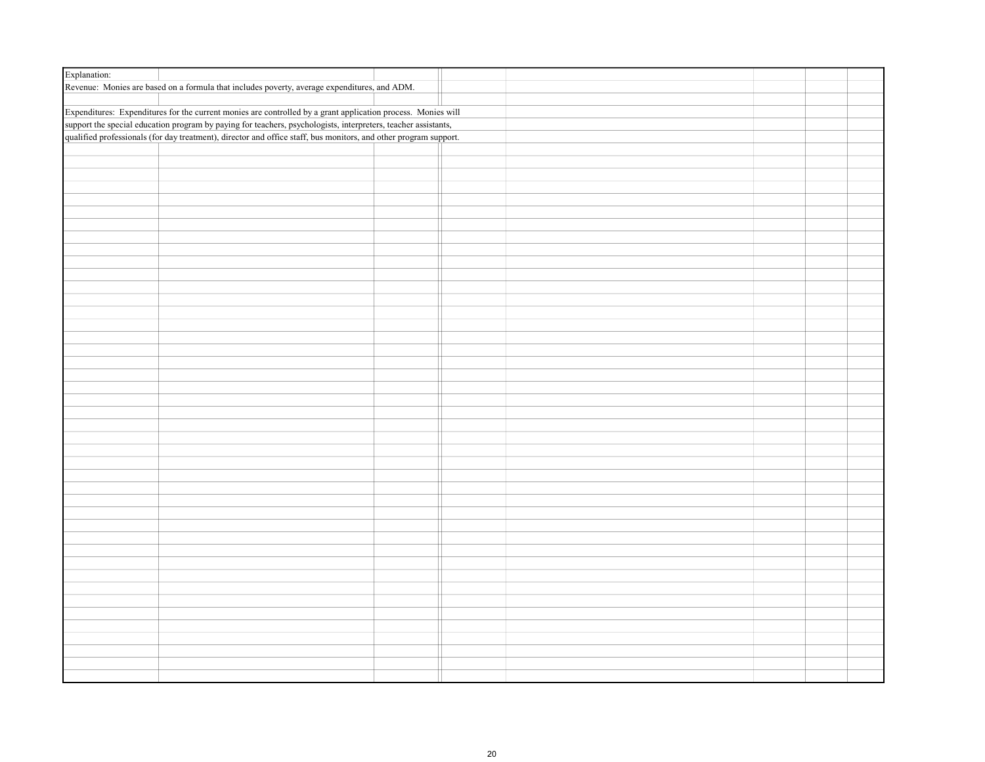| Explanation: |                                                                                                                  |  |  |  |
|--------------|------------------------------------------------------------------------------------------------------------------|--|--|--|
|              | Revenue: Monies are based on a formula that includes poverty, average expenditures, and ADM.                     |  |  |  |
|              |                                                                                                                  |  |  |  |
|              | Expenditures: Expenditures for the current monies are controlled by a grant application process. Monies will     |  |  |  |
|              | support the special education program by paying for teachers, psychologists, interpreters, teacher assistants,   |  |  |  |
|              | qualified professionals (for day treatment), director and office staff, bus monitors, and other program support. |  |  |  |
|              |                                                                                                                  |  |  |  |
|              |                                                                                                                  |  |  |  |
|              |                                                                                                                  |  |  |  |
|              |                                                                                                                  |  |  |  |
|              |                                                                                                                  |  |  |  |
|              |                                                                                                                  |  |  |  |
|              |                                                                                                                  |  |  |  |
|              |                                                                                                                  |  |  |  |
|              |                                                                                                                  |  |  |  |
|              |                                                                                                                  |  |  |  |
|              |                                                                                                                  |  |  |  |
|              |                                                                                                                  |  |  |  |
|              |                                                                                                                  |  |  |  |
|              |                                                                                                                  |  |  |  |
|              |                                                                                                                  |  |  |  |
|              |                                                                                                                  |  |  |  |
|              |                                                                                                                  |  |  |  |
|              |                                                                                                                  |  |  |  |
|              |                                                                                                                  |  |  |  |
|              |                                                                                                                  |  |  |  |
|              |                                                                                                                  |  |  |  |
|              |                                                                                                                  |  |  |  |
|              |                                                                                                                  |  |  |  |
|              |                                                                                                                  |  |  |  |
|              |                                                                                                                  |  |  |  |
|              |                                                                                                                  |  |  |  |
|              |                                                                                                                  |  |  |  |
|              |                                                                                                                  |  |  |  |
|              |                                                                                                                  |  |  |  |
|              |                                                                                                                  |  |  |  |
|              |                                                                                                                  |  |  |  |
|              |                                                                                                                  |  |  |  |
|              |                                                                                                                  |  |  |  |
|              |                                                                                                                  |  |  |  |
|              |                                                                                                                  |  |  |  |
|              |                                                                                                                  |  |  |  |
|              |                                                                                                                  |  |  |  |
|              |                                                                                                                  |  |  |  |
|              |                                                                                                                  |  |  |  |
|              |                                                                                                                  |  |  |  |
|              |                                                                                                                  |  |  |  |
|              |                                                                                                                  |  |  |  |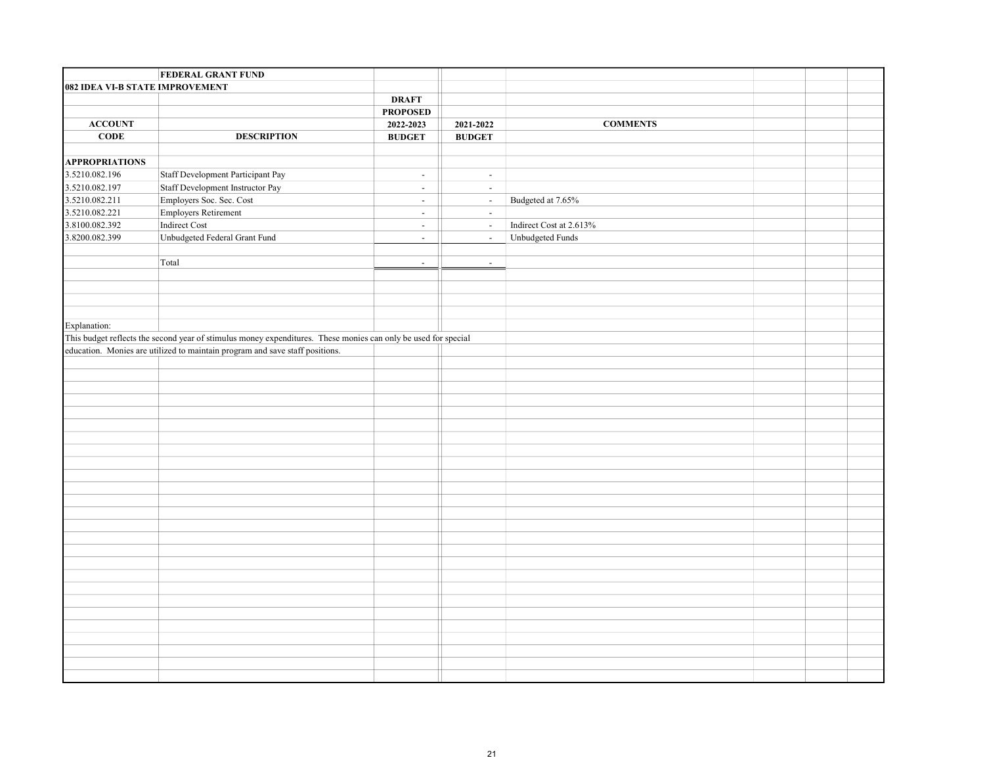|                                 | <b>FEDERAL GRANT FUND</b>                                                                                      |                 |                |                         |  |  |
|---------------------------------|----------------------------------------------------------------------------------------------------------------|-----------------|----------------|-------------------------|--|--|
| 082 IDEA VI-B STATE IMPROVEMENT |                                                                                                                |                 |                |                         |  |  |
|                                 |                                                                                                                | <b>DRAFT</b>    |                |                         |  |  |
|                                 |                                                                                                                | <b>PROPOSED</b> |                |                         |  |  |
| <b>ACCOUNT</b>                  |                                                                                                                | 2022-2023       | 2021-2022      | <b>COMMENTS</b>         |  |  |
| CODE                            | <b>DESCRIPTION</b>                                                                                             | <b>BUDGET</b>   | <b>BUDGET</b>  |                         |  |  |
|                                 |                                                                                                                |                 |                |                         |  |  |
| <b>APPROPRIATIONS</b>           |                                                                                                                |                 |                |                         |  |  |
| 3.5210.082.196                  | Staff Development Participant Pay                                                                              | $\sim$          | $\blacksquare$ |                         |  |  |
| 3.5210.082.197                  | Staff Development Instructor Pay                                                                               | $\omega$        | $\omega$       |                         |  |  |
| 3.5210.082.211                  | Employers Soc. Sec. Cost                                                                                       | $\sim$          | $\omega$       | Budgeted at 7.65%       |  |  |
| 3.5210.082.221                  | Employers Retirement                                                                                           | $\sim$          | $\omega$       |                         |  |  |
| 3.8100.082.392                  | Indirect Cost                                                                                                  | $\sim$          | $\omega$       | Indirect Cost at 2.613% |  |  |
| 3.8200.082.399                  | Unbudgeted Federal Grant Fund                                                                                  | $\sim$          | $\omega$       | Unbudgeted Funds        |  |  |
|                                 |                                                                                                                |                 |                |                         |  |  |
|                                 | Total                                                                                                          | $\sim$          | $\blacksquare$ |                         |  |  |
|                                 |                                                                                                                |                 |                |                         |  |  |
|                                 |                                                                                                                |                 |                |                         |  |  |
|                                 |                                                                                                                |                 |                |                         |  |  |
|                                 |                                                                                                                |                 |                |                         |  |  |
| Explanation:                    |                                                                                                                |                 |                |                         |  |  |
|                                 | This budget reflects the second year of stimulus money expenditures. These monies can only be used for special |                 |                |                         |  |  |
|                                 | education. Monies are utilized to maintain program and save staff positions.                                   |                 |                |                         |  |  |
|                                 |                                                                                                                |                 |                |                         |  |  |
|                                 |                                                                                                                |                 |                |                         |  |  |
|                                 |                                                                                                                |                 |                |                         |  |  |
|                                 |                                                                                                                |                 |                |                         |  |  |
|                                 |                                                                                                                |                 |                |                         |  |  |
|                                 |                                                                                                                |                 |                |                         |  |  |
|                                 |                                                                                                                |                 |                |                         |  |  |
|                                 |                                                                                                                |                 |                |                         |  |  |
|                                 |                                                                                                                |                 |                |                         |  |  |
|                                 |                                                                                                                |                 |                |                         |  |  |
|                                 |                                                                                                                |                 |                |                         |  |  |
|                                 |                                                                                                                |                 |                |                         |  |  |
|                                 |                                                                                                                |                 |                |                         |  |  |
|                                 |                                                                                                                |                 |                |                         |  |  |
|                                 |                                                                                                                |                 |                |                         |  |  |
|                                 |                                                                                                                |                 |                |                         |  |  |
|                                 |                                                                                                                |                 |                |                         |  |  |
|                                 |                                                                                                                |                 |                |                         |  |  |
|                                 |                                                                                                                |                 |                |                         |  |  |
|                                 |                                                                                                                |                 |                |                         |  |  |
|                                 |                                                                                                                |                 |                |                         |  |  |
|                                 |                                                                                                                |                 |                |                         |  |  |
|                                 |                                                                                                                |                 |                |                         |  |  |
|                                 |                                                                                                                |                 |                |                         |  |  |
|                                 |                                                                                                                |                 |                |                         |  |  |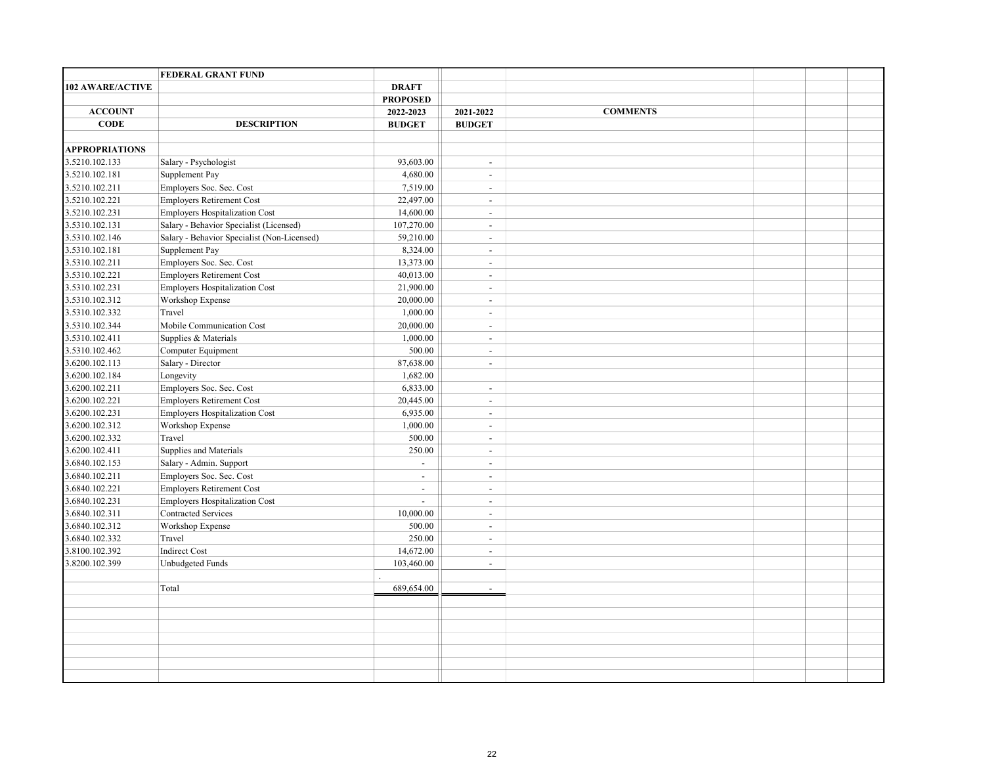|                         | <b>FEDERAL GRANT FUND</b>                   |                             |                |                 |  |  |
|-------------------------|---------------------------------------------|-----------------------------|----------------|-----------------|--|--|
| <b>102 AWARE/ACTIVE</b> |                                             | <b>DRAFT</b>                |                |                 |  |  |
|                         |                                             | <b>PROPOSED</b>             |                |                 |  |  |
| <b>ACCOUNT</b>          |                                             | 2022-2023                   | 2021-2022      | <b>COMMENTS</b> |  |  |
| <b>CODE</b>             | <b>DESCRIPTION</b>                          | <b>BUDGET</b>               | <b>BUDGET</b>  |                 |  |  |
|                         |                                             |                             |                |                 |  |  |
| <b>APPROPRIATIONS</b>   |                                             |                             |                |                 |  |  |
| 3.5210.102.133          | Salary - Psychologist                       | 93,603.00                   | $\sim$         |                 |  |  |
| 3.5210.102.181          | Supplement Pay                              | 4,680.00                    | $\blacksquare$ |                 |  |  |
| 3.5210.102.211          | Employers Soc. Sec. Cost                    | 7,519.00                    | $\blacksquare$ |                 |  |  |
| 3.5210.102.221          | <b>Employers Retirement Cost</b>            | 22,497.00                   | $\overline{a}$ |                 |  |  |
| 3.5210.102.231          | Employers Hospitalization Cost              | 14,600.00                   | $\blacksquare$ |                 |  |  |
| 3.5310.102.131          | Salary - Behavior Specialist (Licensed)     | 107,270.00                  | $\sim$         |                 |  |  |
| 3.5310.102.146          | Salary - Behavior Specialist (Non-Licensed) | 59,210.00                   | $\sim$         |                 |  |  |
| 3.5310.102.181          | Supplement Pay                              | 8,324.00                    | $\sim$         |                 |  |  |
| 3.5310.102.211          | Employers Soc. Sec. Cost                    | 13,373.00                   | $\sim$         |                 |  |  |
| 3.5310.102.221          | <b>Employers Retirement Cost</b>            | 40,013.00                   | $\sim$         |                 |  |  |
| 3.5310.102.231          | Employers Hospitalization Cost              | 21,900.00                   | $\overline{a}$ |                 |  |  |
| 3.5310.102.312          | Workshop Expense                            | 20,000.00                   | $\blacksquare$ |                 |  |  |
| 3.5310.102.332          | Travel                                      | 1,000.00                    | $\overline{a}$ |                 |  |  |
| 3.5310.102.344          | Mobile Communication Cost                   | 20,000.00                   | $\blacksquare$ |                 |  |  |
| 3.5310.102.411          | Supplies & Materials                        | 1,000.00                    | $\overline{a}$ |                 |  |  |
| 3.5310.102.462          | Computer Equipment                          | 500.00                      | $\sim$         |                 |  |  |
| 3.6200.102.113          | Salary - Director                           | 87,638.00                   | $\overline{a}$ |                 |  |  |
| 3.6200.102.184          | Longevity                                   | 1,682.00                    |                |                 |  |  |
| 3.6200.102.211          | Employers Soc. Sec. Cost                    | 6,833.00                    | $\sim$         |                 |  |  |
| 3.6200.102.221          | <b>Employers Retirement Cost</b>            | 20,445.00                   | $\sim$         |                 |  |  |
| 3.6200.102.231          | <b>Employers Hospitalization Cost</b>       | 6,935.00                    | $\blacksquare$ |                 |  |  |
| 3.6200.102.312          | Workshop Expense                            | 1,000.00                    | $\sim$         |                 |  |  |
| 3.6200.102.332          | Travel                                      | 500.00                      | $\overline{a}$ |                 |  |  |
| 3.6200.102.411          | Supplies and Materials                      | 250.00                      | $\blacksquare$ |                 |  |  |
| 3.6840.102.153          | Salary - Admin. Support                     | $\mathcal{L}^{\mathcal{A}}$ | $\sim$         |                 |  |  |
| 3.6840.102.211          | Employers Soc. Sec. Cost                    | $\overline{a}$              | $\sim$         |                 |  |  |
| 3.6840.102.221          | <b>Employers Retirement Cost</b>            | $\overline{\phantom{a}}$    | $\sim$         |                 |  |  |
| 3.6840.102.231          | <b>Employers Hospitalization Cost</b>       | $\mathcal{L}^{\mathcal{A}}$ | $\overline{a}$ |                 |  |  |
| 3.6840.102.311          | Contracted Services                         | 10,000.00                   | $\sim$         |                 |  |  |
| 3.6840.102.312          | Workshop Expense                            | 500.00                      | $\blacksquare$ |                 |  |  |
| 3.6840.102.332          | Travel                                      | 250.00                      | $\sim$         |                 |  |  |
| 3.8100.102.392          | <b>Indirect Cost</b>                        | 14,672.00                   | $\overline{a}$ |                 |  |  |
| 3.8200.102.399          | <b>Unbudgeted Funds</b>                     | 103,460.00                  | $\sim$         |                 |  |  |
|                         |                                             |                             |                |                 |  |  |
|                         | Total                                       | 689,654.00                  | $\omega$       |                 |  |  |
|                         |                                             |                             |                |                 |  |  |
|                         |                                             |                             |                |                 |  |  |
|                         |                                             |                             |                |                 |  |  |
|                         |                                             |                             |                |                 |  |  |
|                         |                                             |                             |                |                 |  |  |
|                         |                                             |                             |                |                 |  |  |
|                         |                                             |                             |                |                 |  |  |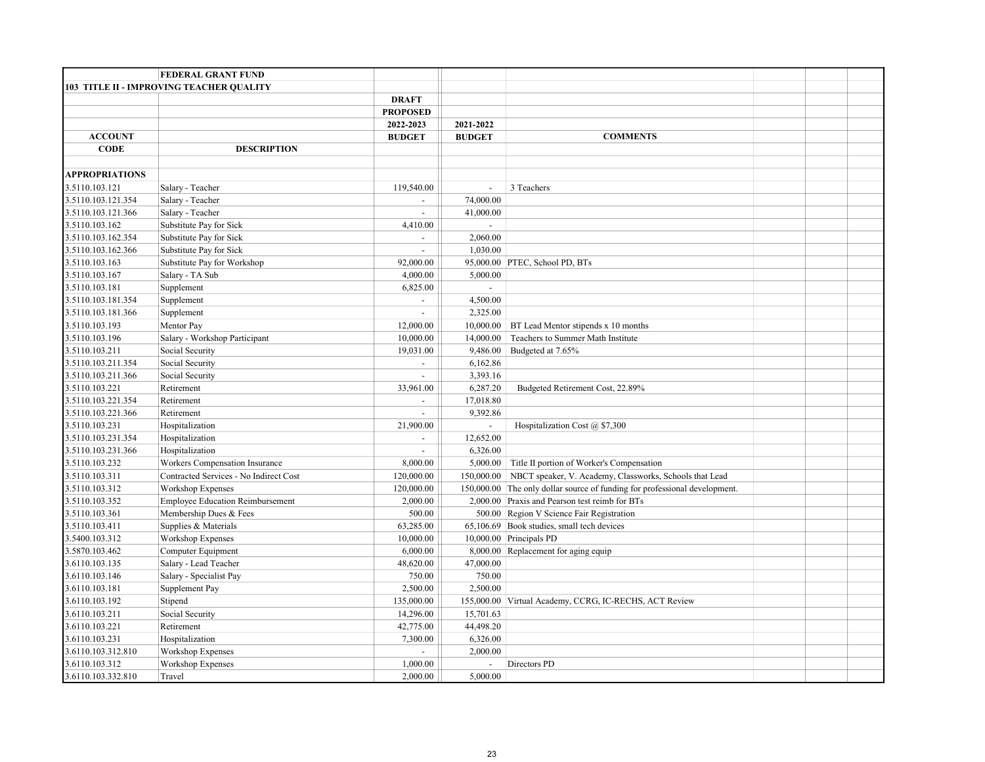|                       | <b>FEDERAL GRANT FUND</b>                |                          |                |                                                                            |  |  |
|-----------------------|------------------------------------------|--------------------------|----------------|----------------------------------------------------------------------------|--|--|
|                       | 103 TITLE II - IMPROVING TEACHER QUALITY |                          |                |                                                                            |  |  |
|                       |                                          | <b>DRAFT</b>             |                |                                                                            |  |  |
|                       |                                          | <b>PROPOSED</b>          |                |                                                                            |  |  |
|                       |                                          | 2022-2023                | 2021-2022      |                                                                            |  |  |
| <b>ACCOUNT</b>        |                                          | <b>BUDGET</b>            | <b>BUDGET</b>  | <b>COMMENTS</b>                                                            |  |  |
| <b>CODE</b>           | <b>DESCRIPTION</b>                       |                          |                |                                                                            |  |  |
|                       |                                          |                          |                |                                                                            |  |  |
| <b>APPROPRIATIONS</b> |                                          |                          |                |                                                                            |  |  |
| 3.5110.103.121        | Salary - Teacher                         | 119,540.00               | $\omega$       | 3 Teachers                                                                 |  |  |
| 3.5110.103.121.354    | Salary - Teacher                         | $\blacksquare$           | 74,000.00      |                                                                            |  |  |
| 3.5110.103.121.366    | Salary - Teacher                         | $\overline{a}$           | 41,000.00      |                                                                            |  |  |
| 3.5110.103.162        | Substitute Pay for Sick                  | 4,410.00                 |                |                                                                            |  |  |
| 3.5110.103.162.354    | Substitute Pay for Sick                  | $\overline{a}$           | 2,060.00       |                                                                            |  |  |
| 3.5110.103.162.366    | Substitute Pay for Sick                  | $\overline{a}$           | 1,030.00       |                                                                            |  |  |
| 3.5110.103.163        | Substitute Pay for Workshop              | 92,000.00                |                | 95,000.00 PTEC, School PD, BTs                                             |  |  |
| 3.5110.103.167        | Salary - TA Sub                          | 4,000.00                 | 5,000.00       |                                                                            |  |  |
| 3.5110.103.181        | Supplement                               | 6,825.00                 | $\overline{a}$ |                                                                            |  |  |
| 3.5110.103.181.354    | Supplement                               | $\overline{\phantom{a}}$ | 4,500.00       |                                                                            |  |  |
| 3.5110.103.181.366    | Supplement                               | $\overline{a}$           | 2,325.00       |                                                                            |  |  |
| 3.5110.103.193        | Mentor Pay                               | 12,000.00                | 10,000.00      | BT Lead Mentor stipends x 10 months                                        |  |  |
| 3.5110.103.196        | Salary - Workshop Participant            | 10,000.00                | 14,000.00      | Teachers to Summer Math Institute                                          |  |  |
| 3.5110.103.211        | Social Security                          | 19,031.00                | 9,486.00       | Budgeted at 7.65%                                                          |  |  |
| 3.5110.103.211.354    | Social Security                          | $\sim$                   | 6,162.86       |                                                                            |  |  |
| 3.5110.103.211.366    | Social Security                          | $\omega$                 | 3,393.16       |                                                                            |  |  |
| 3.5110.103.221        | Retirement                               | 33,961.00                | 6,287.20       | Budgeted Retirement Cost, 22.89%                                           |  |  |
| 3.5110.103.221.354    | Retirement                               | $\overline{\phantom{a}}$ | 17,018.80      |                                                                            |  |  |
| 3.5110.103.221.366    | Retirement                               | $\omega$                 | 9,392.86       |                                                                            |  |  |
| 3.5110.103.231        | Hospitalization                          | 21,900.00                | $\blacksquare$ | Hospitalization Cost $(a)$ \$7,300                                         |  |  |
| 3.5110.103.231.354    | Hospitalization                          | ÷.                       | 12,652.00      |                                                                            |  |  |
| 3.5110.103.231.366    | Hospitalization                          | $\omega$                 | 6,326.00       |                                                                            |  |  |
| 3.5110.103.232        | Workers Compensation Insurance           | 8,000.00                 | 5,000.00       | Title II portion of Worker's Compensation                                  |  |  |
| 3.5110.103.311        | Contracted Services - No Indirect Cost   | 120,000.00               | 150,000.00     | NBCT speaker, V. Academy, Classworks, Schools that Lead                    |  |  |
| 3.5110.103.312        | <b>Workshop Expenses</b>                 | 120,000.00               |                | 150,000.00 The only dollar source of funding for professional development. |  |  |
| 3.5110.103.352        | <b>Employee Education Reimbursement</b>  | 2,000.00                 |                | 2,000.00 Praxis and Pearson test reimb for BTs                             |  |  |
| 3.5110.103.361        | Membership Dues & Fees                   | 500.00                   |                | 500.00 Region V Science Fair Registration                                  |  |  |
| 3.5110.103.411        | Supplies & Materials                     | 63,285.00                |                | 65,106.69 Book studies, small tech devices                                 |  |  |
| 3.5400.103.312        | Workshop Expenses                        | 10,000.00                |                | 10,000.00 Principals PD                                                    |  |  |
| 3.5870.103.462        | Computer Equipment                       | 6,000.00                 |                | 8,000.00 Replacement for aging equip                                       |  |  |
| 3.6110.103.135        | Salary - Lead Teacher                    | 48,620.00                | 47,000.00      |                                                                            |  |  |
| 3.6110.103.146        | Salary - Specialist Pay                  | 750.00                   | 750.00         |                                                                            |  |  |
| 3.6110.103.181        | Supplement Pay                           | 2,500.00                 | 2,500.00       |                                                                            |  |  |
| 3.6110.103.192        | Stipend                                  | 135,000.00               |                | 155,000.00 Virtual Academy, CCRG, IC-RECHS, ACT Review                     |  |  |
| 3.6110.103.211        | Social Security                          | 14,296.00                | 15,701.63      |                                                                            |  |  |
| 3.6110.103.221        | Retirement                               | 42,775.00                | 44,498.20      |                                                                            |  |  |
| 3.6110.103.231        | Hospitalization                          | 7,300.00                 | 6,326.00       |                                                                            |  |  |
| 3.6110.103.312.810    | Workshop Expenses                        | $\overline{\phantom{a}}$ | 2,000.00       |                                                                            |  |  |
| 3.6110.103.312        | Workshop Expenses                        | 1,000.00                 | $\sim$         | Directors PD                                                               |  |  |
| 3.6110.103.332.810    | Travel                                   | 2,000.00                 | 5,000.00       |                                                                            |  |  |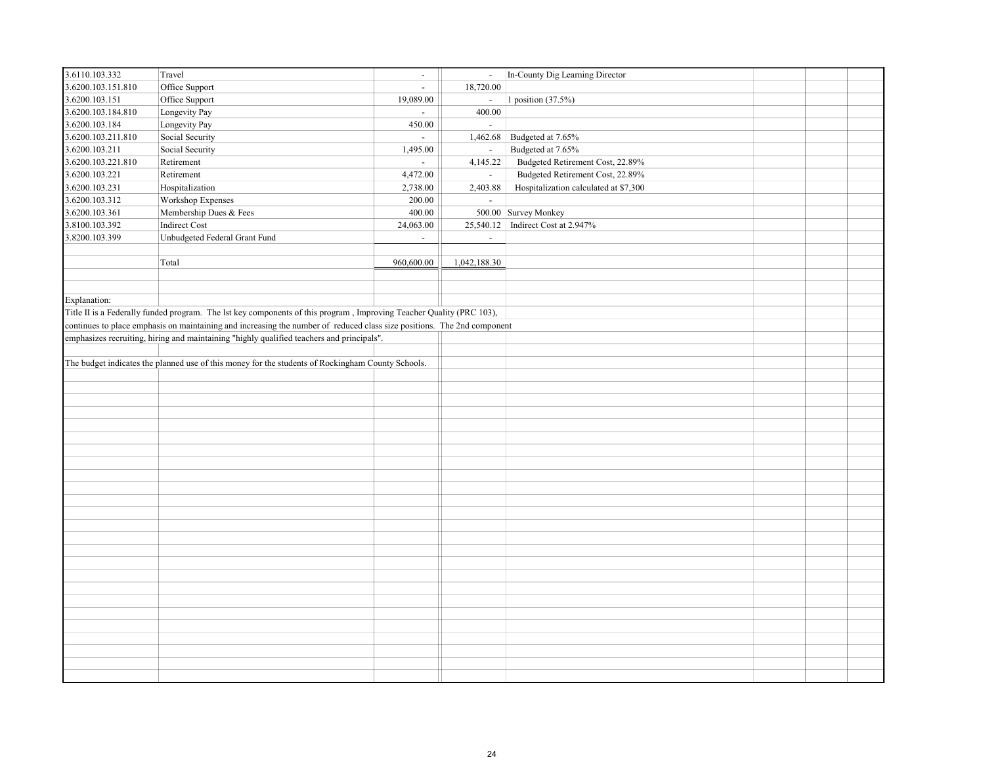| 3.6110.103.332     | Travel                                                                                                                  | $\sim$                    | $\blacksquare$            | In-County Dig Learning Director       |  |  |
|--------------------|-------------------------------------------------------------------------------------------------------------------------|---------------------------|---------------------------|---------------------------------------|--|--|
| 3.6200.103.151.810 | Office Support                                                                                                          | $\sim$                    | 18,720.00                 |                                       |  |  |
| 3.6200.103.151     | Office Support                                                                                                          | 19,089.00                 | $\omega_{\rm c}$          | 1 position (37.5%)                    |  |  |
| 3.6200.103.184.810 | Longevity Pay                                                                                                           | $\sim$                    | 400.00                    |                                       |  |  |
| 3.6200.103.184     | Longevity Pay                                                                                                           | 450.00                    | $\sim$                    |                                       |  |  |
| 3.6200.103.211.810 | Social Security                                                                                                         | $\mathbb{Z}^{\mathbb{Z}}$ | 1,462.68                  | Budgeted at 7.65%                     |  |  |
| 3.6200.103.211     | Social Security                                                                                                         | 1,495.00                  | $\sim$                    | Budgeted at 7.65%                     |  |  |
| 3.6200.103.221.810 | Retirement                                                                                                              | $\mathcal{L}^{\pm}$       | 4,145.22                  | Budgeted Retirement Cost, 22.89%      |  |  |
| 3.6200.103.221     | Retirement                                                                                                              | 4,472.00                  | $\sim$                    | Budgeted Retirement Cost, 22.89%      |  |  |
| 3.6200.103.231     | Hospitalization                                                                                                         | 2,738.00                  | 2,403.88                  | Hospitalization calculated at \$7,300 |  |  |
| 3.6200.103.312     | Workshop Expenses                                                                                                       | 200.00                    | $\mathbb{Z}^{\mathbb{Z}}$ |                                       |  |  |
| 3.6200.103.361     | Membership Dues & Fees                                                                                                  | 400.00                    | 500.00                    | Survey Monkey                         |  |  |
| 3.8100.103.392     | Indirect Cost                                                                                                           | 24,063.00                 | 25,540.12                 | Indirect Cost at 2.947%               |  |  |
| 3.8200.103.399     | Unbudgeted Federal Grant Fund                                                                                           | $\mathbf{r}$              | $\blacksquare$            |                                       |  |  |
|                    |                                                                                                                         |                           |                           |                                       |  |  |
|                    | Total                                                                                                                   | 960,600.00                | 1,042,188.30              |                                       |  |  |
|                    |                                                                                                                         |                           |                           |                                       |  |  |
|                    |                                                                                                                         |                           |                           |                                       |  |  |
| Explanation:       |                                                                                                                         |                           |                           |                                       |  |  |
|                    | Title II is a Federally funded program. The lst key components of this program, Improving Teacher Quality (PRC 103),    |                           |                           |                                       |  |  |
|                    | continues to place emphasis on maintaining and increasing the number of reduced class size positions. The 2nd component |                           |                           |                                       |  |  |
|                    | emphasizes recruiting, hiring and maintaining "highly qualified teachers and principals".                               |                           |                           |                                       |  |  |
|                    |                                                                                                                         |                           |                           |                                       |  |  |
|                    | The budget indicates the planned use of this money for the students of Rockingham County Schools.                       |                           |                           |                                       |  |  |
|                    |                                                                                                                         |                           |                           |                                       |  |  |
|                    |                                                                                                                         |                           |                           |                                       |  |  |
|                    |                                                                                                                         |                           |                           |                                       |  |  |
|                    |                                                                                                                         |                           |                           |                                       |  |  |
|                    |                                                                                                                         |                           |                           |                                       |  |  |
|                    |                                                                                                                         |                           |                           |                                       |  |  |
|                    |                                                                                                                         |                           |                           |                                       |  |  |
|                    |                                                                                                                         |                           |                           |                                       |  |  |
|                    |                                                                                                                         |                           |                           |                                       |  |  |
|                    |                                                                                                                         |                           |                           |                                       |  |  |
|                    |                                                                                                                         |                           |                           |                                       |  |  |
|                    |                                                                                                                         |                           |                           |                                       |  |  |
|                    |                                                                                                                         |                           |                           |                                       |  |  |
|                    |                                                                                                                         |                           |                           |                                       |  |  |
|                    |                                                                                                                         |                           |                           |                                       |  |  |
|                    |                                                                                                                         |                           |                           |                                       |  |  |
|                    |                                                                                                                         |                           |                           |                                       |  |  |
|                    |                                                                                                                         |                           |                           |                                       |  |  |
|                    |                                                                                                                         |                           |                           |                                       |  |  |
|                    |                                                                                                                         |                           |                           |                                       |  |  |
|                    |                                                                                                                         |                           |                           |                                       |  |  |
|                    |                                                                                                                         |                           |                           |                                       |  |  |
|                    |                                                                                                                         |                           |                           |                                       |  |  |
|                    |                                                                                                                         |                           |                           |                                       |  |  |
|                    |                                                                                                                         |                           |                           |                                       |  |  |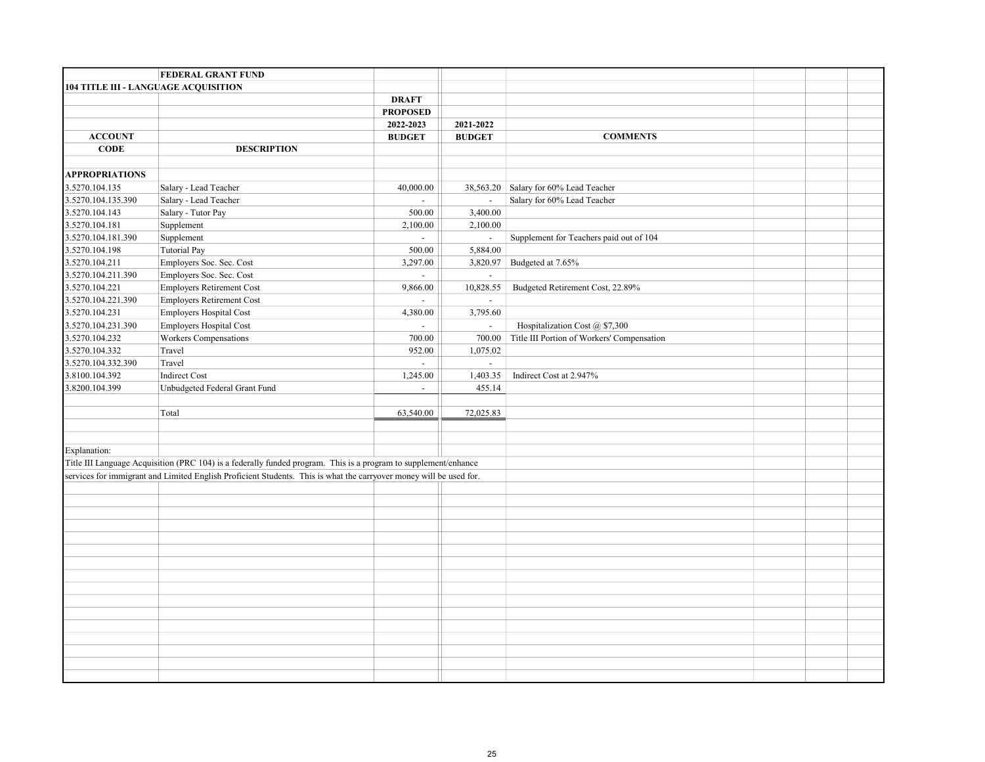|                       | <b>FEDERAL GRANT FUND</b>                                                                                          |                             |                |                                            |  |  |
|-----------------------|--------------------------------------------------------------------------------------------------------------------|-----------------------------|----------------|--------------------------------------------|--|--|
|                       | 104 TITLE III - LANGUAGE ACQUISITION                                                                               |                             |                |                                            |  |  |
|                       |                                                                                                                    | <b>DRAFT</b>                |                |                                            |  |  |
|                       |                                                                                                                    | <b>PROPOSED</b>             |                |                                            |  |  |
|                       |                                                                                                                    | 2022-2023                   | 2021-2022      |                                            |  |  |
| <b>ACCOUNT</b>        |                                                                                                                    | <b>BUDGET</b>               | <b>BUDGET</b>  | <b>COMMENTS</b>                            |  |  |
| <b>CODE</b>           | <b>DESCRIPTION</b>                                                                                                 |                             |                |                                            |  |  |
|                       |                                                                                                                    |                             |                |                                            |  |  |
| <b>APPROPRIATIONS</b> |                                                                                                                    |                             |                |                                            |  |  |
| 3.5270.104.135        | Salary - Lead Teacher                                                                                              | 40,000.00                   | 38,563.20      | Salary for 60% Lead Teacher                |  |  |
| 3.5270.104.135.390    | Salary - Lead Teacher                                                                                              | $\sim$                      | $\omega$       | Salary for 60% Lead Teacher                |  |  |
| 3.5270.104.143        | Salary - Tutor Pay                                                                                                 | 500.00                      | 3,400.00       |                                            |  |  |
| 3.5270.104.181        | Supplement                                                                                                         | 2,100.00                    | 2,100.00       |                                            |  |  |
| 3.5270.104.181.390    | Supplement                                                                                                         | $\sim$                      | $\blacksquare$ | Supplement for Teachers paid out of 104    |  |  |
| 3.5270.104.198        | Tutorial Pay                                                                                                       | 500.00                      | 5,884.00       |                                            |  |  |
| 3.5270.104.211        | Employers Soc. Sec. Cost                                                                                           | 3,297.00                    | 3,820.97       | Budgeted at 7.65%                          |  |  |
| 3.5270.104.211.390    | Employers Soc. Sec. Cost                                                                                           | $\sim$                      | $\blacksquare$ |                                            |  |  |
| 3.5270.104.221        | Employers Retirement Cost                                                                                          | 9,866.00                    | 10,828.55      | Budgeted Retirement Cost, 22.89%           |  |  |
| 3.5270.104.221.390    | <b>Employers Retirement Cost</b>                                                                                   | $\mathcal{L}^{\mathcal{A}}$ | $\blacksquare$ |                                            |  |  |
| 3.5270.104.231        | Employers Hospital Cost                                                                                            | 4,380.00                    | 3,795.60       |                                            |  |  |
| 3.5270.104.231.390    | Employers Hospital Cost                                                                                            | $\mathcal{L}^{\mathcal{A}}$ | $\omega$       | Hospitalization Cost @ \$7,300             |  |  |
| 3.5270.104.232        | Workers Compensations                                                                                              | 700.00                      | 700.00         | Title III Portion of Workers' Compensation |  |  |
| 3.5270.104.332        | Travel                                                                                                             | 952.00                      | 1,075.02       |                                            |  |  |
| 3.5270.104.332.390    | Travel                                                                                                             | $\sim$                      | $\sim$         |                                            |  |  |
| 3.8100.104.392        | Indirect Cost                                                                                                      | 1,245.00                    | 1,403.35       | Indirect Cost at 2.947%                    |  |  |
| 3.8200.104.399        | Unbudgeted Federal Grant Fund                                                                                      | $\sim$                      | 455.14         |                                            |  |  |
|                       | Total                                                                                                              | 63,540.00                   | 72,025.83      |                                            |  |  |
|                       |                                                                                                                    |                             |                |                                            |  |  |
|                       |                                                                                                                    |                             |                |                                            |  |  |
| Explanation:          |                                                                                                                    |                             |                |                                            |  |  |
|                       | Title III Language Acquisition (PRC 104) is a federally funded program. This is a program to supplement/enhance    |                             |                |                                            |  |  |
|                       | services for immigrant and Limited English Proficient Students. This is what the carryover money will be used for. |                             |                |                                            |  |  |
|                       |                                                                                                                    |                             |                |                                            |  |  |
|                       |                                                                                                                    |                             |                |                                            |  |  |
|                       |                                                                                                                    |                             |                |                                            |  |  |
|                       |                                                                                                                    |                             |                |                                            |  |  |
|                       |                                                                                                                    |                             |                |                                            |  |  |
|                       |                                                                                                                    |                             |                |                                            |  |  |
|                       |                                                                                                                    |                             |                |                                            |  |  |
|                       |                                                                                                                    |                             |                |                                            |  |  |
|                       |                                                                                                                    |                             |                |                                            |  |  |
|                       |                                                                                                                    |                             |                |                                            |  |  |
|                       |                                                                                                                    |                             |                |                                            |  |  |
|                       |                                                                                                                    |                             |                |                                            |  |  |
|                       |                                                                                                                    |                             |                |                                            |  |  |
|                       |                                                                                                                    |                             |                |                                            |  |  |
|                       |                                                                                                                    |                             |                |                                            |  |  |
|                       |                                                                                                                    |                             |                |                                            |  |  |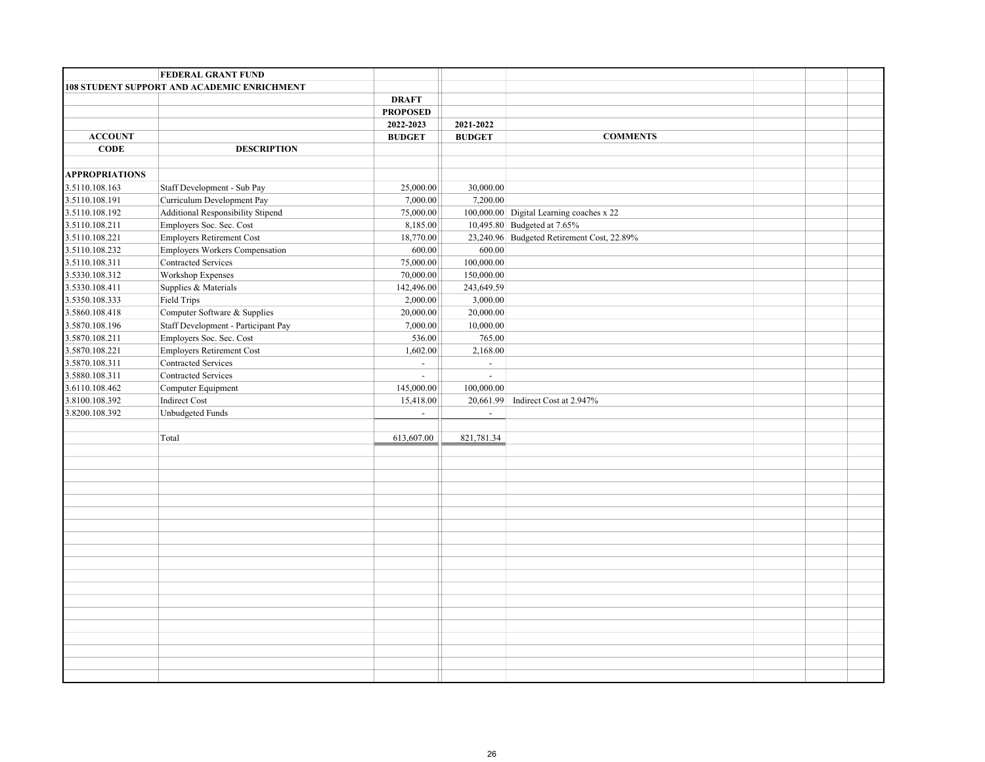|                                  | <b>FEDERAL GRANT FUND</b>                   |                 |                          |                                            |  |
|----------------------------------|---------------------------------------------|-----------------|--------------------------|--------------------------------------------|--|
|                                  | 108 STUDENT SUPPORT AND ACADEMIC ENRICHMENT |                 |                          |                                            |  |
|                                  |                                             | <b>DRAFT</b>    |                          |                                            |  |
|                                  |                                             | <b>PROPOSED</b> |                          |                                            |  |
|                                  |                                             | 2022-2023       | 2021-2022                |                                            |  |
| <b>ACCOUNT</b>                   |                                             | <b>BUDGET</b>   | <b>BUDGET</b>            | <b>COMMENTS</b>                            |  |
| <b>CODE</b>                      | <b>DESCRIPTION</b>                          |                 |                          |                                            |  |
|                                  |                                             |                 |                          |                                            |  |
| <b>APPROPRIATIONS</b>            |                                             |                 |                          |                                            |  |
| 3.5110.108.163                   | Staff Development - Sub Pay                 | 25,000.00       | 30,000.00                |                                            |  |
| 3.5110.108.191                   | Curriculum Development Pay                  | 7,000.00        | 7,200.00                 |                                            |  |
| 3.5110.108.192                   | Additional Responsibility Stipend           | 75,000.00       |                          | 100,000.00 Digital Learning coaches x 22   |  |
| 3.5110.108.211                   | Employers Soc. Sec. Cost                    | 8,185.00        |                          | 10,495.80 Budgeted at 7.65%                |  |
| 3.5110.108.221                   | Employers Retirement Cost                   | 18,770.00       |                          | 23,240.96 Budgeted Retirement Cost, 22.89% |  |
| 3.5110.108.232                   | Employers Workers Compensation              | 600.00          | 600.00                   |                                            |  |
| 3.5110.108.311                   | <b>Contracted Services</b>                  | 75,000.00       | 100,000.00               |                                            |  |
| 3.5330.108.312                   | Workshop Expenses                           | 70,000.00       | 150,000.00               |                                            |  |
| 3.5330.108.411                   | Supplies & Materials                        | 142,496.00      | 243,649.59               |                                            |  |
| 3.5350.108.333                   | Field Trips                                 | 2,000.00        | 3,000.00                 |                                            |  |
| 3.5860.108.418                   | Computer Software & Supplies                | 20,000.00       | 20,000.00                |                                            |  |
| 3.5870.108.196                   | Staff Development - Participant Pay         | 7,000.00        | 10,000.00                |                                            |  |
| 3.5870.108.211                   | Employers Soc. Sec. Cost                    | 536.00          | 765.00                   |                                            |  |
| 3.5870.108.221                   | Employers Retirement Cost                   | 1,602.00        | 2,168.00                 |                                            |  |
| 3.5870.108.311                   | Contracted Services                         | $\sim$          | $\blacksquare$           |                                            |  |
| 3.5880.108.311                   | <b>Contracted Services</b>                  | $\mathbb{Z}^+$  | $\mathcal{L}$            |                                            |  |
| 3.6110.108.462                   | Computer Equipment                          | 145,000.00      | 100,000.00               |                                            |  |
| 3.8100.108.392<br>3.8200.108.392 | Indirect Cost<br>Unbudgeted Funds           | 15,418.00       |                          | 20,661.99 Indirect Cost at 2.947%          |  |
|                                  |                                             | $\sim$          | $\overline{\phantom{a}}$ |                                            |  |
|                                  | Total                                       | 613,607.00      | 821,781.34               |                                            |  |
|                                  |                                             |                 |                          |                                            |  |
|                                  |                                             |                 |                          |                                            |  |
|                                  |                                             |                 |                          |                                            |  |
|                                  |                                             |                 |                          |                                            |  |
|                                  |                                             |                 |                          |                                            |  |
|                                  |                                             |                 |                          |                                            |  |
|                                  |                                             |                 |                          |                                            |  |
|                                  |                                             |                 |                          |                                            |  |
|                                  |                                             |                 |                          |                                            |  |
|                                  |                                             |                 |                          |                                            |  |
|                                  |                                             |                 |                          |                                            |  |
|                                  |                                             |                 |                          |                                            |  |
|                                  |                                             |                 |                          |                                            |  |
|                                  |                                             |                 |                          |                                            |  |
|                                  |                                             |                 |                          |                                            |  |
|                                  |                                             |                 |                          |                                            |  |
|                                  |                                             |                 |                          |                                            |  |
|                                  |                                             |                 |                          |                                            |  |
|                                  |                                             |                 |                          |                                            |  |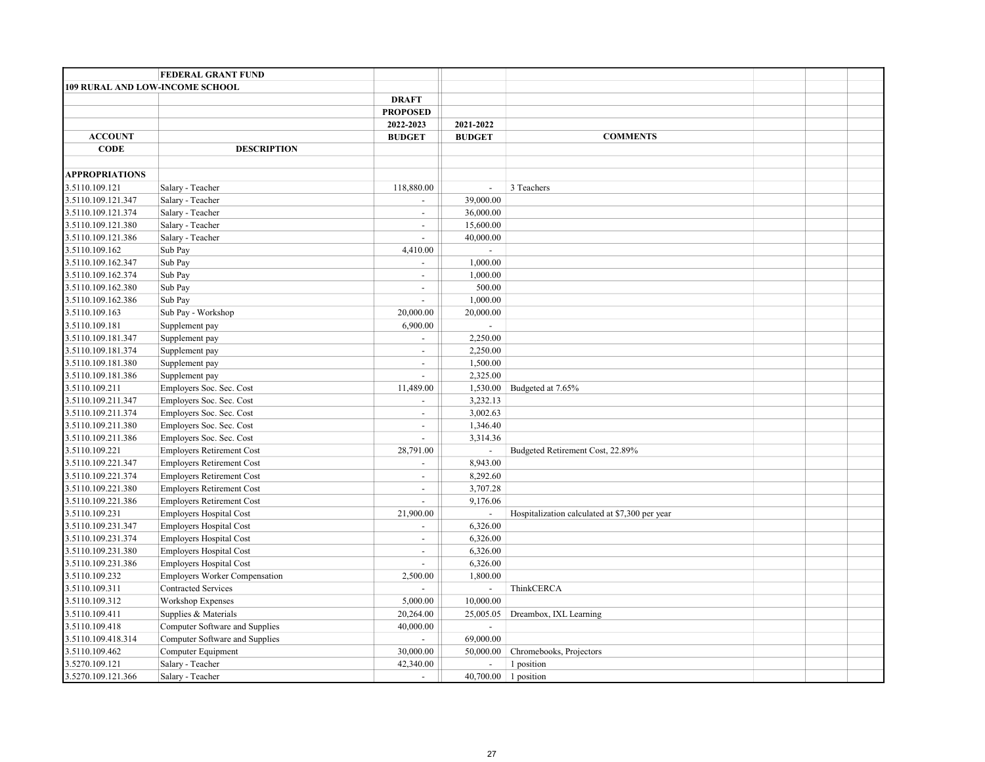|                                        | FEDERAL GRANT FUND               |                          |                          |                                                |  |  |
|----------------------------------------|----------------------------------|--------------------------|--------------------------|------------------------------------------------|--|--|
| <b>109 RURAL AND LOW-INCOME SCHOOL</b> |                                  |                          |                          |                                                |  |  |
|                                        |                                  | <b>DRAFT</b>             |                          |                                                |  |  |
|                                        |                                  | <b>PROPOSED</b>          |                          |                                                |  |  |
|                                        |                                  | 2022-2023                | 2021-2022                |                                                |  |  |
| <b>ACCOUNT</b>                         |                                  | <b>BUDGET</b>            | <b>BUDGET</b>            | <b>COMMENTS</b>                                |  |  |
| <b>CODE</b>                            | <b>DESCRIPTION</b>               |                          |                          |                                                |  |  |
|                                        |                                  |                          |                          |                                                |  |  |
| <b>APPROPRIATIONS</b>                  |                                  |                          |                          |                                                |  |  |
| 3.5110.109.121                         | Salary - Teacher                 | 118,880.00               | $\overline{\phantom{a}}$ | 3 Teachers                                     |  |  |
| 3.5110.109.121.347                     | Salary - Teacher                 | $\blacksquare$           | 39,000.00                |                                                |  |  |
| 3.5110.109.121.374                     | Salary - Teacher                 | $\mathbf{r}$             | 36,000.00                |                                                |  |  |
| 3.5110.109.121.380                     | Salary - Teacher                 | $\overline{a}$           | 15,600.00                |                                                |  |  |
| 3.5110.109.121.386                     | Salary - Teacher                 | $\overline{a}$           | 40,000.00                |                                                |  |  |
| 3.5110.109.162                         | Sub Pay                          | 4,410.00                 | $\overline{a}$           |                                                |  |  |
| 3.5110.109.162.347                     | $\operatorname{Sub}$ Pay         | $\overline{a}$           | 1,000.00                 |                                                |  |  |
| 3.5110.109.162.374                     | Sub Pay                          | $\blacksquare$           | 1,000.00                 |                                                |  |  |
| 3.5110.109.162.380                     | Sub Pay                          | $\sim$                   | 500.00                   |                                                |  |  |
| 3.5110.109.162.386                     | Sub Pay                          | $\overline{a}$           | 1,000.00                 |                                                |  |  |
| 3.5110.109.163                         | Sub Pay - Workshop               | 20,000.00                | 20,000.00                |                                                |  |  |
| 3.5110.109.181                         | Supplement pay                   | 6,900.00                 |                          |                                                |  |  |
| 3.5110.109.181.347                     | Supplement pay                   | $\blacksquare$           | 2,250.00                 |                                                |  |  |
| 3.5110.109.181.374                     | Supplement pay                   | $\blacksquare$           | 2,250.00                 |                                                |  |  |
| 3.5110.109.181.380                     | Supplement pay                   | $\overline{\phantom{a}}$ | 1,500.00                 |                                                |  |  |
| 3.5110.109.181.386                     | Supplement pay                   | $\overline{a}$           | 2,325.00                 |                                                |  |  |
| 3.5110.109.211                         | Employers Soc. Sec. Cost         | 11,489.00                | 1,530.00                 | Budgeted at 7.65%                              |  |  |
| 3.5110.109.211.347                     | Employers Soc. Sec. Cost         | $\blacksquare$           | 3,232.13                 |                                                |  |  |
| 3.5110.109.211.374                     | Employers Soc. Sec. Cost         | $\sim$                   | 3,002.63                 |                                                |  |  |
| 3.5110.109.211.380                     | Employers Soc. Sec. Cost         | $\sim$                   | 1,346.40                 |                                                |  |  |
| 3.5110.109.211.386                     | Employers Soc. Sec. Cost         | $\mathbb{Z}^2$           | 3,314.36                 |                                                |  |  |
| 3.5110.109.221                         | <b>Employers Retirement Cost</b> | 28,791.00                | $\overline{\phantom{a}}$ | Budgeted Retirement Cost, 22.89%               |  |  |
| 3.5110.109.221.347                     | <b>Employers Retirement Cost</b> | $\overline{a}$           | 8,943.00                 |                                                |  |  |
| 3.5110.109.221.374                     | <b>Employers Retirement Cost</b> | $\blacksquare$           | 8,292.60                 |                                                |  |  |
| 3.5110.109.221.380                     | <b>Employers Retirement Cost</b> | $\blacksquare$           | 3,707.28                 |                                                |  |  |
| 3.5110.109.221.386                     | <b>Employers Retirement Cost</b> | $\blacksquare$           | 9,176.06                 |                                                |  |  |
| 3.5110.109.231                         | <b>Employers Hospital Cost</b>   | 21,900.00                | $\overline{a}$           | Hospitalization calculated at \$7,300 per year |  |  |
| 3.5110.109.231.347                     | <b>Employers Hospital Cost</b>   | $\overline{a}$           | 6,326.00                 |                                                |  |  |
| 3.5110.109.231.374                     | <b>Employers Hospital Cost</b>   | $\sim$                   | 6,326.00                 |                                                |  |  |
| 3.5110.109.231.380                     | <b>Employers Hospital Cost</b>   | $\overline{a}$           | 6,326.00                 |                                                |  |  |
| 3.5110.109.231.386                     | <b>Employers Hospital Cost</b>   | $\overline{\phantom{a}}$ | 6,326.00                 |                                                |  |  |
| 3.5110.109.232                         | Employers Worker Compensation    | 2,500.00                 | 1,800.00                 |                                                |  |  |
| 3.5110.109.311                         | <b>Contracted Services</b>       |                          | $\omega$                 | ThinkCERCA                                     |  |  |
| 3.5110.109.312                         | Workshop Expenses                | 5,000.00                 | 10,000.00                |                                                |  |  |
| 3.5110.109.411                         | Supplies & Materials             | 20,264.00                | 25,005.05                | Dreambox, IXL Learning                         |  |  |
| 3.5110.109.418                         | Computer Software and Supplies   | 40,000.00                | $\overline{\phantom{a}}$ |                                                |  |  |
| 3.5110.109.418.314                     | Computer Software and Supplies   | ÷.                       | 69,000.00                |                                                |  |  |
| 3.5110.109.462                         | Computer Equipment               | 30,000.00                | 50,000.00                | Chromebooks, Projectors                        |  |  |
| 3.5270.109.121                         | Salary - Teacher                 | 42,340.00                | $\overline{\phantom{a}}$ | 1 position                                     |  |  |
| 3.5270.109.121.366                     | Salary - Teacher                 | $\sim$                   |                          | 40,700.00 1 position                           |  |  |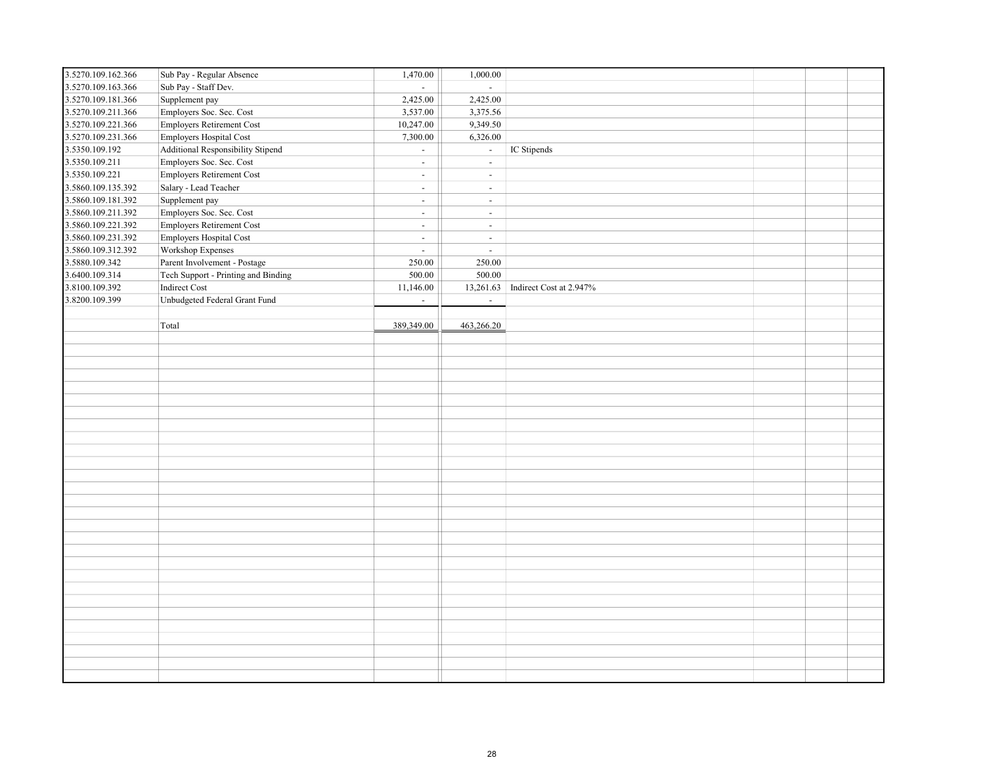| 3.5270.109.162.366 | Sub Pay - Regular Absence           | 1,470.00       | 1,000.00                 |                         |  |  |
|--------------------|-------------------------------------|----------------|--------------------------|-------------------------|--|--|
| 3.5270.109.163.366 | Sub Pay - Staff Dev.                | $\mathbf{r}$   | $\mathcal{L}$            |                         |  |  |
| 3.5270.109.181.366 | Supplement pay                      | 2,425.00       | 2,425.00                 |                         |  |  |
| 3.5270.109.211.366 | Employers Soc. Sec. Cost            | 3,537.00       | 3,375.56                 |                         |  |  |
| 3.5270.109.221.366 | Employers Retirement Cost           | 10,247.00      | 9,349.50                 |                         |  |  |
| 3.5270.109.231.366 | Employers Hospital Cost             | 7,300.00       | 6,326.00                 |                         |  |  |
| 3.5350.109.192     | Additional Responsibility Stipend   | $\sim$         | $\omega_{\rm c}$         | IC Stipends             |  |  |
| 3.5350.109.211     | Employers Soc. Sec. Cost            | $\omega$       | $\omega$                 |                         |  |  |
| 3.5350.109.221     | Employers Retirement Cost           | $\sim$         | $\overline{\phantom{a}}$ |                         |  |  |
| 3.5860.109.135.392 | Salary - Lead Teacher               | $\omega$       | $\omega$                 |                         |  |  |
| 3.5860.109.181.392 | Supplement pay                      | $\sim$         | $\blacksquare$           |                         |  |  |
| 3.5860.109.211.392 | Employers Soc. Sec. Cost            | $\sim$         | $\omega$                 |                         |  |  |
| 3.5860.109.221.392 | Employers Retirement Cost           | $\sim$         | $\sim$                   |                         |  |  |
| 3.5860.109.231.392 | Employers Hospital Cost             | $\mathbb{Z}^2$ | $\omega$                 |                         |  |  |
| 3.5860.109.312.392 | Workshop Expenses                   | $\sim$         | $\omega$                 |                         |  |  |
| 3.5880.109.342     | Parent Involvement - Postage        | 250.00         | 250.00                   |                         |  |  |
| 3.6400.109.314     | Tech Support - Printing and Binding | 500.00         | 500.00                   |                         |  |  |
| 3.8100.109.392     | Indirect Cost                       | 11,146.00      | 13,261.63                | Indirect Cost at 2.947% |  |  |
| 3.8200.109.399     | Unbudgeted Federal Grant Fund       | $\mathbb{L}$   | $\omega$                 |                         |  |  |
|                    |                                     |                |                          |                         |  |  |
|                    | Total                               | 389,349.00     | 463,266.20               |                         |  |  |
|                    |                                     |                |                          |                         |  |  |
|                    |                                     |                |                          |                         |  |  |
|                    |                                     |                |                          |                         |  |  |
|                    |                                     |                |                          |                         |  |  |
|                    |                                     |                |                          |                         |  |  |
|                    |                                     |                |                          |                         |  |  |
|                    |                                     |                |                          |                         |  |  |
|                    |                                     |                |                          |                         |  |  |
|                    |                                     |                |                          |                         |  |  |
|                    |                                     |                |                          |                         |  |  |
|                    |                                     |                |                          |                         |  |  |
|                    |                                     |                |                          |                         |  |  |
|                    |                                     |                |                          |                         |  |  |
|                    |                                     |                |                          |                         |  |  |
|                    |                                     |                |                          |                         |  |  |
|                    |                                     |                |                          |                         |  |  |
|                    |                                     |                |                          |                         |  |  |
|                    |                                     |                |                          |                         |  |  |
|                    |                                     |                |                          |                         |  |  |
|                    |                                     |                |                          |                         |  |  |
|                    |                                     |                |                          |                         |  |  |
|                    |                                     |                |                          |                         |  |  |
|                    |                                     |                |                          |                         |  |  |
|                    |                                     |                |                          |                         |  |  |
|                    |                                     |                |                          |                         |  |  |
|                    |                                     |                |                          |                         |  |  |
|                    |                                     |                |                          |                         |  |  |
|                    |                                     |                |                          |                         |  |  |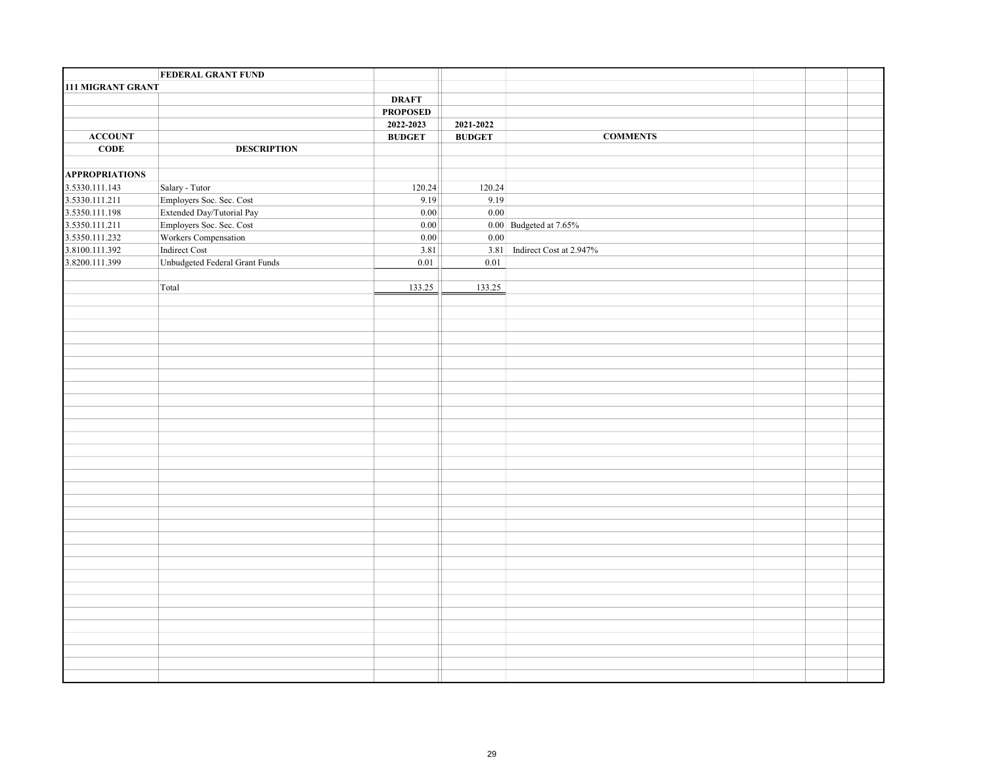|                          | <b>FEDERAL GRANT FUND</b>      |                 |                                                                |                              |  |  |
|--------------------------|--------------------------------|-----------------|----------------------------------------------------------------|------------------------------|--|--|
| <b>111 MIGRANT GRANT</b> |                                |                 |                                                                |                              |  |  |
|                          |                                | <b>DRAFT</b>    |                                                                |                              |  |  |
|                          |                                | <b>PROPOSED</b> |                                                                |                              |  |  |
|                          |                                | 2022-2023       | 2021-2022                                                      |                              |  |  |
| <b>ACCOUNT</b>           |                                | <b>BUDGET</b>   | $\mathbf{B}\mathbf{U}\mathbf{D}\mathbf{G}\mathbf{E}\mathbf{T}$ | <b>COMMENTS</b>              |  |  |
| CODE                     | <b>DESCRIPTION</b>             |                 |                                                                |                              |  |  |
|                          |                                |                 |                                                                |                              |  |  |
| <b>APPROPRIATIONS</b>    |                                |                 |                                                                |                              |  |  |
| 3.5330.111.143           | Salary - Tutor                 | 120.24          | 120.24                                                         |                              |  |  |
| 3.5330.111.211           | Employers Soc. Sec. Cost       | 9.19            | 9.19                                                           |                              |  |  |
| 3.5350.111.198           | Extended Day/Tutorial Pay      | 0.00            | 0.00                                                           |                              |  |  |
| 3.5350.111.211           | Employers Soc. Sec. Cost       | $0.00\,$        |                                                                | $0.00$ Budgeted at $7.65\%$  |  |  |
| 3.5350.111.232           | Workers Compensation           | $\boxed{0.00}$  | 0.00                                                           |                              |  |  |
| 3.8100.111.392           | Indirect Cost                  | 3.81            |                                                                | 3.81 Indirect Cost at 2.947% |  |  |
| 3.8200.111.399           | Unbudgeted Federal Grant Funds | $0.01\,$        | $0.01\,$                                                       |                              |  |  |
|                          |                                |                 |                                                                |                              |  |  |
|                          | Total                          | 133.25          | 133.25                                                         |                              |  |  |
|                          |                                |                 |                                                                |                              |  |  |
|                          |                                |                 |                                                                |                              |  |  |
|                          |                                |                 |                                                                |                              |  |  |
|                          |                                |                 |                                                                |                              |  |  |
|                          |                                |                 |                                                                |                              |  |  |
|                          |                                |                 |                                                                |                              |  |  |
|                          |                                |                 |                                                                |                              |  |  |
|                          |                                |                 |                                                                |                              |  |  |
|                          |                                |                 |                                                                |                              |  |  |
|                          |                                |                 |                                                                |                              |  |  |
|                          |                                |                 |                                                                |                              |  |  |
|                          |                                |                 |                                                                |                              |  |  |
|                          |                                |                 |                                                                |                              |  |  |
|                          |                                |                 |                                                                |                              |  |  |
|                          |                                |                 |                                                                |                              |  |  |
|                          |                                |                 |                                                                |                              |  |  |
|                          |                                |                 |                                                                |                              |  |  |
|                          |                                |                 |                                                                |                              |  |  |
|                          |                                |                 |                                                                |                              |  |  |
|                          |                                |                 |                                                                |                              |  |  |
|                          |                                |                 |                                                                |                              |  |  |
|                          |                                |                 |                                                                |                              |  |  |
|                          |                                |                 |                                                                |                              |  |  |
|                          |                                |                 |                                                                |                              |  |  |
|                          |                                |                 |                                                                |                              |  |  |
|                          |                                |                 |                                                                |                              |  |  |
|                          |                                |                 |                                                                |                              |  |  |
|                          |                                |                 |                                                                |                              |  |  |
|                          |                                |                 |                                                                |                              |  |  |
|                          |                                |                 |                                                                |                              |  |  |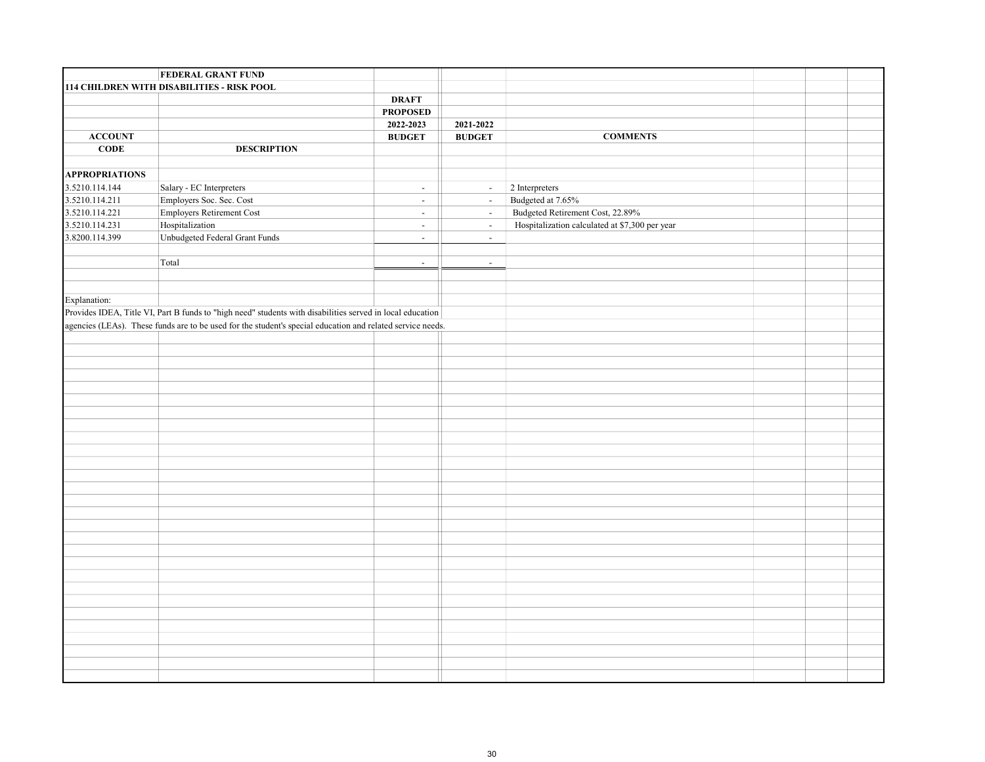|                       | <b>FEDERAL GRANT FUND</b>                                                                                  |                                                                |                                                                |                                                |  |  |
|-----------------------|------------------------------------------------------------------------------------------------------------|----------------------------------------------------------------|----------------------------------------------------------------|------------------------------------------------|--|--|
|                       | 114 CHILDREN WITH DISABILITIES - RISK POOL                                                                 |                                                                |                                                                |                                                |  |  |
|                       |                                                                                                            | <b>DRAFT</b>                                                   |                                                                |                                                |  |  |
|                       |                                                                                                            | <b>PROPOSED</b>                                                |                                                                |                                                |  |  |
|                       |                                                                                                            | 2022-2023                                                      | 2021-2022                                                      |                                                |  |  |
| ${\bf ACCOUNT}$       |                                                                                                            | $\mathbf{B}\mathbf{U}\mathbf{D}\mathbf{G}\mathbf{E}\mathbf{T}$ | $\mathbf{B}\mathbf{U}\mathbf{D}\mathbf{G}\mathbf{E}\mathbf{T}$ | <b>COMMENTS</b>                                |  |  |
| $CODE$                | <b>DESCRIPTION</b>                                                                                         |                                                                |                                                                |                                                |  |  |
|                       |                                                                                                            |                                                                |                                                                |                                                |  |  |
| <b>APPROPRIATIONS</b> |                                                                                                            |                                                                |                                                                |                                                |  |  |
| 3.5210.114.144        | Salary - EC Interpreters                                                                                   | $\sim$                                                         | $\sim$                                                         | $2$ Interpreters $\,$                          |  |  |
| 3.5210.114.211        | Employers Soc. Sec. Cost                                                                                   | $\blacksquare$                                                 | $\mathbb{L}^+$                                                 | Budgeted at 7.65%                              |  |  |
| 3.5210.114.221        | Employers Retirement Cost                                                                                  | $\sim$                                                         | $\omega$                                                       | Budgeted Retirement Cost, 22.89%               |  |  |
| 3.5210.114.231        | Hospitalization                                                                                            | $\mathbb{Z}^2$                                                 | $\omega$                                                       | Hospitalization calculated at \$7,300 per year |  |  |
| 3.8200.114.399        | Unbudgeted Federal Grant Funds                                                                             | $\mathbb{Z}^{\mathbb{Z}}$                                      | $\omega$                                                       |                                                |  |  |
|                       |                                                                                                            |                                                                |                                                                |                                                |  |  |
|                       | Total                                                                                                      | $\blacksquare$                                                 | $\sim$                                                         |                                                |  |  |
|                       |                                                                                                            |                                                                |                                                                |                                                |  |  |
|                       |                                                                                                            |                                                                |                                                                |                                                |  |  |
| Explanation:          |                                                                                                            |                                                                |                                                                |                                                |  |  |
|                       | Provides IDEA, Title VI, Part B funds to "high need" students with disabilities served in local education  |                                                                |                                                                |                                                |  |  |
|                       | agencies (LEAs). These funds are to be used for the student's special education and related service needs. |                                                                |                                                                |                                                |  |  |
|                       |                                                                                                            |                                                                |                                                                |                                                |  |  |
|                       |                                                                                                            |                                                                |                                                                |                                                |  |  |
|                       |                                                                                                            |                                                                |                                                                |                                                |  |  |
|                       |                                                                                                            |                                                                |                                                                |                                                |  |  |
|                       |                                                                                                            |                                                                |                                                                |                                                |  |  |
|                       |                                                                                                            |                                                                |                                                                |                                                |  |  |
|                       |                                                                                                            |                                                                |                                                                |                                                |  |  |
|                       |                                                                                                            |                                                                |                                                                |                                                |  |  |
|                       |                                                                                                            |                                                                |                                                                |                                                |  |  |
|                       |                                                                                                            |                                                                |                                                                |                                                |  |  |
|                       |                                                                                                            |                                                                |                                                                |                                                |  |  |
|                       |                                                                                                            |                                                                |                                                                |                                                |  |  |
|                       |                                                                                                            |                                                                |                                                                |                                                |  |  |
|                       |                                                                                                            |                                                                |                                                                |                                                |  |  |
|                       |                                                                                                            |                                                                |                                                                |                                                |  |  |
|                       |                                                                                                            |                                                                |                                                                |                                                |  |  |
|                       |                                                                                                            |                                                                |                                                                |                                                |  |  |
|                       |                                                                                                            |                                                                |                                                                |                                                |  |  |
|                       |                                                                                                            |                                                                |                                                                |                                                |  |  |
|                       |                                                                                                            |                                                                |                                                                |                                                |  |  |
|                       |                                                                                                            |                                                                |                                                                |                                                |  |  |
|                       |                                                                                                            |                                                                |                                                                |                                                |  |  |
|                       |                                                                                                            |                                                                |                                                                |                                                |  |  |
|                       |                                                                                                            |                                                                |                                                                |                                                |  |  |
|                       |                                                                                                            |                                                                |                                                                |                                                |  |  |
|                       |                                                                                                            |                                                                |                                                                |                                                |  |  |
|                       |                                                                                                            |                                                                |                                                                |                                                |  |  |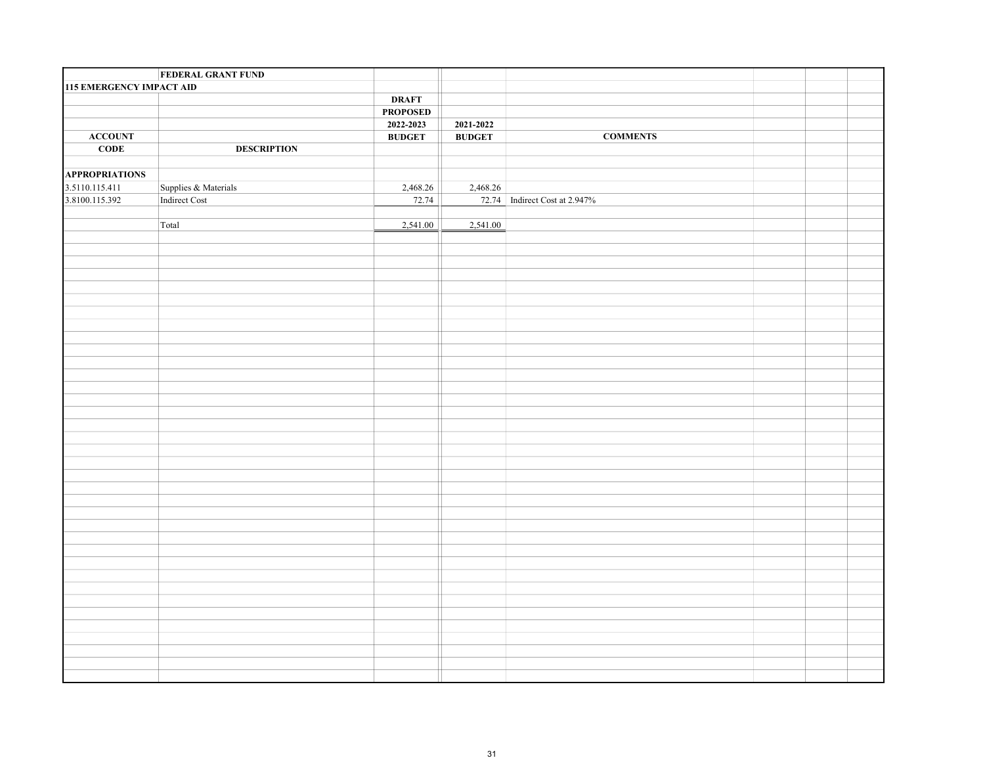|                                 | <b>FEDERAL GRANT FUND</b> |                 |               |                               |  |  |
|---------------------------------|---------------------------|-----------------|---------------|-------------------------------|--|--|
| <b>115 EMERGENCY IMPACT AID</b> |                           |                 |               |                               |  |  |
|                                 |                           | <b>DRAFT</b>    |               |                               |  |  |
|                                 |                           | <b>PROPOSED</b> |               |                               |  |  |
|                                 |                           | 2022-2023       | 2021-2022     |                               |  |  |
| <b>ACCOUNT</b>                  |                           | <b>BUDGET</b>   | <b>BUDGET</b> | <b>COMMENTS</b>               |  |  |
| <b>CODE</b>                     | <b>DESCRIPTION</b>        |                 |               |                               |  |  |
|                                 |                           |                 |               |                               |  |  |
| <b>APPROPRIATIONS</b>           |                           |                 |               |                               |  |  |
| 3.5110.115.411                  | Supplies & Materials      | 2,468.26        | 2,468.26      |                               |  |  |
| 3.8100.115.392                  | Indirect Cost             | 72.74           |               | 72.74 Indirect Cost at 2.947% |  |  |
|                                 |                           |                 |               |                               |  |  |
|                                 | Total                     | 2,541.00        | 2,541.00      |                               |  |  |
|                                 |                           |                 |               |                               |  |  |
|                                 |                           |                 |               |                               |  |  |
|                                 |                           |                 |               |                               |  |  |
|                                 |                           |                 |               |                               |  |  |
|                                 |                           |                 |               |                               |  |  |
|                                 |                           |                 |               |                               |  |  |
|                                 |                           |                 |               |                               |  |  |
|                                 |                           |                 |               |                               |  |  |
|                                 |                           |                 |               |                               |  |  |
|                                 |                           |                 |               |                               |  |  |
|                                 |                           |                 |               |                               |  |  |
|                                 |                           |                 |               |                               |  |  |
|                                 |                           |                 |               |                               |  |  |
|                                 |                           |                 |               |                               |  |  |
|                                 |                           |                 |               |                               |  |  |
|                                 |                           |                 |               |                               |  |  |
|                                 |                           |                 |               |                               |  |  |
|                                 |                           |                 |               |                               |  |  |
|                                 |                           |                 |               |                               |  |  |
|                                 |                           |                 |               |                               |  |  |
|                                 |                           |                 |               |                               |  |  |
|                                 |                           |                 |               |                               |  |  |
|                                 |                           |                 |               |                               |  |  |
|                                 |                           |                 |               |                               |  |  |
|                                 |                           |                 |               |                               |  |  |
|                                 |                           |                 |               |                               |  |  |
|                                 |                           |                 |               |                               |  |  |
|                                 |                           |                 |               |                               |  |  |
|                                 |                           |                 |               |                               |  |  |
|                                 |                           |                 |               |                               |  |  |
|                                 |                           |                 |               |                               |  |  |
|                                 |                           |                 |               |                               |  |  |
|                                 |                           |                 |               |                               |  |  |
|                                 |                           |                 |               |                               |  |  |
|                                 |                           |                 |               |                               |  |  |
|                                 |                           |                 |               |                               |  |  |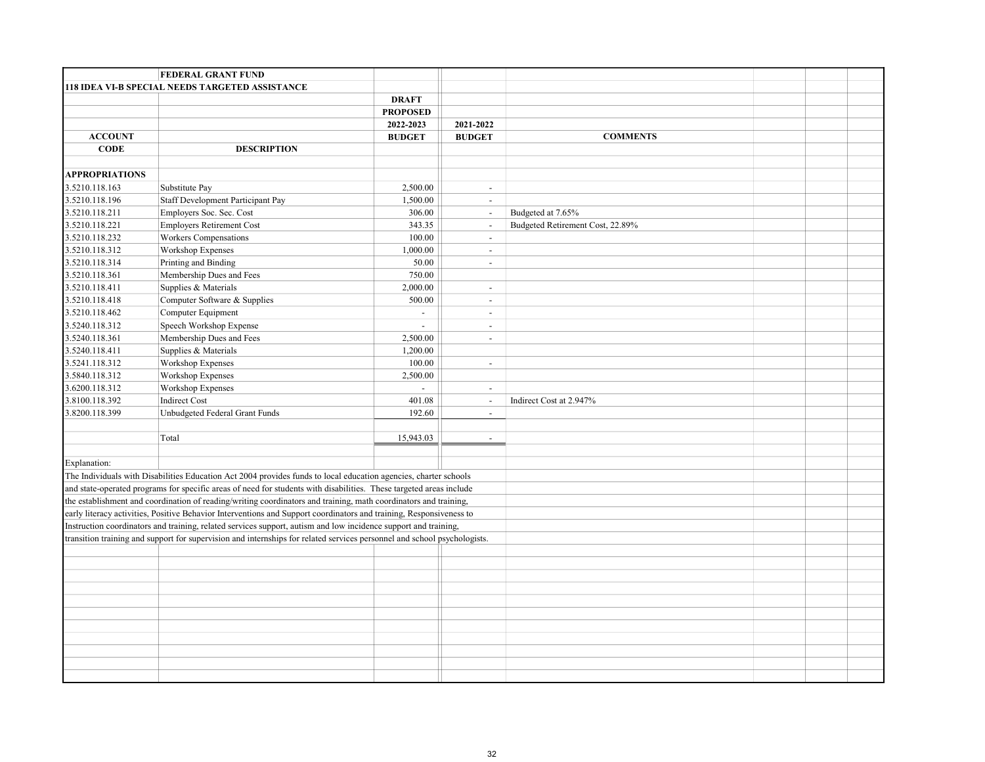|                       | <b>FEDERAL GRANT FUND</b>                                                                                                |                 |                          |                                  |  |  |
|-----------------------|--------------------------------------------------------------------------------------------------------------------------|-----------------|--------------------------|----------------------------------|--|--|
|                       | <b>118 IDEA VI-B SPECIAL NEEDS TARGETED ASSISTANCE</b>                                                                   |                 |                          |                                  |  |  |
|                       |                                                                                                                          | <b>DRAFT</b>    |                          |                                  |  |  |
|                       |                                                                                                                          | <b>PROPOSED</b> |                          |                                  |  |  |
|                       |                                                                                                                          | 2022-2023       | 2021-2022                |                                  |  |  |
| <b>ACCOUNT</b>        |                                                                                                                          | <b>BUDGET</b>   | <b>BUDGET</b>            | <b>COMMENTS</b>                  |  |  |
| <b>CODE</b>           | <b>DESCRIPTION</b>                                                                                                       |                 |                          |                                  |  |  |
|                       |                                                                                                                          |                 |                          |                                  |  |  |
| <b>APPROPRIATIONS</b> |                                                                                                                          |                 |                          |                                  |  |  |
| 3.5210.118.163        | Substitute Pay                                                                                                           | 2,500.00        | $\mathbf{r}$             |                                  |  |  |
| 3.5210.118.196        | Staff Development Participant Pay                                                                                        | 1,500.00        | $\blacksquare$           |                                  |  |  |
| 3.5210.118.211        | Employers Soc. Sec. Cost                                                                                                 | 306.00          | $\overline{\phantom{a}}$ | Budgeted at 7.65%                |  |  |
| 3.5210.118.221        | <b>Employers Retirement Cost</b>                                                                                         | 343.35          | $\blacksquare$           | Budgeted Retirement Cost, 22.89% |  |  |
| 3.5210.118.232        | Workers Compensations                                                                                                    | 100.00          | $\overline{\phantom{a}}$ |                                  |  |  |
| 3.5210.118.312        | Workshop Expenses                                                                                                        | 1,000.00        | $\overline{\phantom{a}}$ |                                  |  |  |
| 3.5210.118.314        | Printing and Binding                                                                                                     | 50.00           | $\overline{\phantom{a}}$ |                                  |  |  |
| 3.5210.118.361        | Membership Dues and Fees                                                                                                 | 750.00          |                          |                                  |  |  |
| 3.5210.118.411        | Supplies & Materials                                                                                                     | 2,000.00        | $\blacksquare$           |                                  |  |  |
| 3.5210.118.418        | Computer Software & Supplies                                                                                             | 500.00          | $\sim$                   |                                  |  |  |
| 3.5210.118.462        | Computer Equipment                                                                                                       | $\sim$          | $\sim$                   |                                  |  |  |
| 3.5240.118.312        | Speech Workshop Expense                                                                                                  | $\mathbf{r}$    | $\sim$                   |                                  |  |  |
| 3.5240.118.361        | Membership Dues and Fees                                                                                                 | 2,500.00        | $\blacksquare$           |                                  |  |  |
| 3.5240.118.411        | Supplies & Materials                                                                                                     | 1,200.00        |                          |                                  |  |  |
| 3.5241.118.312        | Workshop Expenses                                                                                                        | 100.00          | $\overline{\phantom{a}}$ |                                  |  |  |
| 3.5840.118.312        | <b>Workshop Expenses</b>                                                                                                 | 2,500.00        |                          |                                  |  |  |
| 3.6200.118.312        | Workshop Expenses                                                                                                        | $\sim$          | $\omega$                 |                                  |  |  |
| 3.8100.118.392        | <b>Indirect Cost</b>                                                                                                     | 401.08          | $\blacksquare$           | Indirect Cost at 2.947%          |  |  |
| 3.8200.118.399        | Unbudgeted Federal Grant Funds                                                                                           | 192.60          | $\blacksquare$           |                                  |  |  |
|                       |                                                                                                                          |                 |                          |                                  |  |  |
|                       | Total                                                                                                                    | 15,943.03       | $\overline{\phantom{a}}$ |                                  |  |  |
|                       |                                                                                                                          |                 |                          |                                  |  |  |
| Explanation:          |                                                                                                                          |                 |                          |                                  |  |  |
|                       | The Individuals with Disabilities Education Act 2004 provides funds to local education agencies, charter schools         |                 |                          |                                  |  |  |
|                       | and state-operated programs for specific areas of need for students with disabilities. These targeted areas include      |                 |                          |                                  |  |  |
|                       | the establishment and coordination of reading/writing coordinators and training, math coordinators and training,         |                 |                          |                                  |  |  |
|                       | early literacy activities, Positive Behavior Interventions and Support coordinators and training, Responsiveness to      |                 |                          |                                  |  |  |
|                       | Instruction coordinators and training, related services support, autism and low incidence support and training,          |                 |                          |                                  |  |  |
|                       | transition training and support for supervision and internships for related services personnel and school psychologists. |                 |                          |                                  |  |  |
|                       |                                                                                                                          |                 |                          |                                  |  |  |
|                       |                                                                                                                          |                 |                          |                                  |  |  |
|                       |                                                                                                                          |                 |                          |                                  |  |  |
|                       |                                                                                                                          |                 |                          |                                  |  |  |
|                       |                                                                                                                          |                 |                          |                                  |  |  |
|                       |                                                                                                                          |                 |                          |                                  |  |  |
|                       |                                                                                                                          |                 |                          |                                  |  |  |
|                       |                                                                                                                          |                 |                          |                                  |  |  |
|                       |                                                                                                                          |                 |                          |                                  |  |  |
|                       |                                                                                                                          |                 |                          |                                  |  |  |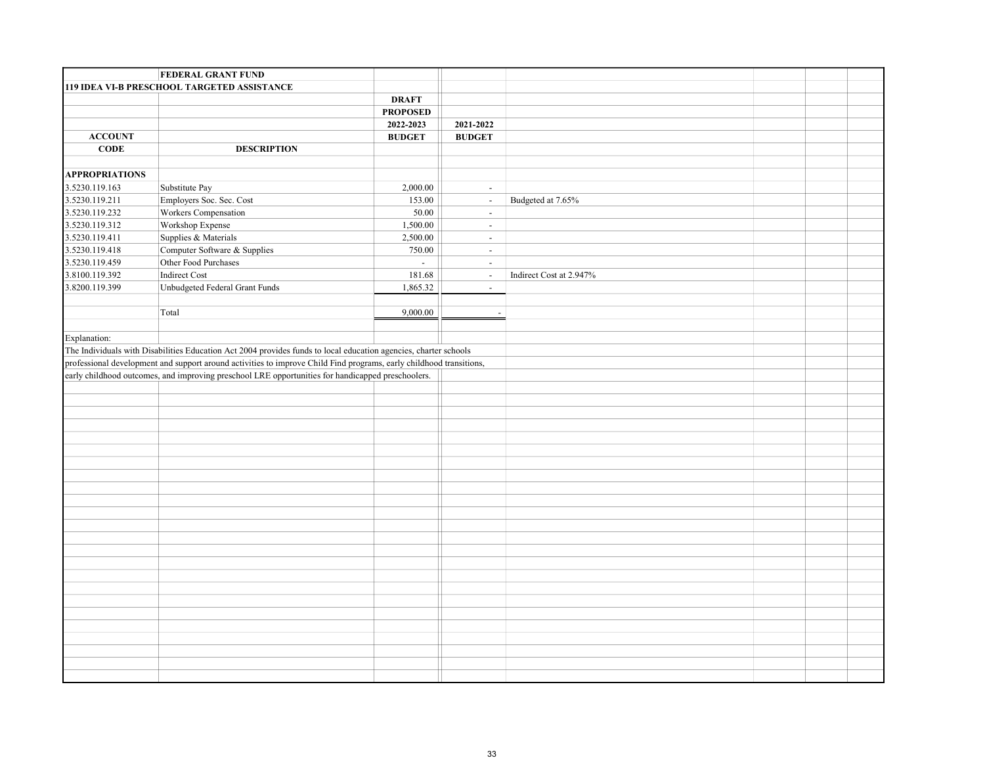|                       | <b>FEDERAL GRANT FUND</b>                                                                                           |                 |                          |                         |  |  |
|-----------------------|---------------------------------------------------------------------------------------------------------------------|-----------------|--------------------------|-------------------------|--|--|
|                       | 119 IDEA VI-B PRESCHOOL TARGETED ASSISTANCE                                                                         |                 |                          |                         |  |  |
|                       |                                                                                                                     | <b>DRAFT</b>    |                          |                         |  |  |
|                       |                                                                                                                     | <b>PROPOSED</b> |                          |                         |  |  |
|                       |                                                                                                                     | 2022-2023       | 2021-2022                |                         |  |  |
| <b>ACCOUNT</b>        |                                                                                                                     | <b>BUDGET</b>   | <b>BUDGET</b>            |                         |  |  |
| CODE                  | <b>DESCRIPTION</b>                                                                                                  |                 |                          |                         |  |  |
|                       |                                                                                                                     |                 |                          |                         |  |  |
| <b>APPROPRIATIONS</b> |                                                                                                                     |                 |                          |                         |  |  |
| 3.5230.119.163        | Substitute Pay                                                                                                      | 2,000.00        | $\omega$                 |                         |  |  |
| 3.5230.119.211        | Employers Soc. Sec. Cost                                                                                            | 153.00          | $\omega$                 | Budgeted at 7.65%       |  |  |
| 3.5230.119.232        | Workers Compensation                                                                                                | 50.00           | $\omega$                 |                         |  |  |
| 3.5230.119.312        | Workshop Expense                                                                                                    | 1,500.00        | $\sim$                   |                         |  |  |
| 3.5230.119.411        | Supplies & Materials                                                                                                | 2,500.00        | $\omega$                 |                         |  |  |
| 3.5230.119.418        | Computer Software & Supplies                                                                                        | 750.00          | $\blacksquare$           |                         |  |  |
| 3.5230.119.459        | Other Food Purchases                                                                                                | $\omega$        | $\blacksquare$           |                         |  |  |
| 3.8100.119.392        | Indirect Cost                                                                                                       | 181.68          | $\overline{\phantom{a}}$ | Indirect Cost at 2.947% |  |  |
| 3.8200.119.399        | Unbudgeted Federal Grant Funds                                                                                      | 1,865.32        | $\blacksquare$           |                         |  |  |
|                       |                                                                                                                     |                 |                          |                         |  |  |
|                       | Total                                                                                                               | 9,000.00        | $\sim$                   |                         |  |  |
|                       |                                                                                                                     |                 |                          |                         |  |  |
| Explanation:          |                                                                                                                     |                 |                          |                         |  |  |
|                       | The Individuals with Disabilities Education Act 2004 provides funds to local education agencies, charter schools    |                 |                          |                         |  |  |
|                       | professional development and support around activities to improve Child Find programs, early childhood transitions, |                 |                          |                         |  |  |
|                       | early childhood outcomes, and improving preschool LRE opportunities for handicapped preschoolers.                   |                 |                          |                         |  |  |
|                       |                                                                                                                     |                 |                          |                         |  |  |
|                       |                                                                                                                     |                 |                          |                         |  |  |
|                       |                                                                                                                     |                 |                          |                         |  |  |
|                       |                                                                                                                     |                 |                          |                         |  |  |
|                       |                                                                                                                     |                 |                          |                         |  |  |
|                       |                                                                                                                     |                 |                          |                         |  |  |
|                       |                                                                                                                     |                 |                          |                         |  |  |
|                       |                                                                                                                     |                 |                          |                         |  |  |
|                       |                                                                                                                     |                 |                          |                         |  |  |
|                       |                                                                                                                     |                 |                          |                         |  |  |
|                       |                                                                                                                     |                 |                          |                         |  |  |
|                       |                                                                                                                     |                 |                          |                         |  |  |
|                       |                                                                                                                     |                 |                          |                         |  |  |
|                       |                                                                                                                     |                 |                          |                         |  |  |
|                       |                                                                                                                     |                 |                          |                         |  |  |
|                       |                                                                                                                     |                 |                          |                         |  |  |
|                       |                                                                                                                     |                 |                          |                         |  |  |
|                       |                                                                                                                     |                 |                          |                         |  |  |
|                       |                                                                                                                     |                 |                          |                         |  |  |
|                       |                                                                                                                     |                 |                          |                         |  |  |
|                       |                                                                                                                     |                 |                          |                         |  |  |
|                       |                                                                                                                     |                 |                          |                         |  |  |
|                       |                                                                                                                     |                 |                          |                         |  |  |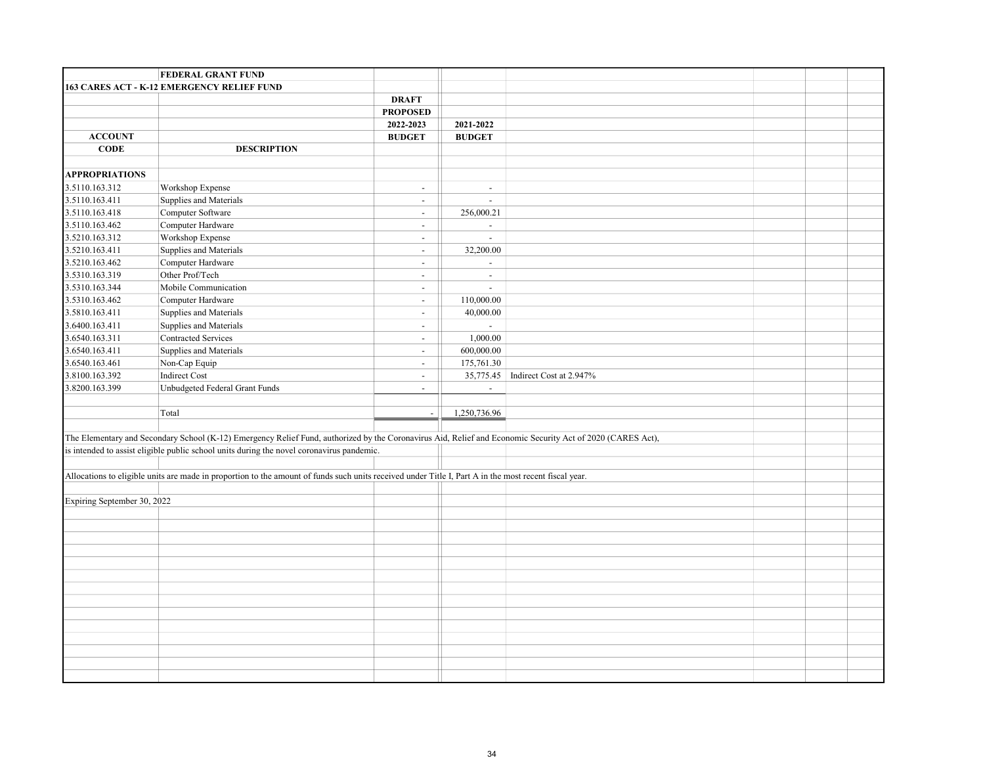|                                  | FEDERAL GRANT FUND                                                                                                                                    |                          |                                                                                                                                                            |  |
|----------------------------------|-------------------------------------------------------------------------------------------------------------------------------------------------------|--------------------------|------------------------------------------------------------------------------------------------------------------------------------------------------------|--|
|                                  | 163 CARES ACT - K-12 EMERGENCY RELIEF FUND                                                                                                            |                          |                                                                                                                                                            |  |
|                                  |                                                                                                                                                       | <b>DRAFT</b>             |                                                                                                                                                            |  |
|                                  |                                                                                                                                                       | <b>PROPOSED</b>          |                                                                                                                                                            |  |
|                                  |                                                                                                                                                       | 2022-2023                | 2021-2022                                                                                                                                                  |  |
| <b>ACCOUNT</b>                   |                                                                                                                                                       | <b>BUDGET</b>            | <b>BUDGET</b>                                                                                                                                              |  |
| <b>CODE</b>                      | <b>DESCRIPTION</b>                                                                                                                                    |                          |                                                                                                                                                            |  |
|                                  |                                                                                                                                                       |                          |                                                                                                                                                            |  |
| <b>APPROPRIATIONS</b>            |                                                                                                                                                       |                          |                                                                                                                                                            |  |
| 3.5110.163.312                   | Workshop Expense                                                                                                                                      | $\omega$                 | $\omega$                                                                                                                                                   |  |
| 3.5110.163.411                   | Supplies and Materials                                                                                                                                | $\sim$                   | $\blacksquare$                                                                                                                                             |  |
| 3.5110.163.418                   | Computer Software                                                                                                                                     | $\sim$                   | 256,000.21                                                                                                                                                 |  |
| 3.5110.163.462                   | Computer Hardware                                                                                                                                     | $\sim$                   | $\blacksquare$                                                                                                                                             |  |
| 3.5210.163.312                   | Workshop Expense                                                                                                                                      | $\sim$                   | $\mathbb{Z}^{\mathbb{Z}}$                                                                                                                                  |  |
| 3.5210.163.411                   | Supplies and Materials                                                                                                                                | $\sim$                   | 32,200.00                                                                                                                                                  |  |
| 3.5210.163.462                   | Computer Hardware                                                                                                                                     | $\blacksquare$           | $\blacksquare$                                                                                                                                             |  |
| 3.5310.163.319                   | Other Prof/Tech                                                                                                                                       | $\sim$                   | $\blacksquare$                                                                                                                                             |  |
| 3.5310.163.344                   | Mobile Communication                                                                                                                                  | $\blacksquare$           | $\overline{a}$                                                                                                                                             |  |
| 3.5310.163.462                   | Computer Hardware                                                                                                                                     | $\blacksquare$           | 110,000.00                                                                                                                                                 |  |
| 3.5810.163.411                   | Supplies and Materials                                                                                                                                | $\mathbb{Z}^2$           | 40,000.00                                                                                                                                                  |  |
| 3.6400.163.411                   | Supplies and Materials                                                                                                                                | $\sim$                   | $\overline{a}$                                                                                                                                             |  |
| 3.6540.163.311                   | Contracted Services                                                                                                                                   | $\sim$                   | 1,000.00                                                                                                                                                   |  |
| 3.6540.163.411                   | Supplies and Materials                                                                                                                                | $\sim$                   | 600,000.00                                                                                                                                                 |  |
| 3.6540.163.461                   | Non-Cap Equip                                                                                                                                         | $\sim$                   | 175,761.30                                                                                                                                                 |  |
| 3.8100.163.392<br>3.8200.163.399 | <b>Indirect Cost</b><br>Unbudgeted Federal Grant Funds                                                                                                | $\sim$                   | 35,775.45<br>Indirect Cost at 2.947%                                                                                                                       |  |
|                                  |                                                                                                                                                       | $\sim$                   | $\overline{\phantom{a}}$                                                                                                                                   |  |
|                                  | Total                                                                                                                                                 | $\overline{\phantom{a}}$ | 1,250,736.96                                                                                                                                               |  |
|                                  |                                                                                                                                                       |                          |                                                                                                                                                            |  |
|                                  |                                                                                                                                                       |                          | The Elementary and Secondary School (K-12) Emergency Relief Fund, authorized by the Coronavirus Aid, Relief and Economic Security Act of 2020 (CARES Act), |  |
|                                  | is intended to assist eligible public school units during the novel coronavirus pandemic.                                                             |                          |                                                                                                                                                            |  |
|                                  |                                                                                                                                                       |                          |                                                                                                                                                            |  |
|                                  | Allocations to eligible units are made in proportion to the amount of funds such units received under Title I, Part A in the most recent fiscal year. |                          |                                                                                                                                                            |  |
|                                  |                                                                                                                                                       |                          |                                                                                                                                                            |  |
| Expiring September 30, 2022      |                                                                                                                                                       |                          |                                                                                                                                                            |  |
|                                  |                                                                                                                                                       |                          |                                                                                                                                                            |  |
|                                  |                                                                                                                                                       |                          |                                                                                                                                                            |  |
|                                  |                                                                                                                                                       |                          |                                                                                                                                                            |  |
|                                  |                                                                                                                                                       |                          |                                                                                                                                                            |  |
|                                  |                                                                                                                                                       |                          |                                                                                                                                                            |  |
|                                  |                                                                                                                                                       |                          |                                                                                                                                                            |  |
|                                  |                                                                                                                                                       |                          |                                                                                                                                                            |  |
|                                  |                                                                                                                                                       |                          |                                                                                                                                                            |  |
|                                  |                                                                                                                                                       |                          |                                                                                                                                                            |  |
|                                  |                                                                                                                                                       |                          |                                                                                                                                                            |  |
|                                  |                                                                                                                                                       |                          |                                                                                                                                                            |  |
|                                  |                                                                                                                                                       |                          |                                                                                                                                                            |  |
|                                  |                                                                                                                                                       |                          |                                                                                                                                                            |  |
|                                  |                                                                                                                                                       |                          |                                                                                                                                                            |  |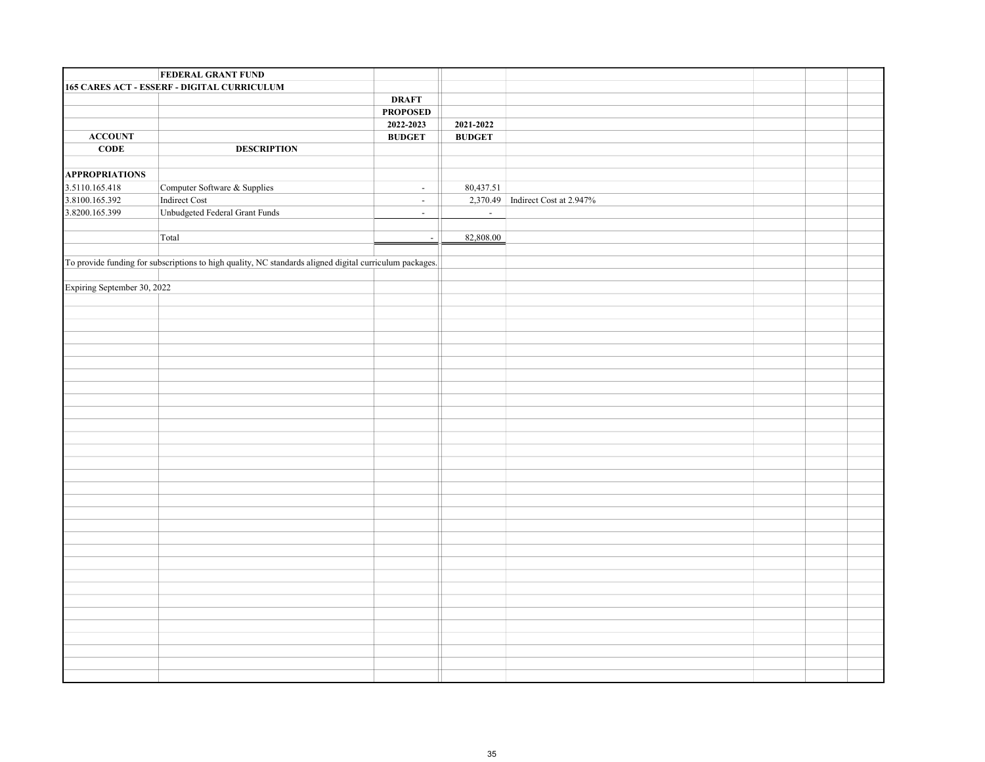|                             | <b>FEDERAL GRANT FUND</b>                                                                               |                 |                                  |  |
|-----------------------------|---------------------------------------------------------------------------------------------------------|-----------------|----------------------------------|--|
|                             | 165 CARES ACT - ESSERF - DIGITAL CURRICULUM                                                             |                 |                                  |  |
|                             |                                                                                                         | <b>DRAFT</b>    |                                  |  |
|                             |                                                                                                         | <b>PROPOSED</b> |                                  |  |
|                             |                                                                                                         | 2022-2023       | 2021-2022                        |  |
| <b>ACCOUNT</b>              |                                                                                                         | <b>BUDGET</b>   | <b>BUDGET</b>                    |  |
| CODE                        | <b>DESCRIPTION</b>                                                                                      |                 |                                  |  |
|                             |                                                                                                         |                 |                                  |  |
| <b>APPROPRIATIONS</b>       |                                                                                                         |                 |                                  |  |
| 3.5110.165.418              | Computer Software & Supplies                                                                            | $\sim$          | 80,437.51                        |  |
| 3.8100.165.392              | Indirect Cost                                                                                           | $\sim$          | 2,370.49 Indirect Cost at 2.947% |  |
| 3.8200.165.399              | Unbudgeted Federal Grant Funds                                                                          | $\sim$          | $\sim$                           |  |
|                             |                                                                                                         |                 |                                  |  |
|                             | Total                                                                                                   | $\sim$          | 82,808.00                        |  |
|                             |                                                                                                         |                 |                                  |  |
|                             | To provide funding for subscriptions to high quality, NC standards aligned digital curriculum packages. |                 |                                  |  |
|                             |                                                                                                         |                 |                                  |  |
| Expiring September 30, 2022 |                                                                                                         |                 |                                  |  |
|                             |                                                                                                         |                 |                                  |  |
|                             |                                                                                                         |                 |                                  |  |
|                             |                                                                                                         |                 |                                  |  |
|                             |                                                                                                         |                 |                                  |  |
|                             |                                                                                                         |                 |                                  |  |
|                             |                                                                                                         |                 |                                  |  |
|                             |                                                                                                         |                 |                                  |  |
|                             |                                                                                                         |                 |                                  |  |
|                             |                                                                                                         |                 |                                  |  |
|                             |                                                                                                         |                 |                                  |  |
|                             |                                                                                                         |                 |                                  |  |
|                             |                                                                                                         |                 |                                  |  |
|                             |                                                                                                         |                 |                                  |  |
|                             |                                                                                                         |                 |                                  |  |
|                             |                                                                                                         |                 |                                  |  |
|                             |                                                                                                         |                 |                                  |  |
|                             |                                                                                                         |                 |                                  |  |
|                             |                                                                                                         |                 |                                  |  |
|                             |                                                                                                         |                 |                                  |  |
|                             |                                                                                                         |                 |                                  |  |
|                             |                                                                                                         |                 |                                  |  |
|                             |                                                                                                         |                 |                                  |  |
|                             |                                                                                                         |                 |                                  |  |
|                             |                                                                                                         |                 |                                  |  |
|                             |                                                                                                         |                 |                                  |  |
|                             |                                                                                                         |                 |                                  |  |
|                             |                                                                                                         |                 |                                  |  |
|                             |                                                                                                         |                 |                                  |  |
|                             |                                                                                                         |                 |                                  |  |
|                             |                                                                                                         |                 |                                  |  |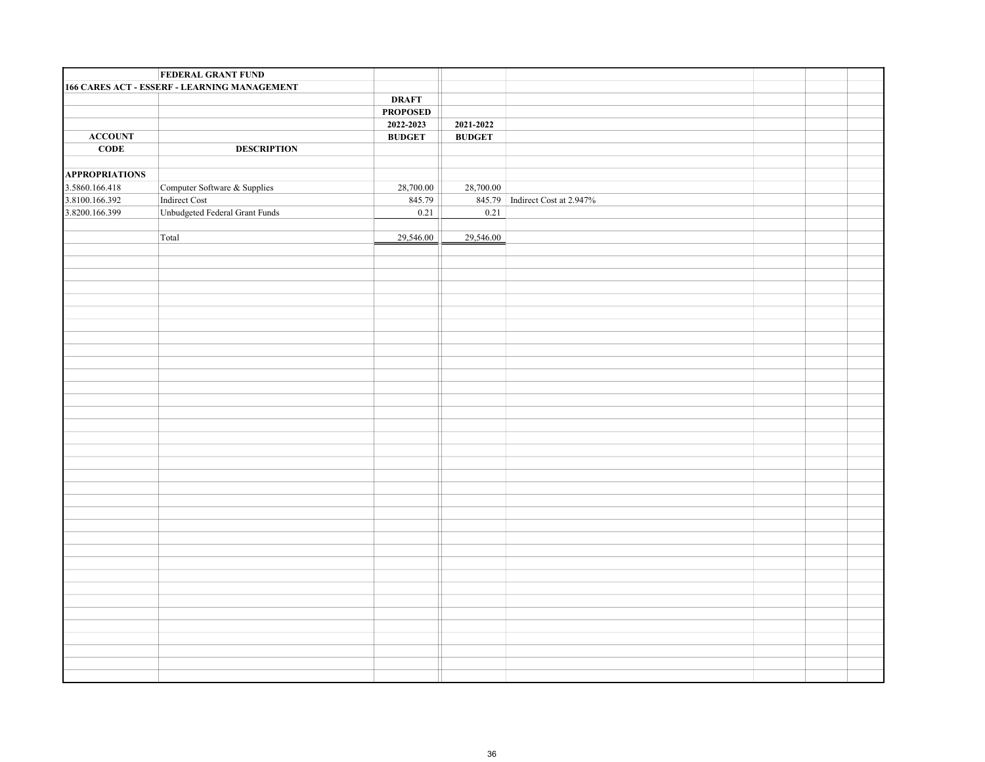|                       | <b>FEDERAL GRANT FUND</b>                    |                                                                |               |                                |  |  |
|-----------------------|----------------------------------------------|----------------------------------------------------------------|---------------|--------------------------------|--|--|
|                       | 166 CARES ACT - ESSERF - LEARNING MANAGEMENT |                                                                |               |                                |  |  |
|                       |                                              | <b>DRAFT</b>                                                   |               |                                |  |  |
|                       |                                              | <b>PROPOSED</b>                                                |               |                                |  |  |
|                       |                                              | 2022-2023                                                      | 2021-2022     |                                |  |  |
| <b>ACCOUNT</b>        |                                              | $\mathbf{B}\mathbf{U}\mathbf{D}\mathbf{G}\mathbf{E}\mathbf{T}$ | <b>BUDGET</b> |                                |  |  |
| CODE                  | <b>DESCRIPTION</b>                           |                                                                |               |                                |  |  |
|                       |                                              |                                                                |               |                                |  |  |
| <b>APPROPRIATIONS</b> |                                              |                                                                |               |                                |  |  |
| 3.5860.166.418        | Computer Software & Supplies                 | 28,700.00                                                      | 28,700.00     |                                |  |  |
| 3.8100.166.392        | Indirect Cost                                | 845.79                                                         |               | 845.79 Indirect Cost at 2.947% |  |  |
| 3.8200.166.399        | Unbudgeted Federal Grant Funds               | 0.21                                                           | 0.21          |                                |  |  |
|                       |                                              |                                                                |               |                                |  |  |
|                       | Total                                        | 29,546.00                                                      | 29,546.00     |                                |  |  |
|                       |                                              |                                                                |               |                                |  |  |
|                       |                                              |                                                                |               |                                |  |  |
|                       |                                              |                                                                |               |                                |  |  |
|                       |                                              |                                                                |               |                                |  |  |
|                       |                                              |                                                                |               |                                |  |  |
|                       |                                              |                                                                |               |                                |  |  |
|                       |                                              |                                                                |               |                                |  |  |
|                       |                                              |                                                                |               |                                |  |  |
|                       |                                              |                                                                |               |                                |  |  |
|                       |                                              |                                                                |               |                                |  |  |
|                       |                                              |                                                                |               |                                |  |  |
|                       |                                              |                                                                |               |                                |  |  |
|                       |                                              |                                                                |               |                                |  |  |
|                       |                                              |                                                                |               |                                |  |  |
|                       |                                              |                                                                |               |                                |  |  |
|                       |                                              |                                                                |               |                                |  |  |
|                       |                                              |                                                                |               |                                |  |  |
|                       |                                              |                                                                |               |                                |  |  |
|                       |                                              |                                                                |               |                                |  |  |
|                       |                                              |                                                                |               |                                |  |  |
|                       |                                              |                                                                |               |                                |  |  |
|                       |                                              |                                                                |               |                                |  |  |
|                       |                                              |                                                                |               |                                |  |  |
|                       |                                              |                                                                |               |                                |  |  |
|                       |                                              |                                                                |               |                                |  |  |
|                       |                                              |                                                                |               |                                |  |  |
|                       |                                              |                                                                |               |                                |  |  |
|                       |                                              |                                                                |               |                                |  |  |
|                       |                                              |                                                                |               |                                |  |  |
|                       |                                              |                                                                |               |                                |  |  |
|                       |                                              |                                                                |               |                                |  |  |
|                       |                                              |                                                                |               |                                |  |  |
|                       |                                              |                                                                |               |                                |  |  |
|                       |                                              |                                                                |               |                                |  |  |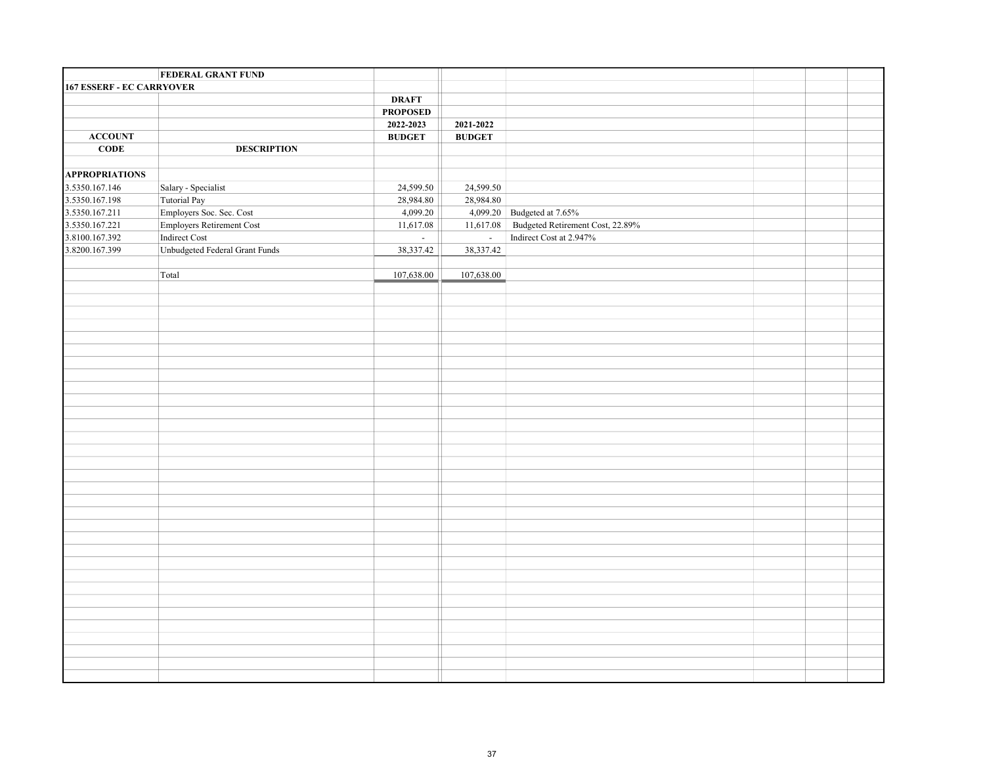|                                  | <b>FEDERAL GRANT FUND</b>      |                  |               |                                  |  |  |
|----------------------------------|--------------------------------|------------------|---------------|----------------------------------|--|--|
| <b>167 ESSERF - EC CARRYOVER</b> |                                |                  |               |                                  |  |  |
|                                  |                                | <b>DRAFT</b>     |               |                                  |  |  |
|                                  |                                | <b>PROPOSED</b>  |               |                                  |  |  |
|                                  |                                | 2022-2023        | 2021-2022     |                                  |  |  |
| <b>ACCOUNT</b>                   |                                | <b>BUDGET</b>    | <b>BUDGET</b> |                                  |  |  |
| CODE                             | <b>DESCRIPTION</b>             |                  |               |                                  |  |  |
|                                  |                                |                  |               |                                  |  |  |
| <b>APPROPRIATIONS</b>            |                                |                  |               |                                  |  |  |
| 3.5350.167.146                   | Salary - Specialist            | 24,599.50        | 24,599.50     |                                  |  |  |
| 3.5350.167.198                   | Tutorial Pay                   | 28,984.80        | 28,984.80     |                                  |  |  |
| 3.5350.167.211                   | Employers Soc. Sec. Cost       | 4,099.20         |               | 4,099.20 Budgeted at 7.65%       |  |  |
| 3.5350.167.221                   | Employers Retirement Cost      | 11,617.08        | 11,617.08     | Budgeted Retirement Cost, 22.89% |  |  |
| 3.8100.167.392                   | Indirect Cost                  | $\omega_{\rm c}$ | $\sim$        | Indirect Cost at 2.947%          |  |  |
| 3.8200.167.399                   | Unbudgeted Federal Grant Funds | 38,337.42        | 38,337.42     |                                  |  |  |
|                                  |                                |                  |               |                                  |  |  |
|                                  | Total                          | 107,638.00       | 107,638.00    |                                  |  |  |
|                                  |                                |                  |               |                                  |  |  |
|                                  |                                |                  |               |                                  |  |  |
|                                  |                                |                  |               |                                  |  |  |
|                                  |                                |                  |               |                                  |  |  |
|                                  |                                |                  |               |                                  |  |  |
|                                  |                                |                  |               |                                  |  |  |
|                                  |                                |                  |               |                                  |  |  |
|                                  |                                |                  |               |                                  |  |  |
|                                  |                                |                  |               |                                  |  |  |
|                                  |                                |                  |               |                                  |  |  |
|                                  |                                |                  |               |                                  |  |  |
|                                  |                                |                  |               |                                  |  |  |
|                                  |                                |                  |               |                                  |  |  |
|                                  |                                |                  |               |                                  |  |  |
|                                  |                                |                  |               |                                  |  |  |
|                                  |                                |                  |               |                                  |  |  |
|                                  |                                |                  |               |                                  |  |  |
|                                  |                                |                  |               |                                  |  |  |
|                                  |                                |                  |               |                                  |  |  |
|                                  |                                |                  |               |                                  |  |  |
|                                  |                                |                  |               |                                  |  |  |
|                                  |                                |                  |               |                                  |  |  |
|                                  |                                |                  |               |                                  |  |  |
|                                  |                                |                  |               |                                  |  |  |
|                                  |                                |                  |               |                                  |  |  |
|                                  |                                |                  |               |                                  |  |  |
|                                  |                                |                  |               |                                  |  |  |
|                                  |                                |                  |               |                                  |  |  |
|                                  |                                |                  |               |                                  |  |  |
|                                  |                                |                  |               |                                  |  |  |
|                                  |                                |                  |               |                                  |  |  |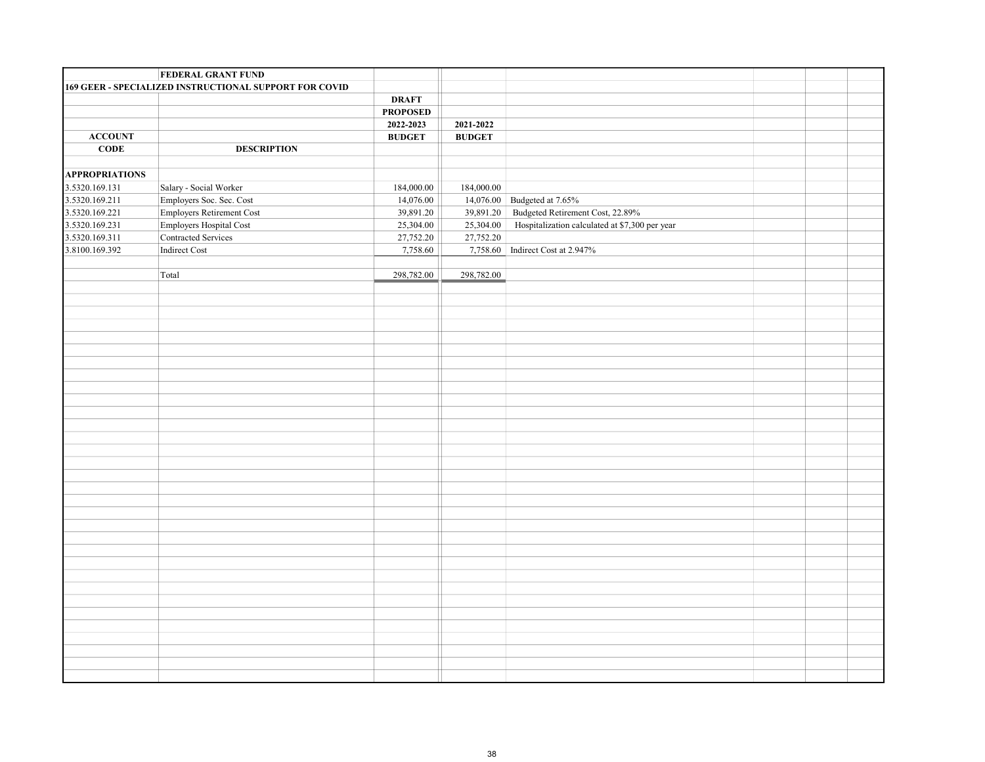| 169 GEER - SPECIALIZED INSTRUCTIONAL SUPPORT FOR COVID<br><b>DRAFT</b><br><b>PROPOSED</b><br>2022-2023<br>2021-2022<br>${\bf ACCOUNT}$<br>$\mathbf{B}\mathbf{U}\mathbf{D}\mathbf{G}\mathbf{E}\mathbf{T}$<br><b>BUDGET</b><br>CODE<br><b>DESCRIPTION</b><br><b>APPROPRIATIONS</b><br>3.5320.169.131<br>Salary - Social Worker<br>184,000.00<br>184,000.00<br>3.5320.169.211<br>Employers Soc. Sec. Cost<br>14,076.00<br>14,076.00<br>Budgeted at 7.65%<br>3.5320.169.221<br>Employers Retirement Cost<br>Budgeted Retirement Cost, 22.89%<br>39,891.20<br>39,891.20<br>Employers Hospital Cost<br>Hospitalization calculated at \$7,300 per year<br>3.5320.169.231<br>25,304.00<br>25,304.00<br>Contracted Services<br>3.5320.169.311<br>27,752.20<br>27,752.20<br>3.8100.169.392<br>Indirect Cost<br>7,758.60<br>7,758.60 Indirect Cost at 2.947%<br>Total<br>298,782.00<br>298,782.00 | <b>FEDERAL GRANT FUND</b> |  |  |  |
|----------------------------------------------------------------------------------------------------------------------------------------------------------------------------------------------------------------------------------------------------------------------------------------------------------------------------------------------------------------------------------------------------------------------------------------------------------------------------------------------------------------------------------------------------------------------------------------------------------------------------------------------------------------------------------------------------------------------------------------------------------------------------------------------------------------------------------------------------------------------------------------|---------------------------|--|--|--|
|                                                                                                                                                                                                                                                                                                                                                                                                                                                                                                                                                                                                                                                                                                                                                                                                                                                                                        |                           |  |  |  |
|                                                                                                                                                                                                                                                                                                                                                                                                                                                                                                                                                                                                                                                                                                                                                                                                                                                                                        |                           |  |  |  |
|                                                                                                                                                                                                                                                                                                                                                                                                                                                                                                                                                                                                                                                                                                                                                                                                                                                                                        |                           |  |  |  |
|                                                                                                                                                                                                                                                                                                                                                                                                                                                                                                                                                                                                                                                                                                                                                                                                                                                                                        |                           |  |  |  |
|                                                                                                                                                                                                                                                                                                                                                                                                                                                                                                                                                                                                                                                                                                                                                                                                                                                                                        |                           |  |  |  |
|                                                                                                                                                                                                                                                                                                                                                                                                                                                                                                                                                                                                                                                                                                                                                                                                                                                                                        |                           |  |  |  |
|                                                                                                                                                                                                                                                                                                                                                                                                                                                                                                                                                                                                                                                                                                                                                                                                                                                                                        |                           |  |  |  |
|                                                                                                                                                                                                                                                                                                                                                                                                                                                                                                                                                                                                                                                                                                                                                                                                                                                                                        |                           |  |  |  |
|                                                                                                                                                                                                                                                                                                                                                                                                                                                                                                                                                                                                                                                                                                                                                                                                                                                                                        |                           |  |  |  |
|                                                                                                                                                                                                                                                                                                                                                                                                                                                                                                                                                                                                                                                                                                                                                                                                                                                                                        |                           |  |  |  |
|                                                                                                                                                                                                                                                                                                                                                                                                                                                                                                                                                                                                                                                                                                                                                                                                                                                                                        |                           |  |  |  |
|                                                                                                                                                                                                                                                                                                                                                                                                                                                                                                                                                                                                                                                                                                                                                                                                                                                                                        |                           |  |  |  |
|                                                                                                                                                                                                                                                                                                                                                                                                                                                                                                                                                                                                                                                                                                                                                                                                                                                                                        |                           |  |  |  |
|                                                                                                                                                                                                                                                                                                                                                                                                                                                                                                                                                                                                                                                                                                                                                                                                                                                                                        |                           |  |  |  |
|                                                                                                                                                                                                                                                                                                                                                                                                                                                                                                                                                                                                                                                                                                                                                                                                                                                                                        |                           |  |  |  |
|                                                                                                                                                                                                                                                                                                                                                                                                                                                                                                                                                                                                                                                                                                                                                                                                                                                                                        |                           |  |  |  |
|                                                                                                                                                                                                                                                                                                                                                                                                                                                                                                                                                                                                                                                                                                                                                                                                                                                                                        |                           |  |  |  |
|                                                                                                                                                                                                                                                                                                                                                                                                                                                                                                                                                                                                                                                                                                                                                                                                                                                                                        |                           |  |  |  |
|                                                                                                                                                                                                                                                                                                                                                                                                                                                                                                                                                                                                                                                                                                                                                                                                                                                                                        |                           |  |  |  |
|                                                                                                                                                                                                                                                                                                                                                                                                                                                                                                                                                                                                                                                                                                                                                                                                                                                                                        |                           |  |  |  |
|                                                                                                                                                                                                                                                                                                                                                                                                                                                                                                                                                                                                                                                                                                                                                                                                                                                                                        |                           |  |  |  |
|                                                                                                                                                                                                                                                                                                                                                                                                                                                                                                                                                                                                                                                                                                                                                                                                                                                                                        |                           |  |  |  |
|                                                                                                                                                                                                                                                                                                                                                                                                                                                                                                                                                                                                                                                                                                                                                                                                                                                                                        |                           |  |  |  |
|                                                                                                                                                                                                                                                                                                                                                                                                                                                                                                                                                                                                                                                                                                                                                                                                                                                                                        |                           |  |  |  |
|                                                                                                                                                                                                                                                                                                                                                                                                                                                                                                                                                                                                                                                                                                                                                                                                                                                                                        |                           |  |  |  |
|                                                                                                                                                                                                                                                                                                                                                                                                                                                                                                                                                                                                                                                                                                                                                                                                                                                                                        |                           |  |  |  |
|                                                                                                                                                                                                                                                                                                                                                                                                                                                                                                                                                                                                                                                                                                                                                                                                                                                                                        |                           |  |  |  |
|                                                                                                                                                                                                                                                                                                                                                                                                                                                                                                                                                                                                                                                                                                                                                                                                                                                                                        |                           |  |  |  |
|                                                                                                                                                                                                                                                                                                                                                                                                                                                                                                                                                                                                                                                                                                                                                                                                                                                                                        |                           |  |  |  |
|                                                                                                                                                                                                                                                                                                                                                                                                                                                                                                                                                                                                                                                                                                                                                                                                                                                                                        |                           |  |  |  |
|                                                                                                                                                                                                                                                                                                                                                                                                                                                                                                                                                                                                                                                                                                                                                                                                                                                                                        |                           |  |  |  |
|                                                                                                                                                                                                                                                                                                                                                                                                                                                                                                                                                                                                                                                                                                                                                                                                                                                                                        |                           |  |  |  |
|                                                                                                                                                                                                                                                                                                                                                                                                                                                                                                                                                                                                                                                                                                                                                                                                                                                                                        |                           |  |  |  |
|                                                                                                                                                                                                                                                                                                                                                                                                                                                                                                                                                                                                                                                                                                                                                                                                                                                                                        |                           |  |  |  |
|                                                                                                                                                                                                                                                                                                                                                                                                                                                                                                                                                                                                                                                                                                                                                                                                                                                                                        |                           |  |  |  |
|                                                                                                                                                                                                                                                                                                                                                                                                                                                                                                                                                                                                                                                                                                                                                                                                                                                                                        |                           |  |  |  |
|                                                                                                                                                                                                                                                                                                                                                                                                                                                                                                                                                                                                                                                                                                                                                                                                                                                                                        |                           |  |  |  |
|                                                                                                                                                                                                                                                                                                                                                                                                                                                                                                                                                                                                                                                                                                                                                                                                                                                                                        |                           |  |  |  |
|                                                                                                                                                                                                                                                                                                                                                                                                                                                                                                                                                                                                                                                                                                                                                                                                                                                                                        |                           |  |  |  |
|                                                                                                                                                                                                                                                                                                                                                                                                                                                                                                                                                                                                                                                                                                                                                                                                                                                                                        |                           |  |  |  |
|                                                                                                                                                                                                                                                                                                                                                                                                                                                                                                                                                                                                                                                                                                                                                                                                                                                                                        |                           |  |  |  |
|                                                                                                                                                                                                                                                                                                                                                                                                                                                                                                                                                                                                                                                                                                                                                                                                                                                                                        |                           |  |  |  |
|                                                                                                                                                                                                                                                                                                                                                                                                                                                                                                                                                                                                                                                                                                                                                                                                                                                                                        |                           |  |  |  |
|                                                                                                                                                                                                                                                                                                                                                                                                                                                                                                                                                                                                                                                                                                                                                                                                                                                                                        |                           |  |  |  |
|                                                                                                                                                                                                                                                                                                                                                                                                                                                                                                                                                                                                                                                                                                                                                                                                                                                                                        |                           |  |  |  |
|                                                                                                                                                                                                                                                                                                                                                                                                                                                                                                                                                                                                                                                                                                                                                                                                                                                                                        |                           |  |  |  |
|                                                                                                                                                                                                                                                                                                                                                                                                                                                                                                                                                                                                                                                                                                                                                                                                                                                                                        |                           |  |  |  |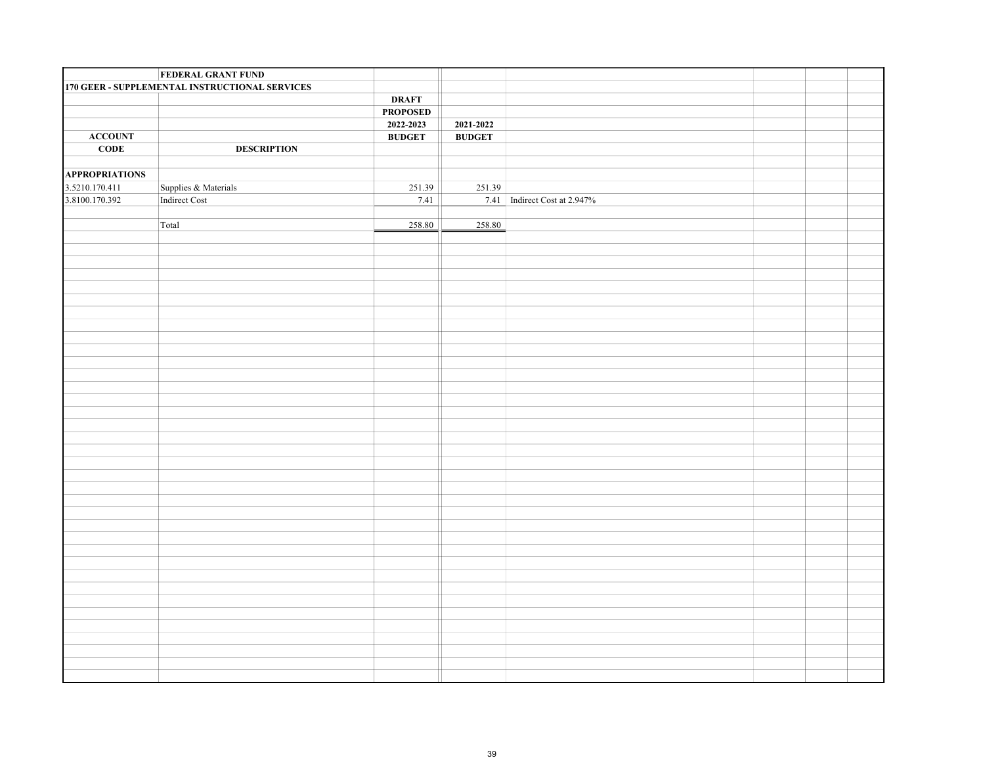|                       | <b>FEDERAL GRANT FUND</b>                      |                                                                |                              |
|-----------------------|------------------------------------------------|----------------------------------------------------------------|------------------------------|
|                       | 170 GEER - SUPPLEMENTAL INSTRUCTIONAL SERVICES |                                                                |                              |
|                       |                                                | <b>DRAFT</b>                                                   |                              |
|                       |                                                | <b>PROPOSED</b>                                                |                              |
|                       |                                                | 2022-2023                                                      | 2021-2022                    |
| <b>ACCOUNT</b>        |                                                | $\mathbf{B}\mathbf{U}\mathbf{D}\mathbf{G}\mathbf{E}\mathbf{T}$ | <b>BUDGET</b>                |
| CODE                  | <b>DESCRIPTION</b>                             |                                                                |                              |
|                       |                                                |                                                                |                              |
| <b>APPROPRIATIONS</b> |                                                |                                                                |                              |
| 3.5210.170.411        | Supplies & Materials                           | 251.39                                                         | 251.39                       |
| 3.8100.170.392        | Indirect Cost                                  | 7.41                                                           | 7.41 Indirect Cost at 2.947% |
|                       |                                                |                                                                |                              |
|                       | Total                                          | 258.80                                                         | 258.80                       |
|                       |                                                |                                                                |                              |
|                       |                                                |                                                                |                              |
|                       |                                                |                                                                |                              |
|                       |                                                |                                                                |                              |
|                       |                                                |                                                                |                              |
|                       |                                                |                                                                |                              |
|                       |                                                |                                                                |                              |
|                       |                                                |                                                                |                              |
|                       |                                                |                                                                |                              |
|                       |                                                |                                                                |                              |
|                       |                                                |                                                                |                              |
|                       |                                                |                                                                |                              |
|                       |                                                |                                                                |                              |
|                       |                                                |                                                                |                              |
|                       |                                                |                                                                |                              |
|                       |                                                |                                                                |                              |
|                       |                                                |                                                                |                              |
|                       |                                                |                                                                |                              |
|                       |                                                |                                                                |                              |
|                       |                                                |                                                                |                              |
|                       |                                                |                                                                |                              |
|                       |                                                |                                                                |                              |
|                       |                                                |                                                                |                              |
|                       |                                                |                                                                |                              |
|                       |                                                |                                                                |                              |
|                       |                                                |                                                                |                              |
|                       |                                                |                                                                |                              |
|                       |                                                |                                                                |                              |
|                       |                                                |                                                                |                              |
|                       |                                                |                                                                |                              |
|                       |                                                |                                                                |                              |
|                       |                                                |                                                                |                              |
|                       |                                                |                                                                |                              |
|                       |                                                |                                                                |                              |
|                       |                                                |                                                                |                              |
|                       |                                                |                                                                |                              |
|                       |                                                |                                                                |                              |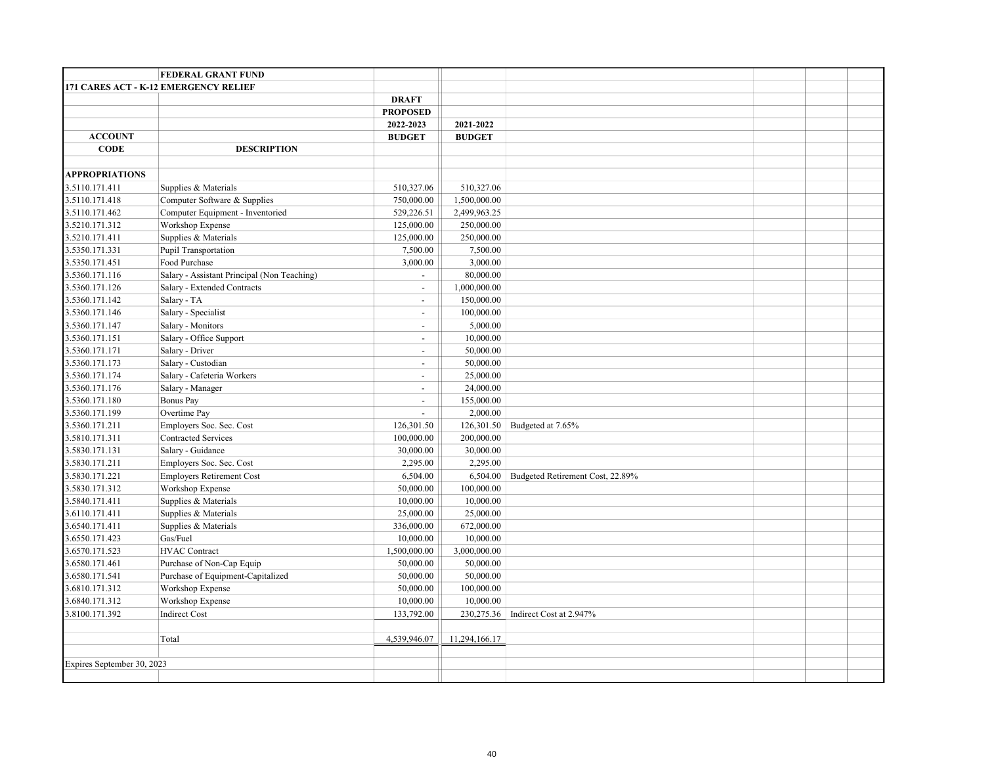|                            | <b>FEDERAL GRANT FUND</b>                   |                          |               |                                  |  |  |
|----------------------------|---------------------------------------------|--------------------------|---------------|----------------------------------|--|--|
|                            | 171 CARES ACT - K-12 EMERGENCY RELIEF       |                          |               |                                  |  |  |
|                            |                                             | <b>DRAFT</b>             |               |                                  |  |  |
|                            |                                             | <b>PROPOSED</b>          |               |                                  |  |  |
|                            |                                             | 2022-2023                | 2021-2022     |                                  |  |  |
| <b>ACCOUNT</b>             |                                             | <b>BUDGET</b>            | <b>BUDGET</b> |                                  |  |  |
| <b>CODE</b>                | <b>DESCRIPTION</b>                          |                          |               |                                  |  |  |
|                            |                                             |                          |               |                                  |  |  |
| <b>APPROPRIATIONS</b>      |                                             |                          |               |                                  |  |  |
| 3.5110.171.411             | Supplies & Materials                        | 510,327.06               | 510,327.06    |                                  |  |  |
| 3.5110.171.418             | Computer Software & Supplies                | 750,000.00               | 1,500,000.00  |                                  |  |  |
| 3.5110.171.462             | Computer Equipment - Inventoried            | 529,226.51               | 2,499,963.25  |                                  |  |  |
| 3.5210.171.312             | Workshop Expense                            | 125,000.00               | 250,000.00    |                                  |  |  |
| 3.5210.171.411             | Supplies & Materials                        | 125,000.00               | 250,000.00    |                                  |  |  |
| 3.5350.171.331             | Pupil Transportation                        | 7,500.00                 | 7,500.00      |                                  |  |  |
| 3.5350.171.451             | Food Purchase                               | 3,000.00                 | 3,000.00      |                                  |  |  |
| 3.5360.171.116             | Salary - Assistant Principal (Non Teaching) | $\overline{\phantom{a}}$ | 80,000.00     |                                  |  |  |
| 3.5360.171.126             | Salary - Extended Contracts                 | $\mathbf{r}$             | 1,000,000.00  |                                  |  |  |
| 3.5360.171.142             | Salary - TA                                 | $\sim$                   | 150,000.00    |                                  |  |  |
| 3.5360.171.146             | Salary - Specialist                         | $\sim$                   | 100,000.00    |                                  |  |  |
| 3.5360.171.147             | Salary - Monitors                           | $\sim$                   | 5,000.00      |                                  |  |  |
| 3.5360.171.151             | Salary - Office Support                     | $\sim$                   | 10,000.00     |                                  |  |  |
| 3.5360.171.171             | Salary - Driver                             | $\blacksquare$           | 50,000.00     |                                  |  |  |
| 3.5360.171.173             | Salary - Custodian                          | $\overline{\phantom{a}}$ | 50,000.00     |                                  |  |  |
| 3.5360.171.174             | Salary - Cafeteria Workers                  | $\mathbf{r}$             | 25,000.00     |                                  |  |  |
| 3.5360.171.176             | Salary - Manager                            | $\omega$                 | 24,000.00     |                                  |  |  |
| 3.5360.171.180             | <b>Bonus Pay</b>                            | $\sim$                   | 155,000.00    |                                  |  |  |
| 3.5360.171.199             | Overtime Pay                                | $\sim$                   | 2,000.00      |                                  |  |  |
| 3.5360.171.211             | Employers Soc. Sec. Cost                    | 126,301.50               | 126,301.50    | Budgeted at 7.65%                |  |  |
| 3.5810.171.311             | <b>Contracted Services</b>                  | 100,000.00               | 200,000.00    |                                  |  |  |
| 3.5830.171.131             | Salary - Guidance                           | 30,000.00                | 30,000.00     |                                  |  |  |
| 3.5830.171.211             | Employers Soc. Sec. Cost                    | 2,295.00                 | 2,295.00      |                                  |  |  |
| 3.5830.171.221             | <b>Employers Retirement Cost</b>            | 6,504.00                 | 6,504.00      | Budgeted Retirement Cost, 22.89% |  |  |
| 3.5830.171.312             | Workshop Expense                            | 50,000.00                | 100,000.00    |                                  |  |  |
| 3.5840.171.411             | Supplies & Materials                        | 10,000.00                | 10,000.00     |                                  |  |  |
| 3.6110.171.411             | Supplies & Materials                        | 25,000.00                | 25,000.00     |                                  |  |  |
| 3.6540.171.411             | Supplies & Materials                        | 336,000.00               | 672,000.00    |                                  |  |  |
| 3.6550.171.423             | Gas/Fuel                                    | 10,000.00                | 10,000.00     |                                  |  |  |
| 3.6570.171.523             | <b>HVAC</b> Contract                        | 1,500,000.00             | 3,000,000.00  |                                  |  |  |
| 3.6580.171.461             | Purchase of Non-Cap Equip                   | 50,000.00                | 50,000.00     |                                  |  |  |
| 3.6580.171.541             | Purchase of Equipment-Capitalized           | 50,000.00                | 50,000.00     |                                  |  |  |
| 3.6810.171.312             | Workshop Expense                            | 50,000.00                | 100,000.00    |                                  |  |  |
| 3.6840.171.312             | Workshop Expense                            | 10,000.00                | 10,000.00     |                                  |  |  |
| 3.8100.171.392             | <b>Indirect Cost</b>                        | 133,792.00               | 230,275.36    | Indirect Cost at 2.947%          |  |  |
|                            |                                             |                          |               |                                  |  |  |
|                            | Total                                       | 4,539,946.07             | 11,294,166.17 |                                  |  |  |
|                            |                                             |                          |               |                                  |  |  |
| Expires September 30, 2023 |                                             |                          |               |                                  |  |  |
|                            |                                             |                          |               |                                  |  |  |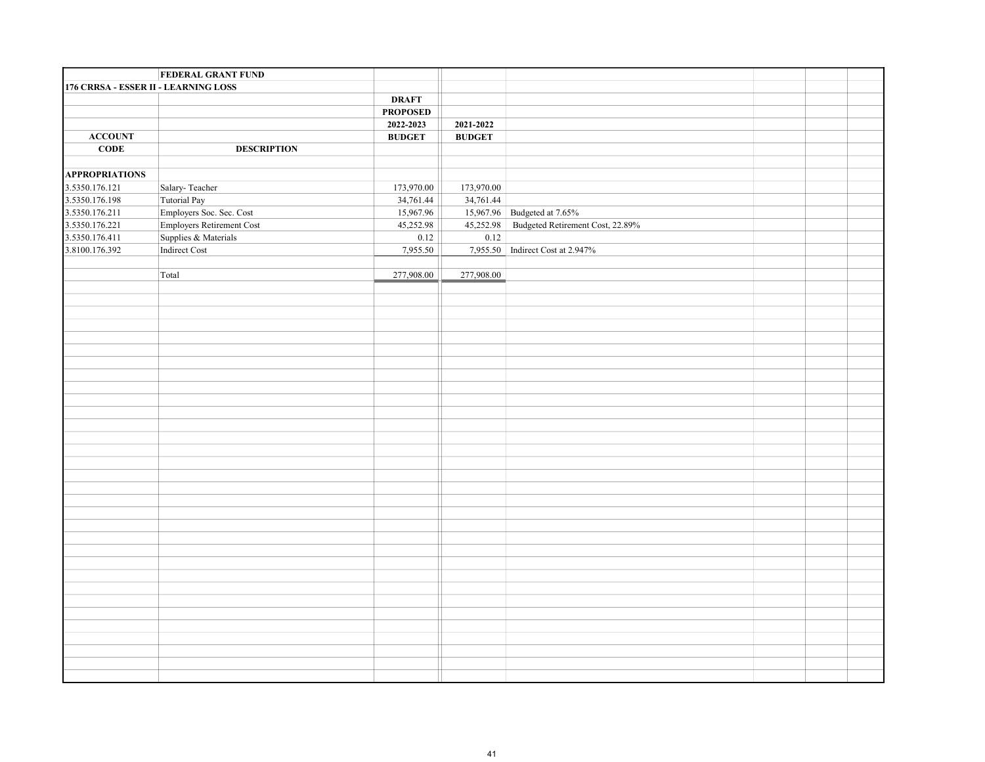|                                      | <b>FEDERAL GRANT FUND</b> |                 |               |                                    |  |  |
|--------------------------------------|---------------------------|-----------------|---------------|------------------------------------|--|--|
| 176 CRRSA - ESSER II - LEARNING LOSS |                           |                 |               |                                    |  |  |
|                                      |                           | <b>DRAFT</b>    |               |                                    |  |  |
|                                      |                           | <b>PROPOSED</b> |               |                                    |  |  |
|                                      |                           | 2022-2023       | 2021-2022     |                                    |  |  |
| <b>ACCOUNT</b>                       |                           | <b>BUDGET</b>   | <b>BUDGET</b> |                                    |  |  |
| CODE                                 | <b>DESCRIPTION</b>        |                 |               |                                    |  |  |
|                                      |                           |                 |               |                                    |  |  |
| <b>APPROPRIATIONS</b>                |                           |                 |               |                                    |  |  |
| 3.5350.176.121                       | Salary-Teacher            | 173,970.00      | 173,970.00    |                                    |  |  |
| 3.5350.176.198                       | Tutorial Pay              | 34,761.44       | 34,761.44     |                                    |  |  |
| 3.5350.176.211                       | Employers Soc. Sec. Cost  | 15,967.96       |               | 15,967.96 Budgeted at 7.65%        |  |  |
| 3.5350.176.221                       | Employers Retirement Cost | 45,252.98       | 45,252.98     | Budgeted Retirement Cost, 22.89%   |  |  |
| 3.5350.176.411                       | Supplies & Materials      | 0.12            | 0.12          |                                    |  |  |
| 3.8100.176.392                       | Indirect Cost             | 7,955.50        |               | 7,955.50   Indirect Cost at 2.947% |  |  |
|                                      |                           |                 |               |                                    |  |  |
|                                      | Total                     | 277,908.00      | 277,908.00    |                                    |  |  |
|                                      |                           |                 |               |                                    |  |  |
|                                      |                           |                 |               |                                    |  |  |
|                                      |                           |                 |               |                                    |  |  |
|                                      |                           |                 |               |                                    |  |  |
|                                      |                           |                 |               |                                    |  |  |
|                                      |                           |                 |               |                                    |  |  |
|                                      |                           |                 |               |                                    |  |  |
|                                      |                           |                 |               |                                    |  |  |
|                                      |                           |                 |               |                                    |  |  |
|                                      |                           |                 |               |                                    |  |  |
|                                      |                           |                 |               |                                    |  |  |
|                                      |                           |                 |               |                                    |  |  |
|                                      |                           |                 |               |                                    |  |  |
|                                      |                           |                 |               |                                    |  |  |
|                                      |                           |                 |               |                                    |  |  |
|                                      |                           |                 |               |                                    |  |  |
|                                      |                           |                 |               |                                    |  |  |
|                                      |                           |                 |               |                                    |  |  |
|                                      |                           |                 |               |                                    |  |  |
|                                      |                           |                 |               |                                    |  |  |
|                                      |                           |                 |               |                                    |  |  |
|                                      |                           |                 |               |                                    |  |  |
|                                      |                           |                 |               |                                    |  |  |
|                                      |                           |                 |               |                                    |  |  |
|                                      |                           |                 |               |                                    |  |  |
|                                      |                           |                 |               |                                    |  |  |
|                                      |                           |                 |               |                                    |  |  |
|                                      |                           |                 |               |                                    |  |  |
|                                      |                           |                 |               |                                    |  |  |
|                                      |                           |                 |               |                                    |  |  |
|                                      |                           |                 |               |                                    |  |  |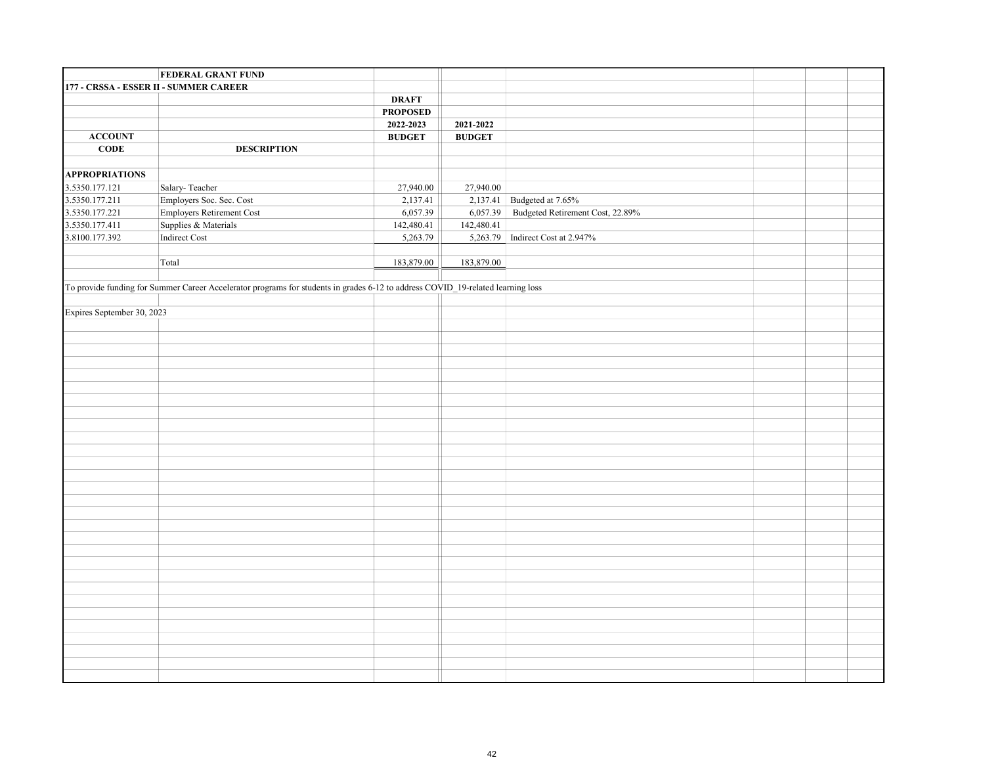|                            | <b>FEDERAL GRANT FUND</b>                                                                                                       |                 |               |                                  |  |  |
|----------------------------|---------------------------------------------------------------------------------------------------------------------------------|-----------------|---------------|----------------------------------|--|--|
|                            | 177 - CRSSA - ESSER II - SUMMER CAREER                                                                                          |                 |               |                                  |  |  |
|                            |                                                                                                                                 | <b>DRAFT</b>    |               |                                  |  |  |
|                            |                                                                                                                                 | <b>PROPOSED</b> |               |                                  |  |  |
|                            |                                                                                                                                 | 2022-2023       | 2021-2022     |                                  |  |  |
| <b>ACCOUNT</b>             |                                                                                                                                 | <b>BUDGET</b>   | <b>BUDGET</b> |                                  |  |  |
| $CODE$                     | <b>DESCRIPTION</b>                                                                                                              |                 |               |                                  |  |  |
|                            |                                                                                                                                 |                 |               |                                  |  |  |
| <b>APPROPRIATIONS</b>      |                                                                                                                                 |                 |               |                                  |  |  |
| 3.5350.177.121             | Salary-Teacher                                                                                                                  | 27,940.00       | 27,940.00     |                                  |  |  |
| 3.5350.177.211             | Employers Soc. Sec. Cost                                                                                                        | 2,137.41        |               | 2,137.41 Budgeted at 7.65%       |  |  |
| 3.5350.177.221             | Employers Retirement Cost                                                                                                       | 6,057.39        | 6,057.39      | Budgeted Retirement Cost, 22.89% |  |  |
| 3.5350.177.411             | Supplies & Materials                                                                                                            | 142,480.41      | 142,480.41    |                                  |  |  |
| 3.8100.177.392             | Indirect Cost                                                                                                                   | 5,263.79        |               | 5,263.79 Indirect Cost at 2.947% |  |  |
|                            |                                                                                                                                 |                 |               |                                  |  |  |
|                            | Total                                                                                                                           | 183,879.00      | 183,879.00    |                                  |  |  |
|                            |                                                                                                                                 |                 |               |                                  |  |  |
|                            | To provide funding for Summer Career Accelerator programs for students in grades 6-12 to address COVID_19-related learning loss |                 |               |                                  |  |  |
|                            |                                                                                                                                 |                 |               |                                  |  |  |
| Expires September 30, 2023 |                                                                                                                                 |                 |               |                                  |  |  |
|                            |                                                                                                                                 |                 |               |                                  |  |  |
|                            |                                                                                                                                 |                 |               |                                  |  |  |
|                            |                                                                                                                                 |                 |               |                                  |  |  |
|                            |                                                                                                                                 |                 |               |                                  |  |  |
|                            |                                                                                                                                 |                 |               |                                  |  |  |
|                            |                                                                                                                                 |                 |               |                                  |  |  |
|                            |                                                                                                                                 |                 |               |                                  |  |  |
|                            |                                                                                                                                 |                 |               |                                  |  |  |
|                            |                                                                                                                                 |                 |               |                                  |  |  |
|                            |                                                                                                                                 |                 |               |                                  |  |  |
|                            |                                                                                                                                 |                 |               |                                  |  |  |
|                            |                                                                                                                                 |                 |               |                                  |  |  |
|                            |                                                                                                                                 |                 |               |                                  |  |  |
|                            |                                                                                                                                 |                 |               |                                  |  |  |
|                            |                                                                                                                                 |                 |               |                                  |  |  |
|                            |                                                                                                                                 |                 |               |                                  |  |  |
|                            |                                                                                                                                 |                 |               |                                  |  |  |
|                            |                                                                                                                                 |                 |               |                                  |  |  |
|                            |                                                                                                                                 |                 |               |                                  |  |  |
|                            |                                                                                                                                 |                 |               |                                  |  |  |
|                            |                                                                                                                                 |                 |               |                                  |  |  |
|                            |                                                                                                                                 |                 |               |                                  |  |  |
|                            |                                                                                                                                 |                 |               |                                  |  |  |
|                            |                                                                                                                                 |                 |               |                                  |  |  |
|                            |                                                                                                                                 |                 |               |                                  |  |  |
|                            |                                                                                                                                 |                 |               |                                  |  |  |
|                            |                                                                                                                                 |                 |               |                                  |  |  |
|                            |                                                                                                                                 |                 |               |                                  |  |  |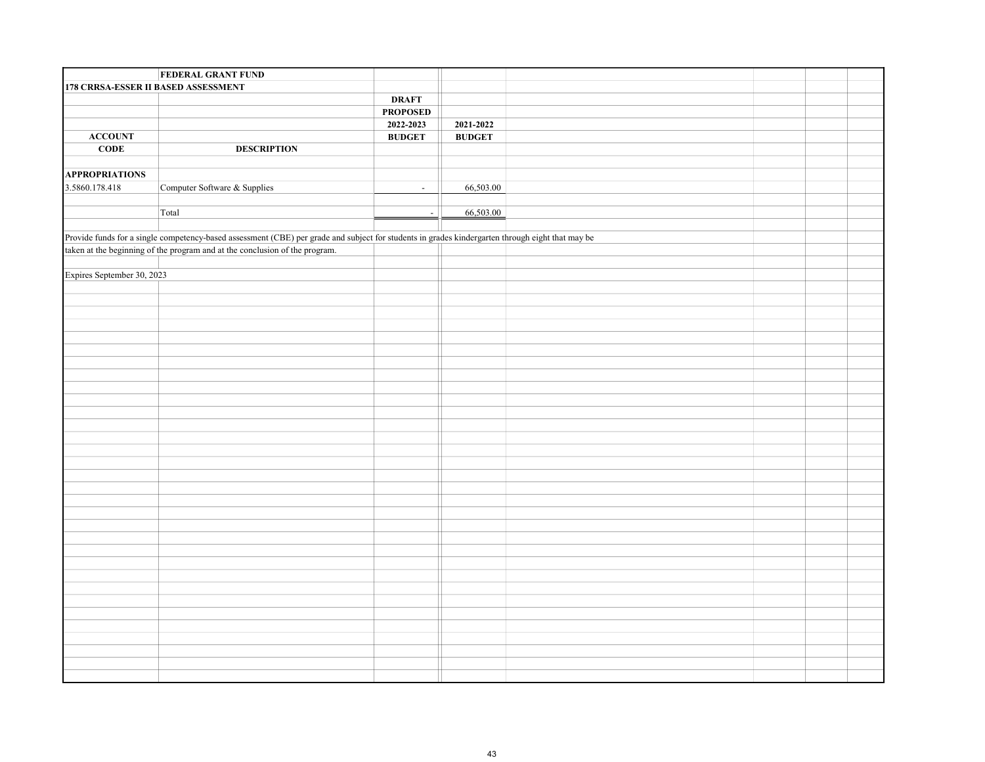|                                     | <b>FEDERAL GRANT FUND</b>                                                                                                                        |                 |                                                                |  |  |
|-------------------------------------|--------------------------------------------------------------------------------------------------------------------------------------------------|-----------------|----------------------------------------------------------------|--|--|
| 178 CRRSA-ESSER II BASED ASSESSMENT |                                                                                                                                                  |                 |                                                                |  |  |
|                                     |                                                                                                                                                  | <b>DRAFT</b>    |                                                                |  |  |
|                                     |                                                                                                                                                  | <b>PROPOSED</b> |                                                                |  |  |
|                                     |                                                                                                                                                  | 2022-2023       | 2021-2022                                                      |  |  |
| <b>ACCOUNT</b>                      |                                                                                                                                                  | <b>BUDGET</b>   | $\mathbf{B}\mathbf{U}\mathbf{D}\mathbf{G}\mathbf{E}\mathbf{T}$ |  |  |
| CODE                                | <b>DESCRIPTION</b>                                                                                                                               |                 |                                                                |  |  |
|                                     |                                                                                                                                                  |                 |                                                                |  |  |
| <b>APPROPRIATIONS</b>               |                                                                                                                                                  |                 |                                                                |  |  |
| 3.5860.178.418                      | Computer Software & Supplies                                                                                                                     | $\sim$          | 66,503.00                                                      |  |  |
|                                     |                                                                                                                                                  |                 |                                                                |  |  |
|                                     | Total                                                                                                                                            | $\sim$          | 66,503.00                                                      |  |  |
|                                     |                                                                                                                                                  |                 |                                                                |  |  |
|                                     | Provide funds for a single competency-based assessment (CBE) per grade and subject for students in grades kindergarten through eight that may be |                 |                                                                |  |  |
|                                     | taken at the beginning of the program and at the conclusion of the program.                                                                      |                 |                                                                |  |  |
|                                     |                                                                                                                                                  |                 |                                                                |  |  |
| Expires September 30, 2023          |                                                                                                                                                  |                 |                                                                |  |  |
|                                     |                                                                                                                                                  |                 |                                                                |  |  |
|                                     |                                                                                                                                                  |                 |                                                                |  |  |
|                                     |                                                                                                                                                  |                 |                                                                |  |  |
|                                     |                                                                                                                                                  |                 |                                                                |  |  |
|                                     |                                                                                                                                                  |                 |                                                                |  |  |
|                                     |                                                                                                                                                  |                 |                                                                |  |  |
|                                     |                                                                                                                                                  |                 |                                                                |  |  |
|                                     |                                                                                                                                                  |                 |                                                                |  |  |
|                                     |                                                                                                                                                  |                 |                                                                |  |  |
|                                     |                                                                                                                                                  |                 |                                                                |  |  |
|                                     |                                                                                                                                                  |                 |                                                                |  |  |
|                                     |                                                                                                                                                  |                 |                                                                |  |  |
|                                     |                                                                                                                                                  |                 |                                                                |  |  |
|                                     |                                                                                                                                                  |                 |                                                                |  |  |
|                                     |                                                                                                                                                  |                 |                                                                |  |  |
|                                     |                                                                                                                                                  |                 |                                                                |  |  |
|                                     |                                                                                                                                                  |                 |                                                                |  |  |
|                                     |                                                                                                                                                  |                 |                                                                |  |  |
|                                     |                                                                                                                                                  |                 |                                                                |  |  |
|                                     |                                                                                                                                                  |                 |                                                                |  |  |
|                                     |                                                                                                                                                  |                 |                                                                |  |  |
|                                     |                                                                                                                                                  |                 |                                                                |  |  |
|                                     |                                                                                                                                                  |                 |                                                                |  |  |
|                                     |                                                                                                                                                  |                 |                                                                |  |  |
|                                     |                                                                                                                                                  |                 |                                                                |  |  |
|                                     |                                                                                                                                                  |                 |                                                                |  |  |
|                                     |                                                                                                                                                  |                 |                                                                |  |  |
|                                     |                                                                                                                                                  |                 |                                                                |  |  |
|                                     |                                                                                                                                                  |                 |                                                                |  |  |
|                                     |                                                                                                                                                  |                 |                                                                |  |  |
|                                     |                                                                                                                                                  |                 |                                                                |  |  |
|                                     |                                                                                                                                                  |                 |                                                                |  |  |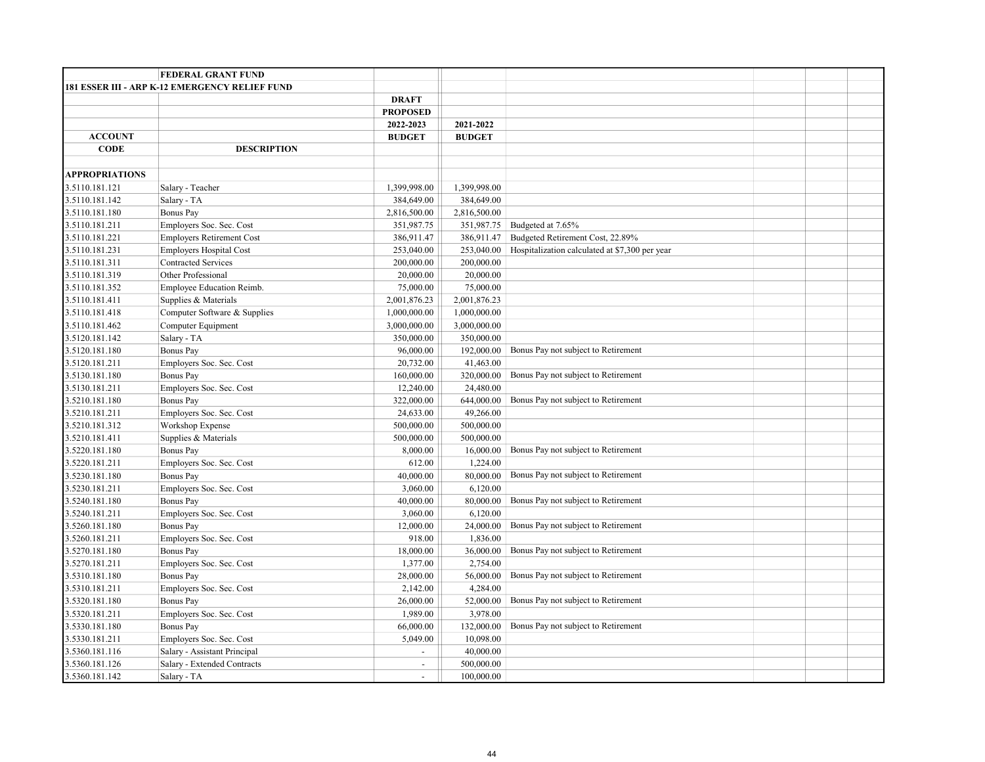|                       | <b>FEDERAL GRANT FUND</b>                      |                 |               |                                                |  |  |
|-----------------------|------------------------------------------------|-----------------|---------------|------------------------------------------------|--|--|
|                       | 181 ESSER III - ARP K-12 EMERGENCY RELIEF FUND |                 |               |                                                |  |  |
|                       |                                                | <b>DRAFT</b>    |               |                                                |  |  |
|                       |                                                | <b>PROPOSED</b> |               |                                                |  |  |
|                       |                                                | 2022-2023       | 2021-2022     |                                                |  |  |
| <b>ACCOUNT</b>        |                                                | <b>BUDGET</b>   | <b>BUDGET</b> |                                                |  |  |
| <b>CODE</b>           | <b>DESCRIPTION</b>                             |                 |               |                                                |  |  |
|                       |                                                |                 |               |                                                |  |  |
| <b>APPROPRIATIONS</b> |                                                |                 |               |                                                |  |  |
| 3.5110.181.121        | Salary - Teacher                               | 1,399,998.00    | 1,399,998.00  |                                                |  |  |
| 3.5110.181.142        | Salary - TA                                    | 384,649.00      | 384,649.00    |                                                |  |  |
| 3.5110.181.180        | <b>Bonus Pay</b>                               | 2,816,500.00    | 2,816,500.00  |                                                |  |  |
| 3.5110.181.211        | Employers Soc. Sec. Cost                       | 351,987.75      | 351,987.75    | Budgeted at 7.65%                              |  |  |
| 3.5110.181.221        | <b>Employers Retirement Cost</b>               | 386,911.47      | 386,911.47    | Budgeted Retirement Cost, 22.89%               |  |  |
| 3.5110.181.231        | <b>Employers Hospital Cost</b>                 | 253,040.00      | 253,040.00    | Hospitalization calculated at \$7,300 per year |  |  |
| 3.5110.181.311        | <b>Contracted Services</b>                     | 200,000.00      | 200,000.00    |                                                |  |  |
| 3.5110.181.319        | Other Professional                             | 20,000.00       | 20,000.00     |                                                |  |  |
| 3.5110.181.352        | Employee Education Reimb.                      | 75,000.00       | 75,000.00     |                                                |  |  |
| 3.5110.181.411        | Supplies & Materials                           | 2,001,876.23    | 2,001,876.23  |                                                |  |  |
| 3.5110.181.418        | Computer Software & Supplies                   | 1,000,000.00    | 1,000,000.00  |                                                |  |  |
| 3.5110.181.462        | Computer Equipment                             | 3,000,000.00    | 3,000,000.00  |                                                |  |  |
| 3.5120.181.142        | Salary - TA                                    | 350,000.00      | 350,000.00    |                                                |  |  |
| 3.5120.181.180        | Bonus Pay                                      | 96,000.00       | 192,000.00    | Bonus Pay not subject to Retirement            |  |  |
| 3.5120.181.211        | Employers Soc. Sec. Cost                       | 20,732.00       | 41,463.00     |                                                |  |  |
| 3.5130.181.180        | <b>Bonus Pay</b>                               | 160,000.00      | 320,000.00    | Bonus Pay not subject to Retirement            |  |  |
| 3.5130.181.211        | Employers Soc. Sec. Cost                       | 12,240.00       | 24,480.00     |                                                |  |  |
| 3.5210.181.180        | <b>Bonus Pay</b>                               | 322,000.00      | 644,000.00    | Bonus Pay not subject to Retirement            |  |  |
| 3.5210.181.211        | Employers Soc. Sec. Cost                       | 24,633.00       | 49,266.00     |                                                |  |  |
| 3.5210.181.312        | Workshop Expense                               | 500,000.00      | 500,000.00    |                                                |  |  |
| 3.5210.181.411        | Supplies & Materials                           | 500,000.00      | 500,000.00    |                                                |  |  |
| 3.5220.181.180        | Bonus Pay                                      | 8,000.00        | 16,000.00     | Bonus Pay not subject to Retirement            |  |  |
| 3.5220.181.211        | Employers Soc. Sec. Cost                       | 612.00          | 1,224.00      |                                                |  |  |
| 3.5230.181.180        | <b>Bonus Pay</b>                               | 40,000.00       | 80,000.00     | Bonus Pay not subject to Retirement            |  |  |
| 3.5230.181.211        | Employers Soc. Sec. Cost                       | 3,060.00        | 6,120.00      |                                                |  |  |
| 3.5240.181.180        | <b>Bonus Pay</b>                               | 40,000.00       | 80,000.00     | Bonus Pay not subject to Retirement            |  |  |
| 3.5240.181.211        | Employers Soc. Sec. Cost                       | 3,060.00        | 6,120.00      |                                                |  |  |
| 3.5260.181.180        | Bonus Pay                                      | 12,000.00       | 24,000.00     | Bonus Pay not subject to Retirement            |  |  |
| 3.5260.181.211        | Employers Soc. Sec. Cost                       | 918.00          | 1,836.00      |                                                |  |  |
| 3.5270.181.180        | Bonus Pay                                      | 18,000.00       | 36,000.00     | Bonus Pay not subject to Retirement            |  |  |
| 3.5270.181.211        | Employers Soc. Sec. Cost                       | 1,377.00        | 2,754.00      |                                                |  |  |
| 3.5310.181.180        | Bonus Pay                                      | 28,000.00       | 56,000.00     | Bonus Pay not subject to Retirement            |  |  |
| 3.5310.181.211        | Employers Soc. Sec. Cost                       | 2,142.00        | 4,284.00      |                                                |  |  |
| 3.5320.181.180        | Bonus Pay                                      | 26,000.00       | 52,000.00     | Bonus Pay not subject to Retirement            |  |  |
| 3.5320.181.211        | Employers Soc. Sec. Cost                       | 1,989.00        | 3,978.00      |                                                |  |  |
| 3.5330.181.180        | Bonus Pay                                      | 66,000.00       | 132,000.00    | Bonus Pay not subject to Retirement            |  |  |
| 3.5330.181.211        | Employers Soc. Sec. Cost                       | 5,049.00        | 10,098.00     |                                                |  |  |
| 3.5360.181.116        | Salary - Assistant Principal                   | $\sim$          | 40,000.00     |                                                |  |  |
| 3.5360.181.126        | Salary - Extended Contracts                    | $\equiv$        | 500,000.00    |                                                |  |  |
| 3.5360.181.142        | Salary - TA                                    | $\blacksquare$  | 100,000.00    |                                                |  |  |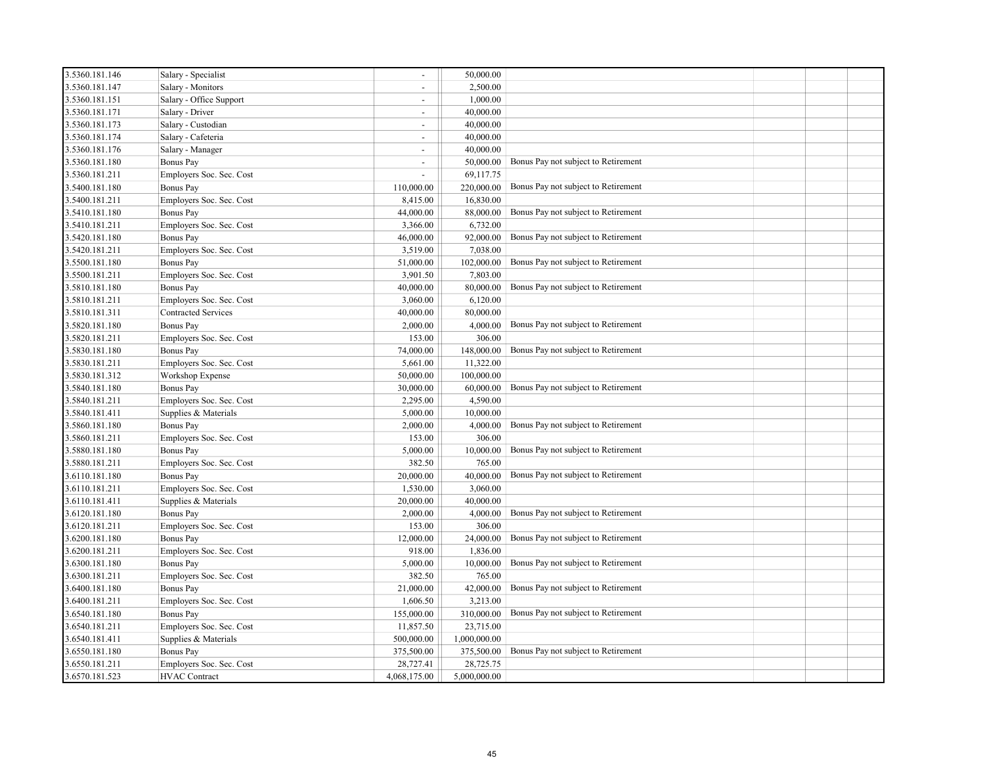| 3.5360.181.146 | Salary - Specialist        | $\overline{\phantom{a}}$ | 50,000.00    |                                     |  |
|----------------|----------------------------|--------------------------|--------------|-------------------------------------|--|
| 3.5360.181.147 | Salary - Monitors          | $\sim$                   | 2,500.00     |                                     |  |
| 3.5360.181.151 | Salary - Office Support    | $\omega$                 | 1,000.00     |                                     |  |
| 3.5360.181.171 | Salary - Driver            | $\sim$                   | 40,000.00    |                                     |  |
| 3.5360.181.173 | Salary - Custodian         | $\overline{\phantom{a}}$ | 40,000.00    |                                     |  |
| 3.5360.181.174 | Salary - Cafeteria         | $\overline{\phantom{a}}$ | 40,000.00    |                                     |  |
| 3.5360.181.176 | Salary - Manager           | $\overline{\phantom{a}}$ | 40,000.00    |                                     |  |
| 3.5360.181.180 | Bonus Pay                  | $\overline{a}$           | 50,000.00    | Bonus Pay not subject to Retirement |  |
| 3.5360.181.211 | Employers Soc. Sec. Cost   | $\sim$                   | 69,117.75    |                                     |  |
| 3.5400.181.180 | Bonus Pay                  | 110,000.00               | 220,000.00   | Bonus Pay not subject to Retirement |  |
| 3.5400.181.211 | Employers Soc. Sec. Cost   | 8,415.00                 | 16,830.00    |                                     |  |
| 3.5410.181.180 | Bonus Pay                  | 44,000.00                | 88,000.00    | Bonus Pay not subject to Retirement |  |
| 3.5410.181.211 | Employers Soc. Sec. Cost   | 3,366.00                 | 6,732.00     |                                     |  |
| 3.5420.181.180 | Bonus Pay                  | 46,000.00                | 92,000.00    | Bonus Pay not subject to Retirement |  |
| 3.5420.181.211 | Employers Soc. Sec. Cost   | 3,519.00                 | 7,038.00     |                                     |  |
| 3.5500.181.180 | Bonus Pay                  | 51,000.00                | 102,000.00   | Bonus Pay not subject to Retirement |  |
| 3.5500.181.211 | Employers Soc. Sec. Cost   | 3,901.50                 | 7,803.00     |                                     |  |
| 3.5810.181.180 | Bonus Pay                  | 40,000.00                | 80,000.00    | Bonus Pay not subject to Retirement |  |
| 3.5810.181.211 | Employers Soc. Sec. Cost   | 3,060.00                 | 6,120.00     |                                     |  |
| 3.5810.181.311 | <b>Contracted Services</b> | 40,000.00                | 80,000.00    |                                     |  |
| 3.5820.181.180 | Bonus Pay                  | 2,000.00                 | 4,000.00     | Bonus Pay not subject to Retirement |  |
| 3.5820.181.211 | Employers Soc. Sec. Cost   | 153.00                   | 306.00       |                                     |  |
| 3.5830.181.180 | Bonus Pay                  | 74,000.00                | 148,000.00   | Bonus Pay not subject to Retirement |  |
| 3.5830.181.211 | Employers Soc. Sec. Cost   | 5,661.00                 | 11,322.00    |                                     |  |
| 3.5830.181.312 | Workshop Expense           | 50,000.00                | 100,000.00   |                                     |  |
| 3.5840.181.180 | Bonus Pay                  | 30,000.00                | 60,000.00    | Bonus Pay not subject to Retirement |  |
| 3.5840.181.211 | Employers Soc. Sec. Cost   | 2,295.00                 | 4,590.00     |                                     |  |
| 3.5840.181.411 | Supplies & Materials       | 5,000.00                 | 10,000.00    |                                     |  |
| 3.5860.181.180 | Bonus Pay                  | 2,000.00                 | 4,000.00     | Bonus Pay not subject to Retirement |  |
| 3.5860.181.211 | Employers Soc. Sec. Cost   | 153.00                   | 306.00       |                                     |  |
| 3.5880.181.180 | Bonus Pay                  | 5,000.00                 | 10,000.00    | Bonus Pay not subject to Retirement |  |
| 3.5880.181.211 | Employers Soc. Sec. Cost   | 382.50                   | 765.00       |                                     |  |
| 3.6110.181.180 | Bonus Pay                  | 20,000.00                | 40,000.00    | Bonus Pay not subject to Retirement |  |
| 3.6110.181.211 | Employers Soc. Sec. Cost   | 1,530.00                 | 3,060.00     |                                     |  |
| 3.6110.181.411 | Supplies & Materials       | 20,000.00                | 40,000.00    |                                     |  |
| 3.6120.181.180 | Bonus Pay                  | 2,000.00                 | 4,000.00     | Bonus Pay not subject to Retirement |  |
| 3.6120.181.211 | Employers Soc. Sec. Cost   | 153.00                   | 306.00       |                                     |  |
| 3.6200.181.180 | Bonus Pay                  | 12,000.00                | 24,000.00    | Bonus Pay not subject to Retirement |  |
| 3.6200.181.211 | Employers Soc. Sec. Cost   | 918.00                   | 1,836.00     |                                     |  |
| 3.6300.181.180 | Bonus Pay                  | 5,000.00                 | 10,000.00    | Bonus Pay not subject to Retirement |  |
| 3.6300.181.211 | Employers Soc. Sec. Cost   | 382.50                   | 765.00       |                                     |  |
| 3.6400.181.180 | Bonus Pay                  | 21,000.00                | 42,000.00    | Bonus Pay not subject to Retirement |  |
| 3.6400.181.211 | Employers Soc. Sec. Cost   | 1,606.50                 | 3,213.00     |                                     |  |
| 3.6540.181.180 | Bonus Pay                  | 155,000.00               | 310,000.00   | Bonus Pay not subject to Retirement |  |
| 3.6540.181.211 | Employers Soc. Sec. Cost   | 11,857.50                | 23,715.00    |                                     |  |
| 3.6540.181.411 | Supplies & Materials       | 500,000.00               | 1,000,000.00 |                                     |  |
| 3.6550.181.180 | Bonus Pay                  | 375,500.00               | 375,500.00   | Bonus Pay not subject to Retirement |  |
| 3.6550.181.211 | Employers Soc. Sec. Cost   | 28,727.41                | 28,725.75    |                                     |  |
| 3.6570.181.523 | <b>HVAC</b> Contract       | 4,068,175.00             | 5,000,000.00 |                                     |  |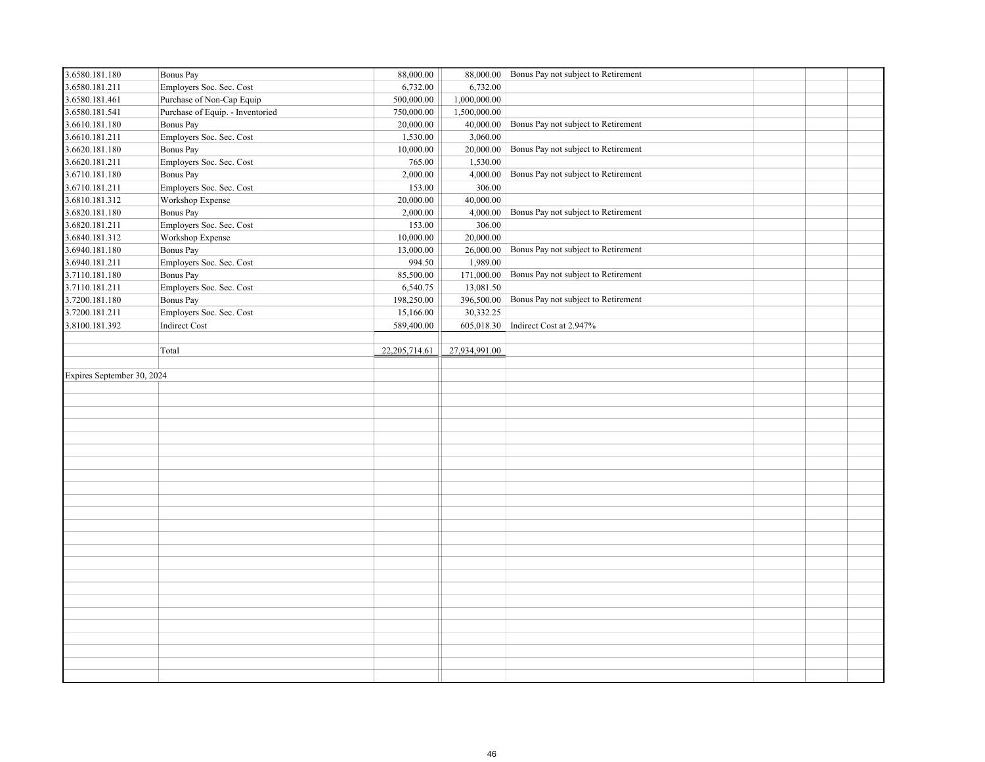| 3.6580.181.180             | <b>Bonus Pay</b>                 | 88,000.00        |               | 88,000.00 Bonus Pay not subject to Retirement |  |  |
|----------------------------|----------------------------------|------------------|---------------|-----------------------------------------------|--|--|
| 3.6580.181.211             | Employers Soc. Sec. Cost         | 6,732.00         | 6,732.00      |                                               |  |  |
| 3.6580.181.461             | Purchase of Non-Cap Equip        | 500,000.00       | 1,000,000.00  |                                               |  |  |
| 3.6580.181.541             | Purchase of Equip. - Inventoried | 750,000.00       | 1,500,000.00  |                                               |  |  |
| 3.6610.181.180             | Bonus Pay                        | 20,000.00        | 40,000.00     | Bonus Pay not subject to Retirement           |  |  |
| 3.6610.181.211             | Employers Soc. Sec. Cost         | 1,530.00         | 3,060.00      |                                               |  |  |
| 3.6620.181.180             | <b>Bonus Pay</b>                 | 10,000.00        | 20,000.00     | Bonus Pay not subject to Retirement           |  |  |
| 3.6620.181.211             | Employers Soc. Sec. Cost         | 765.00           | 1,530.00      |                                               |  |  |
| 3.6710.181.180             | <b>Bonus Pay</b>                 | 2,000.00         | 4,000.00      | Bonus Pay not subject to Retirement           |  |  |
| 3.6710.181.211             | Employers Soc. Sec. Cost         | 153.00           | 306.00        |                                               |  |  |
| 3.6810.181.312             | Workshop Expense                 | 20,000.00        | 40,000.00     |                                               |  |  |
| 3.6820.181.180             | <b>Bonus Pay</b>                 | 2,000.00         | 4,000.00      | Bonus Pay not subject to Retirement           |  |  |
| 3.6820.181.211             | Employers Soc. Sec. Cost         | 153.00           | 306.00        |                                               |  |  |
| 3.6840.181.312             | Workshop Expense                 | 10,000.00        | 20,000.00     |                                               |  |  |
| 3.6940.181.180             | Bonus Pay                        | 13,000.00        | 26,000.00     | Bonus Pay not subject to Retirement           |  |  |
| 3.6940.181.211             | Employers Soc. Sec. Cost         | 994.50           | 1,989.00      |                                               |  |  |
| 3.7110.181.180             | Bonus Pay                        | 85,500.00        | 171,000.00    | Bonus Pay not subject to Retirement           |  |  |
| 3.7110.181.211             | Employers Soc. Sec. Cost         | 6,540.75         | 13,081.50     |                                               |  |  |
| 3.7200.181.180             | Bonus Pay                        | 198,250.00       | 396,500.00    | Bonus Pay not subject to Retirement           |  |  |
| 3.7200.181.211             | Employers Soc. Sec. Cost         | 15,166.00        | 30,332.25     |                                               |  |  |
| 3.8100.181.392             | <b>Indirect Cost</b>             | 589,400.00       |               | 605,018.30 Indirect Cost at 2.947%            |  |  |
|                            |                                  |                  |               |                                               |  |  |
|                            | Total                            | 22, 205, 714. 61 | 27,934,991.00 |                                               |  |  |
|                            |                                  |                  |               |                                               |  |  |
| Expires September 30, 2024 |                                  |                  |               |                                               |  |  |
|                            |                                  |                  |               |                                               |  |  |
|                            |                                  |                  |               |                                               |  |  |
|                            |                                  |                  |               |                                               |  |  |
|                            |                                  |                  |               |                                               |  |  |
|                            |                                  |                  |               |                                               |  |  |
|                            |                                  |                  |               |                                               |  |  |
|                            |                                  |                  |               |                                               |  |  |
|                            |                                  |                  |               |                                               |  |  |
|                            |                                  |                  |               |                                               |  |  |
|                            |                                  |                  |               |                                               |  |  |
|                            |                                  |                  |               |                                               |  |  |
|                            |                                  |                  |               |                                               |  |  |
|                            |                                  |                  |               |                                               |  |  |
|                            |                                  |                  |               |                                               |  |  |
|                            |                                  |                  |               |                                               |  |  |
|                            |                                  |                  |               |                                               |  |  |
|                            |                                  |                  |               |                                               |  |  |
|                            |                                  |                  |               |                                               |  |  |
|                            |                                  |                  |               |                                               |  |  |
|                            |                                  |                  |               |                                               |  |  |
|                            |                                  |                  |               |                                               |  |  |
|                            |                                  |                  |               |                                               |  |  |
|                            |                                  |                  |               |                                               |  |  |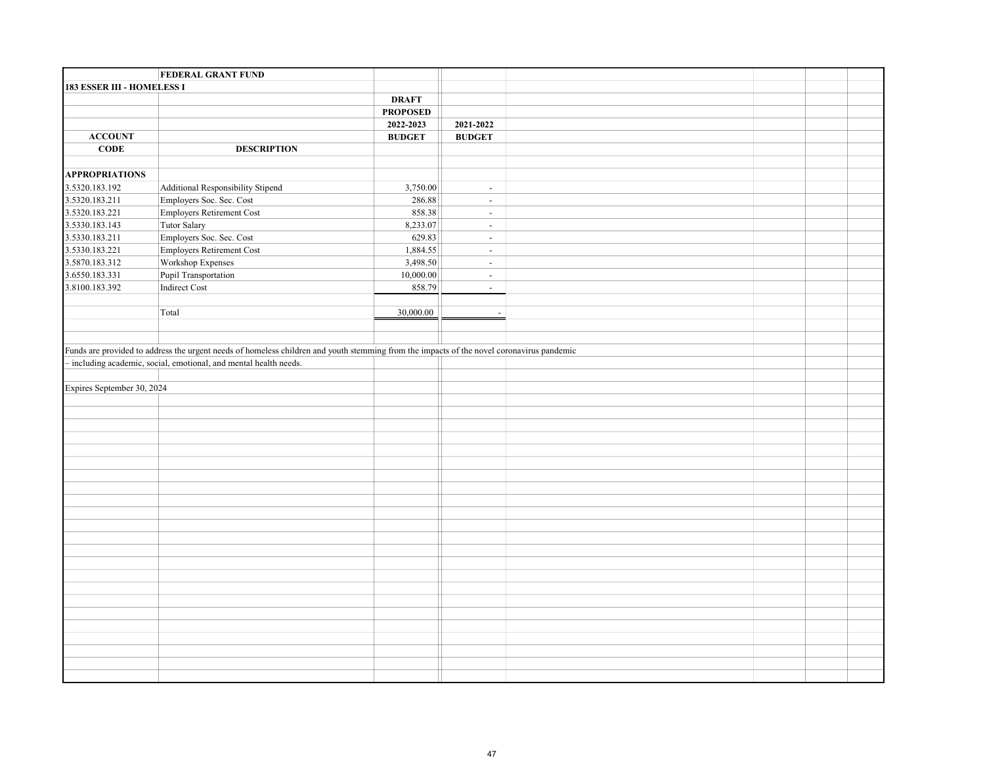|                            | <b>FEDERAL GRANT FUND</b>                                                                                                                 |                 |                          |  |  |
|----------------------------|-------------------------------------------------------------------------------------------------------------------------------------------|-----------------|--------------------------|--|--|
| 183 ESSER III - HOMELESS I |                                                                                                                                           |                 |                          |  |  |
|                            |                                                                                                                                           | <b>DRAFT</b>    |                          |  |  |
|                            |                                                                                                                                           | <b>PROPOSED</b> |                          |  |  |
|                            |                                                                                                                                           | 2022-2023       | 2021-2022                |  |  |
| <b>ACCOUNT</b>             |                                                                                                                                           | <b>BUDGET</b>   | <b>BUDGET</b>            |  |  |
| CODE                       | <b>DESCRIPTION</b>                                                                                                                        |                 |                          |  |  |
|                            |                                                                                                                                           |                 |                          |  |  |
| <b>APPROPRIATIONS</b>      |                                                                                                                                           |                 |                          |  |  |
| 3.5320.183.192             | Additional Responsibility Stipend                                                                                                         | 3,750.00        | $\sim$                   |  |  |
| 3.5320.183.211             | Employers Soc. Sec. Cost                                                                                                                  | 286.88          | $\overline{\phantom{a}}$ |  |  |
| 3.5320.183.221             | Employers Retirement Cost                                                                                                                 | 858.38          | $\omega$                 |  |  |
| 3.5330.183.143             | Tutor Salary                                                                                                                              | 8,233.07        | $\omega$                 |  |  |
| 3.5330.183.211             | Employers Soc. Sec. Cost                                                                                                                  | 629.83          | $\blacksquare$           |  |  |
| 3.5330.183.221             | Employers Retirement Cost                                                                                                                 | 1,884.55        | $\mathbb{Z}^2$           |  |  |
| 3.5870.183.312             | Workshop Expenses                                                                                                                         | 3,498.50        | $\mathbb{Z}^2$           |  |  |
| 3.6550.183.331             | Pupil Transportation                                                                                                                      | 10,000.00       | $\blacksquare$           |  |  |
| 3.8100.183.392             | Indirect Cost                                                                                                                             | 858.79          | $\omega$                 |  |  |
|                            |                                                                                                                                           |                 |                          |  |  |
|                            | Total                                                                                                                                     | 30,000.00       | $\overline{\phantom{a}}$ |  |  |
|                            |                                                                                                                                           |                 |                          |  |  |
|                            |                                                                                                                                           |                 |                          |  |  |
|                            | Funds are provided to address the urgent needs of homeless children and youth stemming from the impacts of the novel coronavirus pandemic |                 |                          |  |  |
|                            | - including academic, social, emotional, and mental health needs.                                                                         |                 |                          |  |  |
|                            |                                                                                                                                           |                 |                          |  |  |
| Expires September 30, 2024 |                                                                                                                                           |                 |                          |  |  |
|                            |                                                                                                                                           |                 |                          |  |  |
|                            |                                                                                                                                           |                 |                          |  |  |
|                            |                                                                                                                                           |                 |                          |  |  |
|                            |                                                                                                                                           |                 |                          |  |  |
|                            |                                                                                                                                           |                 |                          |  |  |
|                            |                                                                                                                                           |                 |                          |  |  |
|                            |                                                                                                                                           |                 |                          |  |  |
|                            |                                                                                                                                           |                 |                          |  |  |
|                            |                                                                                                                                           |                 |                          |  |  |
|                            |                                                                                                                                           |                 |                          |  |  |
|                            |                                                                                                                                           |                 |                          |  |  |
|                            |                                                                                                                                           |                 |                          |  |  |
|                            |                                                                                                                                           |                 |                          |  |  |
|                            |                                                                                                                                           |                 |                          |  |  |
|                            |                                                                                                                                           |                 |                          |  |  |
|                            |                                                                                                                                           |                 |                          |  |  |
|                            |                                                                                                                                           |                 |                          |  |  |
|                            |                                                                                                                                           |                 |                          |  |  |
|                            |                                                                                                                                           |                 |                          |  |  |
|                            |                                                                                                                                           |                 |                          |  |  |
|                            |                                                                                                                                           |                 |                          |  |  |
|                            |                                                                                                                                           |                 |                          |  |  |